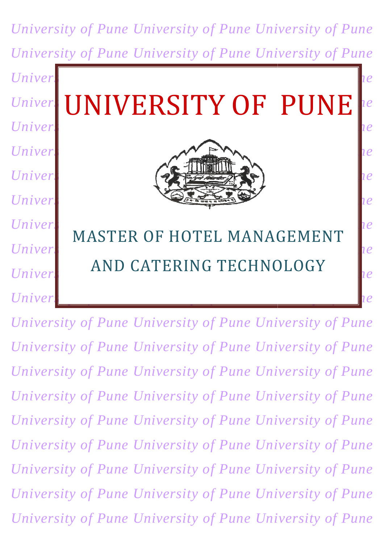*University of Pune University of Pune University of Pune University of Pune University of Pune University of Pune University of Puniversity of Punching of Punching of Punching of Punching of Punching of Punching of Punching of Punching of Punching of Punching of Punching of Punching of Punching of Punching of Punching of Punching of University UNIVERSITY OF PUNF Reference University of Puniversity of Punching of Punching Supersity of Puniversity of Puniversity of Puniversity of Pu* University of Punching of Punching of Punching of Punching of Punching of Punching of Punching of Punching of Pu *University University of Pune University of Pune Lie Punche University of Punche University of Punche University of Punche Due University of Punchart Charles II. Charles Quersity of Punchart Lie University of Puniversity of Punching of Punching Supersity of Puniversity of Puniversity of Puniversity of Pu*  $Univer<sub>s</sub>$   $NIVD$  *University of Puncersity of Puncersity of Puncersity of Puncersity of Puncersity of Puncersity of Puncersity of Puncersity of Puncersity of Puncersity of Puncersity of Puncersity of Puncersity of Puncers University of Puniversity of Punce Punce Punce Punce Punce Punce Punce Punce Punce Punce Punce Punce Punce Punce Punce Punce Punce Punce Punce Punce Punce Punce Punce Punce Punce Punce Punce Punce Punce Punce Punce Punce* UNIVERSITY MASTER OF HOTEL MANAGEMENT AND CATERING TECHNOLOGY UNIVERSITY OF  $\left|ue\right|$ PUNE

*University of Pune University of Pune University of Pune University of Pune University of Pune University of Pune University of Pune University of Pune University of Pune University of Pune University of Pune University of Pune University of Pune University of Pune University of Pune University of Pune University of Pune Universi University of Pune University of Pune University of Pune University of Pune University of Pune University of Pune University of Pune University of Pune University of Pune University of Pune*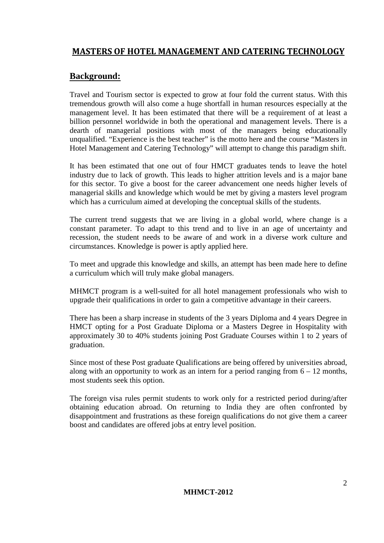#### **MASTERS OF HOTEL MANAGEMENT AND CATERING TECHNOLOGY**

#### **Background:**

Travel and Tourism sector is expected to grow at four fold the current status. With this tremendous growth will also come a huge shortfall in human resources especially at the management level. It has been estimated that there will be a requirement of at least a billion personnel worldwide in both the operational and management levels. There is a dearth of managerial positions with most of the managers being educationally unqualified. "Experience is the best teacher" is the motto here and the course "Masters in Hotel Management and Catering Technology" will attempt to change this paradigm shift.

It has been estimated that one out of four HMCT graduates tends to leave the hotel industry due to lack of growth. This leads to higher attrition levels and is a major bane for this sector. To give a boost for the career advancement one needs higher levels of managerial skills and knowledge which would be met by giving a masters level program which has a curriculum aimed at developing the conceptual skills of the students.

The current trend suggests that we are living in a global world, where change is a constant parameter. To adapt to this trend and to live in an age of uncertainty and recession, the student needs to be aware of and work in a diverse work culture and circumstances. Knowledge is power is aptly applied here.

To meet and upgrade this knowledge and skills, an attempt has been made here to define a curriculum which will truly make global managers.

MHMCT program is a well-suited for all hotel management professionals who wish to upgrade their qualifications in order to gain a competitive advantage in their careers.

There has been a sharp increase in students of the 3 years Diploma and 4 years Degree in HMCT opting for a Post Graduate Diploma or a Masters Degree in Hospitality with approximately 30 to 40% students joining Post Graduate Courses within 1 to 2 years of graduation.

Since most of these Post graduate Qualifications are being offered by universities abroad, along with an opportunity to work as an intern for a period ranging from  $6 - 12$  months, most students seek this option.

The foreign visa rules permit students to work only for a restricted period during/after obtaining education abroad. On returning to India they are often confronted by disappointment and frustrations as these foreign qualifications do not give them a career boost and candidates are offered jobs at entry level position.

#### **MHMCT-2012**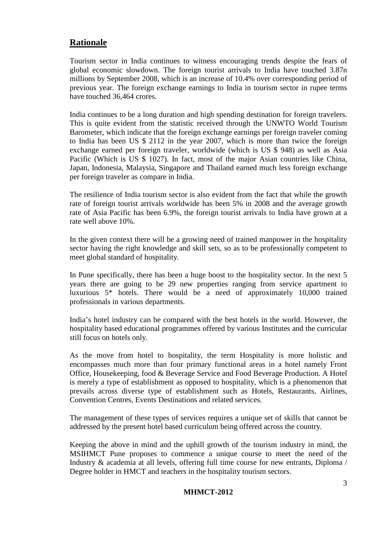#### **Rationale**

Tourism sector in India continues to witness encouraging trends despite the fears of global economic slowdown. The foreign tourist arrivals to India have touched 3.87n millions by September 2008, which is an increase of 10.4% over corresponding period of previous year. The foreign exchange earnings to India in tourism sector in rupee terms have touched 36,464 crores.

India continues to be a long duration and high spending destination for foreign travelers. This is quite evident from the statistic received through the UNWTO World Tourism Barometer, which indicate that the foreign exchange earnings per foreign traveler coming to India has been US \$ 2112 in the year 2007, which is more than twice the foreign exchange earned per foreign traveler, worldwide (which is US \$ 948) as well as Asia Pacific (Which is US \$ 1027). In fact, most of the major Asian countries like China, Japan, Indonesia, Malaysia, Singapore and Thailand earned much less foreign exchange per foreign traveler as compare in India.

The resilience of India tourism sector is also evident from the fact that while the growth rate of foreign tourist arrivals worldwide has been 5% in 2008 and the average growth rate of Asia Pacific has been 6.9%, the foreign tourist arrivals to India have grown at a rate well above 10%.

In the given context there will be a growing need of trained manpower in the hospitality sector having the right knowledge and skill sets, so as to be professionally competent to meet global standard of hospitality.

In Pune specifically, there has been a huge boost to the hospitality sector. In the next 5 years there are going to be 29 new properties ranging from service apartment to luxurious 5\* hotels. There would be a need of approximately 10,000 trained professionals in various departments.

India's hotel industry can be compared with the best hotels in the world. However, the hospitality based educational programmes offered by various Institutes and the curricular still focus on hotels only.

As the move from hotel to hospitality, the term Hospitality is more holistic and encompasses much more than four primary functional areas in a hotel namely Front Office, Housekeeping, food & Beverage Service and Food Beverage Production. A Hotel is merely a type of establishment as opposed to hospitality, which is a phenomenon that prevails across diverse type of establishment such as Hotels, Restaurants, Airlines, Convention Centres, Events Destinations and related services.

The management of these types of services requires a unique set of skills that cannot be addressed by the present hotel based curriculum being offered across the country.

Keeping the above in mind and the uphill growth of the tourism industry in mind, the MSIHMCT Pune proposes to commence a unique course to meet the need of the Industry & academia at all levels, offering full time course for new entrants, Diploma / Degree holder in HMCT and teachers in the hospitality tourism sectors.

#### **MHMCT-2012**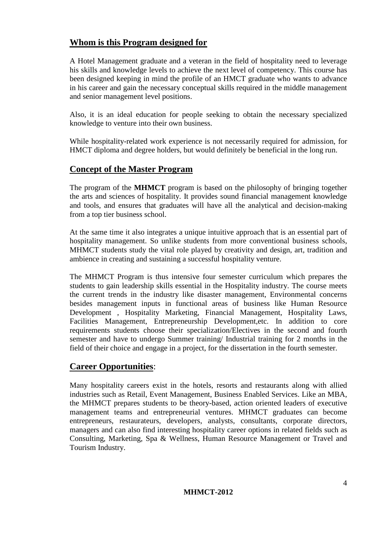#### **Whom is this Program designed for**

A Hotel Management graduate and a veteran in the field of hospitality need to leverage his skills and knowledge levels to achieve the next level of competency. This course has been designed keeping in mind the profile of an HMCT graduate who wants to advance in his career and gain the necessary conceptual skills required in the middle management and senior management level positions.

Also, it is an ideal education for people seeking to obtain the necessary specialized knowledge to venture into their own business.

While hospitality-related work experience is not necessarily required for admission, for HMCT diploma and degree holders, but would definitely be beneficial in the long run.

#### **Concept of the Master Program**

The program of the **MHMCT** program is based on the philosophy of bringing together the arts and sciences of hospitality. It provides sound financial management knowledge and tools, and ensures that graduates will have all the analytical and decision-making from a top tier business school.

At the same time it also integrates a unique intuitive approach that is an essential part of hospitality management. So unlike students from more conventional business schools, MHMCT students study the vital role played by creativity and design, art, tradition and ambience in creating and sustaining a successful hospitality venture.

The MHMCT Program is thus intensive four semester curriculum which prepares the students to gain leadership skills essential in the Hospitality industry. The course meets the current trends in the industry like disaster management, Environmental concerns besides management inputs in functional areas of business like Human Resource Development , Hospitality Marketing, Financial Management, Hospitality Laws, Facilities Management, Entrepreneurship Development,etc. In addition to core requirements students choose their specialization/Electives in the second and fourth semester and have to undergo Summer training/ Industrial training for 2 months in the field of their choice and engage in a project, for the dissertation in the fourth semester.

#### **Career Opportunities**:

Many hospitality careers exist in the hotels, resorts and restaurants along with allied industries such as Retail, Event Management, Business Enabled Services. Like an MBA, the MHMCT prepares students to be theory-based, action oriented leaders of executive management teams and entrepreneurial ventures. MHMCT graduates can become entrepreneurs, restaurateurs, developers, analysts, consultants, corporate directors, managers and can also find interesting hospitality career options in related fields such as Consulting, Marketing, Spa & Wellness, Human Resource Management or Travel and Tourism Industry.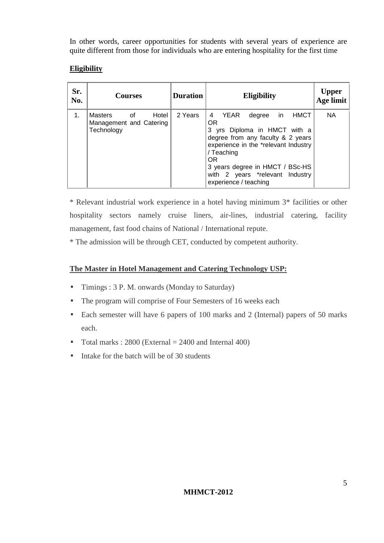In other words, career opportunities for students with several years of experience are quite different from those for individuals who are entering hospitality for the first time

#### **Eligibility**

| Sr.<br>No. | <b>Courses</b>                                                    | <b>Duration</b> | <b>Eligibility</b>                                                                                                                                                                                                                                                                            | <b>Upper</b><br>Age limit |
|------------|-------------------------------------------------------------------|-----------------|-----------------------------------------------------------------------------------------------------------------------------------------------------------------------------------------------------------------------------------------------------------------------------------------------|---------------------------|
| 1.         | Masters<br>Hotel  <br>of<br>Management and Catering<br>Technology | 2 Years         | in.<br><b>HMCT</b><br>YEAR<br>4<br>degree<br><b>OR</b><br>3 yrs Diploma in HMCT with a<br>degree from any faculty & 2 years<br>experience in the *relevant Industry<br>/ Teaching<br><b>OR</b><br>3 years degree in HMCT / BSc-HS<br>with 2 years *relevant Industry<br>experience / teaching | <b>NA</b>                 |

\* Relevant industrial work experience in a hotel having minimum 3\* facilities or other hospitality sectors namely cruise liners, air-lines, industrial catering, facility management, fast food chains of National / International repute.

\* The admission will be through CET, conducted by competent authority.

#### **The Master in Hotel Management and Catering Technology USP:**

- Timings : 3 P. M. onwards (Monday to Saturday)
- The program will comprise of Four Semesters of 16 weeks each
- Each semester will have 6 papers of 100 marks and 2 (Internal) papers of 50 marks each.
- Total marks :  $2800$  (External  $= 2400$  and Internal  $400$ )
- Intake for the batch will be of 30 students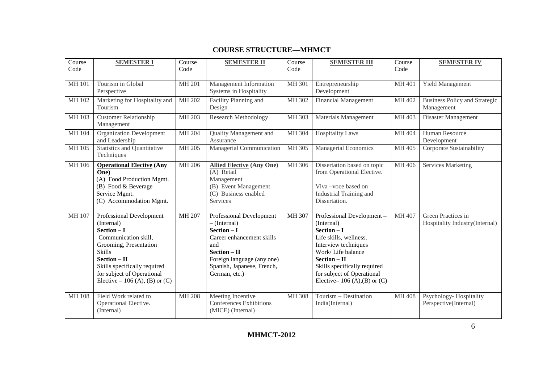#### **COURSE STRUCTURE—MHMCT**

| Course<br>Code | <b>SEMESTER I</b>                                                                                                                                                                                                                       | Course<br>Code | <b>SEMESTER II</b>                                                                                                                                                                            | Course<br>Code | <b>SEMESTER III</b>                                                                                                                                                                                                                               | Course<br>Code | <b>SEMESTER IV</b>                                   |
|----------------|-----------------------------------------------------------------------------------------------------------------------------------------------------------------------------------------------------------------------------------------|----------------|-----------------------------------------------------------------------------------------------------------------------------------------------------------------------------------------------|----------------|---------------------------------------------------------------------------------------------------------------------------------------------------------------------------------------------------------------------------------------------------|----------------|------------------------------------------------------|
| <b>MH101</b>   | Tourism in Global<br>Perspective                                                                                                                                                                                                        | <b>MH 201</b>  | Management Information<br>Systems in Hospitality                                                                                                                                              | MH 301         | Entrepreneurship<br>Development                                                                                                                                                                                                                   | MH 401         | Yield Management                                     |
| MH 102         | Marketing for Hospitality and<br>Tourism                                                                                                                                                                                                | MH 202         | Facility Planning and<br>Design                                                                                                                                                               | MH 302         | <b>Financial Management</b>                                                                                                                                                                                                                       | MH 402         | <b>Business Policy and Strategic</b><br>Management   |
| MH 103         | Customer Relationship<br>Management                                                                                                                                                                                                     | MH 203         | <b>Research Methodology</b>                                                                                                                                                                   | MH 303         | Materials Management                                                                                                                                                                                                                              | MH 403         | Disaster Management                                  |
| MH 104         | <b>Organization Development</b><br>and Leadership                                                                                                                                                                                       | MH 204         | Quality Management and<br>Assurance                                                                                                                                                           | MH 304         | <b>Hospitality Laws</b>                                                                                                                                                                                                                           | MH 404         | Human Resource<br>Development                        |
| MH 105         | <b>Statistics and Quantitative</b><br>Techniques                                                                                                                                                                                        | MH 205         | Managerial Communication                                                                                                                                                                      | MH 305         | <b>Managerial Economics</b>                                                                                                                                                                                                                       | MH 405         | Corporate Sustainability                             |
| MH 106         | <b>Operational Elective (Any</b><br>One)<br>(A) Food Production Mgmt.<br>(B) Food & Beverage<br>Service Mgmt.<br>(C) Accommodation Mgmt.                                                                                                | <b>MH 206</b>  | <b>Allied Elective (Any One)</b><br>(A) Retail<br>Management<br>(B) Event Management<br>(C) Business enabled<br>Services                                                                      | MH 306         | Dissertation based on topic<br>from Operational Elective.<br>Viva-voce based on<br>Industrial Training and<br>Dissertation.                                                                                                                       | MH 406         | <b>Services Marketing</b>                            |
| MH 107         | Professional Development<br>(Internal)<br>$Section - I$<br>Communication skill,<br>Grooming, Presentation<br>Skills<br>$Section - II$<br>Skills specifically required<br>for subject of Operational<br>Elective – 106 (A), (B) or $(C)$ | MH 207         | Professional Development<br>$-$ (Internal)<br>Section $-I$<br>Career enhancement skills<br>and<br>$Section - II$<br>Foreign language (any one)<br>Spanish, Japanese, French,<br>German, etc.) | MH 307         | Professional Development-<br>(Internal)<br>$Section - I$<br>Life skills, wellness.<br>Interview techniques<br>Work/Life balance<br>Section - II<br>Skills specifically required<br>for subject of Operational<br>Elective-106 $(A), (B)$ or $(C)$ | MH 407         | Green Practices in<br>Hospitality Industry(Internal) |
| <b>MH108</b>   | Field Work related to<br>Operational Elective.<br>(Internal)                                                                                                                                                                            | <b>MH 208</b>  | Meeting Incentive<br>Conferences Exhibitions<br>(MICE) (Internal)                                                                                                                             | MH 308         | Tourism - Destination<br>India(Internal)                                                                                                                                                                                                          | MH 408         | Psychology- Hospitality<br>Perspective(Internal)     |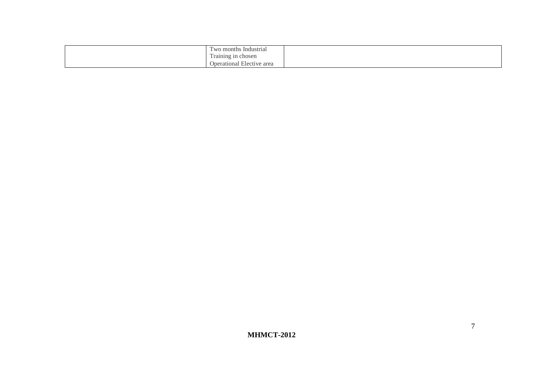| $\overline{\phantom{0}}$<br>; Industrial<br>wo months |  |
|-------------------------------------------------------|--|
| $\sim$<br>Training in chosen                          |  |
| $\sim$<br><b>Operational</b><br>Elective area         |  |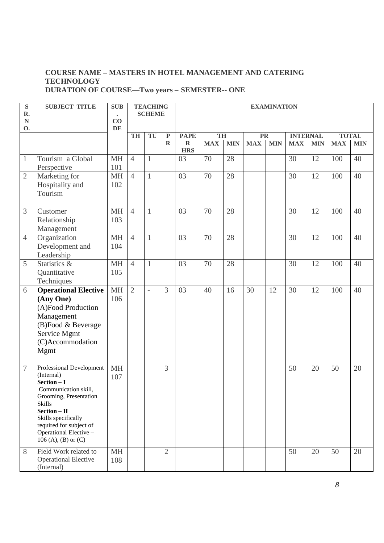#### **COURSE NAME – MASTERS IN HOTEL MANAGEMENT AND CATERING TECHNOLOGY DURATION OF COURSE—Two years – SEMESTER-- ONE**

| ${\bf S}$<br>R.<br>${\bf N}$ | <b>SUBJECT TITLE</b>                            | <b>SUB</b><br>CO |                | <b>TEACHING</b><br><b>SCHEME</b> |                | <b>EXAMINATION</b>        |            |            |            |            |                 |            |            |              |
|------------------------------|-------------------------------------------------|------------------|----------------|----------------------------------|----------------|---------------------------|------------|------------|------------|------------|-----------------|------------|------------|--------------|
| 0.                           |                                                 | DE               |                |                                  |                |                           |            |            |            |            |                 |            |            |              |
|                              |                                                 |                  | <b>TH</b>      | TU                               | $\mathbf P$    | <b>PAPE</b>               | TH         |            | <b>PR</b>  |            | <b>INTERNAL</b> |            |            | <b>TOTAL</b> |
|                              |                                                 |                  |                |                                  | $\mathbf R$    | $\mathbf R$<br><b>HRS</b> | <b>MAX</b> | <b>MIN</b> | <b>MAX</b> | <b>MIN</b> | <b>MAX</b>      | <b>MIN</b> | <b>MAX</b> | <b>MIN</b>   |
| $\mathbf{1}$                 | Tourism a Global                                | <b>MH</b>        | $\overline{4}$ | $\mathbf{1}$                     |                | 03                        | 70         | 28         |            |            | 30              | 12         | 100        | 40           |
|                              | Perspective                                     | 101              |                |                                  |                |                           |            |            |            |            |                 |            |            |              |
| $\mathbf{2}$                 | Marketing for                                   | <b>MH</b>        | $\overline{4}$ | $\mathbf{1}$                     |                | 03                        | 70         | 28         |            |            | 30              | 12         | 100        | 40           |
|                              | Hospitality and<br>Tourism                      | 102              |                |                                  |                |                           |            |            |            |            |                 |            |            |              |
|                              |                                                 |                  |                |                                  |                |                           |            |            |            |            |                 |            |            |              |
| 3                            | Customer                                        | <b>MH</b>        | $\overline{4}$ | $\mathbf{1}$                     |                | 03                        | 70         | 28         |            |            | 30              | 12         | 100        | 40           |
|                              | Relationship                                    | 103              |                |                                  |                |                           |            |            |            |            |                 |            |            |              |
|                              | Management                                      |                  |                |                                  |                |                           |            |            |            |            |                 |            |            |              |
| $\overline{4}$               | Organization                                    | <b>MH</b>        | $\overline{4}$ | $\mathbf{1}$                     |                | 03                        | 70         | 28         |            |            | 30              | 12         | 100        | 40           |
|                              | Development and                                 | 104              |                |                                  |                |                           |            |            |            |            |                 |            |            |              |
|                              | Leadership                                      |                  |                |                                  |                |                           |            |            |            |            |                 |            |            |              |
| 5                            | Statistics &                                    | <b>MH</b><br>105 | $\overline{4}$ | $\mathbf{1}$                     |                | 03                        | 70         | 28         |            |            | 30              | 12         | 100        | 40           |
|                              | Quantitative<br>Techniques                      |                  |                |                                  |                |                           |            |            |            |            |                 |            |            |              |
| 6                            | <b>Operational Elective</b>                     | <b>MH</b>        | $\overline{2}$ | $\bar{\phantom{a}}$              | 3              | 03                        | 40         | 16         | 30         | 12         | 30              | 12         | 100        | 40           |
|                              | (Any One)                                       | 106              |                |                                  |                |                           |            |            |            |            |                 |            |            |              |
|                              | (A)Food Production                              |                  |                |                                  |                |                           |            |            |            |            |                 |            |            |              |
|                              | Management                                      |                  |                |                                  |                |                           |            |            |            |            |                 |            |            |              |
|                              | (B)Food & Beverage                              |                  |                |                                  |                |                           |            |            |            |            |                 |            |            |              |
|                              | Service Mgmt                                    |                  |                |                                  |                |                           |            |            |            |            |                 |            |            |              |
|                              | (C)Accommodation                                |                  |                |                                  |                |                           |            |            |            |            |                 |            |            |              |
|                              | Mgmt                                            |                  |                |                                  |                |                           |            |            |            |            |                 |            |            |              |
|                              |                                                 |                  |                |                                  |                |                           |            |            |            |            |                 |            |            |              |
| $\boldsymbol{7}$             | Professional Development<br>(Internal)          | <b>MH</b><br>107 |                |                                  | 3              |                           |            |            |            |            | 50              | 20         | 50         | 20           |
|                              | Section - I                                     |                  |                |                                  |                |                           |            |            |            |            |                 |            |            |              |
|                              | Communication skill.                            |                  |                |                                  |                |                           |            |            |            |            |                 |            |            |              |
|                              | Grooming, Presentation<br><b>Skills</b>         |                  |                |                                  |                |                           |            |            |            |            |                 |            |            |              |
|                              | $Section - II$                                  |                  |                |                                  |                |                           |            |            |            |            |                 |            |            |              |
|                              | Skills specifically                             |                  |                |                                  |                |                           |            |            |            |            |                 |            |            |              |
|                              | required for subject of                         |                  |                |                                  |                |                           |            |            |            |            |                 |            |            |              |
|                              | Operational Elective -<br>106 (A), (B) or $(C)$ |                  |                |                                  |                |                           |            |            |            |            |                 |            |            |              |
| 8                            | Field Work related to                           | <b>MH</b>        |                |                                  | $\overline{2}$ |                           |            |            |            |            | 50              | 20         | 50         | 20           |
|                              | <b>Operational Elective</b>                     | 108              |                |                                  |                |                           |            |            |            |            |                 |            |            |              |
|                              | (Internal)                                      |                  |                |                                  |                |                           |            |            |            |            |                 |            |            |              |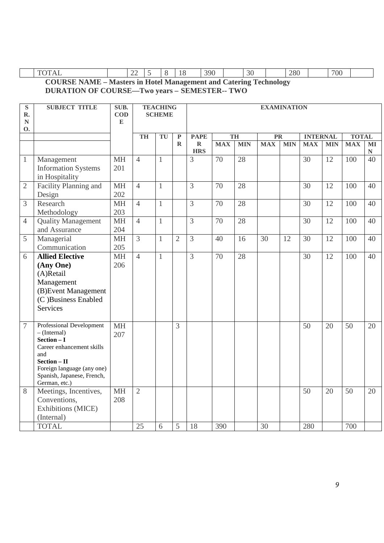|  | —   | . . | $\sim$ |            |              |           |     |  |
|--|-----|-----|--------|------------|--------------|-----------|-----|--|
|  | . . |     |        | 390<br>. . | $\sim$<br>υU | റഗ<br>∠o∪ | 700 |  |

**COURSE NAME – Masters in Hotel Management and Catering Technology DURATION OF COURSE—Two years – SEMESTER-- TWO** 

| ${\bf S}$<br>R.<br>${\bf N}$<br>0. | <b>SUBJECT TITLE</b>                                                                                                                                                                           | SUB.<br><b>COD</b><br>${\bf E}$ |                 | <b>TEACHING</b><br><b>SCHEME</b> |                | <b>EXAMINATION</b>        |                 |            |                        |            |                 |                 |                 |                           |
|------------------------------------|------------------------------------------------------------------------------------------------------------------------------------------------------------------------------------------------|---------------------------------|-----------------|----------------------------------|----------------|---------------------------|-----------------|------------|------------------------|------------|-----------------|-----------------|-----------------|---------------------------|
|                                    |                                                                                                                                                                                                |                                 | TH              | TU                               | $\overline{P}$ | <b>PAPE</b>               |                 | TH         | $\overline{\text{PR}}$ |            | <b>INTERNAL</b> |                 | <b>TOTAL</b>    |                           |
|                                    |                                                                                                                                                                                                |                                 |                 |                                  | $\mathbf R$    | $\mathbf R$<br><b>HRS</b> | <b>MAX</b>      | <b>MIN</b> | <b>MAX</b>             | <b>MIN</b> | <b>MAX</b>      | <b>MIN</b>      | <b>MAX</b>      | $\mathbf{M}$<br>${\bf N}$ |
| $\mathbf{1}$                       | Management<br><b>Information Systems</b><br>in Hospitality                                                                                                                                     | <b>MH</b><br>201                | $\overline{4}$  | $\mathbf{1}$                     |                | $\overline{3}$            | $\overline{70}$ | 28         |                        |            | 30              | 12              | 100             | 40                        |
| $\overline{2}$                     | Facility Planning and<br>Design                                                                                                                                                                | <b>MH</b><br>202                | $\overline{4}$  | $\mathbf{1}$                     |                | $\overline{3}$            | $\overline{70}$ | 28         |                        |            | 30              | $\overline{12}$ | 100             | 40                        |
| 3                                  | Research<br>Methodology                                                                                                                                                                        | <b>MH</b><br>203                | $\overline{4}$  | $\mathbf{1}$                     |                | $\overline{3}$            | 70              | 28         |                        |            | 30              | 12              | 100             | 40                        |
| $\overline{4}$                     | <b>Quality Management</b><br>and Assurance                                                                                                                                                     | <b>MH</b><br>204                | $\overline{4}$  | $\mathbf{1}$                     |                | $\overline{3}$            | $\overline{70}$ | 28         |                        |            | 30              | 12              | 100             | 40                        |
| 5                                  | Managerial<br>Communication                                                                                                                                                                    | <b>MH</b><br>205                | $\overline{3}$  | $\mathbf{1}$                     | $\overline{2}$ | $\overline{3}$            | 40              | 16         | 30                     | 12         | 30              | 12              | 100             | 40                        |
| 6                                  | <b>Allied Elective</b><br>(Any One)<br>(A)Retail<br>Management<br>(B) Event Management<br>(C)Business Enabled<br><b>Services</b>                                                               | <b>MH</b><br>206                | $\overline{4}$  | $\mathbf{1}$                     |                | $\overline{3}$            | $\overline{70}$ | 28         |                        |            | $\overline{30}$ | 12              | 100             | 40                        |
| $\overline{7}$                     | Professional Development<br>$-$ (Internal)<br>$Section - I$<br>Career enhancement skills<br>and<br>$Section - II$<br>Foreign language (any one)<br>Spanish, Japanese, French,<br>German, etc.) | <b>MH</b><br>207                |                 |                                  | 3              |                           |                 |            |                        |            | $\overline{50}$ | 20              | $\overline{50}$ | 20                        |
| 8                                  | Meetings, Incentives,<br>Conventions,<br><b>Exhibitions (MICE)</b><br>(Internal)                                                                                                               | <b>MH</b><br>208                | $\overline{2}$  |                                  |                |                           |                 |            |                        |            | 50              | 20              | 50              | 20                        |
|                                    | <b>TOTAL</b>                                                                                                                                                                                   |                                 | $\overline{25}$ | 6                                | 5              | $\overline{18}$           | 390             |            | 30                     |            | 280             |                 | 700             |                           |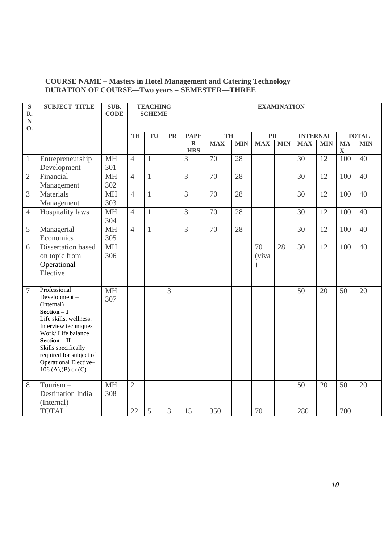#### **COURSE NAME – Masters in Hotel Management and Catering Technology DURATION OF COURSE—Two years – SEMESTER—THREE**

| ${\bf S}$<br>R.        | <b>SUBJECT TITLE</b>                                                                                                                                                                                                                                     | SUB.<br><b>CODE</b> |                | <b>TEACHING</b><br><b>SCHEME</b> |           | <b>EXAMINATION</b>        |                                                    |            |             |            |            |            |                          |            |
|------------------------|----------------------------------------------------------------------------------------------------------------------------------------------------------------------------------------------------------------------------------------------------------|---------------------|----------------|----------------------------------|-----------|---------------------------|----------------------------------------------------|------------|-------------|------------|------------|------------|--------------------------|------------|
| ${\bf N}$<br><b>O.</b> |                                                                                                                                                                                                                                                          |                     |                |                                  |           |                           |                                                    |            |             |            |            |            |                          |            |
|                        |                                                                                                                                                                                                                                                          |                     | <b>TH</b>      | TU                               | <b>PR</b> | <b>PAPE</b>               | <b>TOTAL</b><br>TH<br><b>INTERNAL</b><br><b>PR</b> |            |             |            |            |            |                          |            |
|                        |                                                                                                                                                                                                                                                          |                     |                |                                  |           | $\mathbf R$<br><b>HRS</b> | <b>MAX</b>                                         | <b>MIN</b> | <b>MAX</b>  | <b>MIN</b> | <b>MAX</b> | <b>MIN</b> | <b>MA</b><br>$\mathbf X$ | <b>MIN</b> |
| $\mathbf{1}$           | Entrepreneurship<br>Development                                                                                                                                                                                                                          | <b>MH</b><br>301    | $\overline{4}$ | $\mathbf{1}$                     |           | 3                         | 70                                                 | 28         |             |            | 30         | 12         | 100                      | 40         |
| $\overline{2}$         | Financial<br>Management                                                                                                                                                                                                                                  | <b>MH</b><br>302    | $\overline{4}$ | $\mathbf{1}$                     |           | 3                         | 70                                                 | 28         |             |            | 30         | 12         | 100                      | 40         |
| 3                      | Materials<br>Management                                                                                                                                                                                                                                  | <b>MH</b><br>303    | $\overline{4}$ | $\mathbf{1}$                     |           | $\overline{3}$            | 70                                                 | 28         |             |            | 30         | 12         | 100                      | 40         |
| $\overline{4}$         | <b>Hospitality</b> laws                                                                                                                                                                                                                                  | <b>MH</b><br>304    | $\overline{4}$ | $\mathbf{1}$                     |           | 3                         | 70                                                 | 28         |             |            | 30         | 12         | 100                      | 40         |
| 5                      | Managerial<br>Economics                                                                                                                                                                                                                                  | <b>MH</b><br>305    | $\overline{4}$ | $\mathbf{1}$                     |           | $\overline{3}$            | 70                                                 | 28         |             |            | 30         | 12         | 100                      | 40         |
| 6                      | Dissertation based<br>on topic from<br>Operational<br>Elective                                                                                                                                                                                           | <b>MH</b><br>306    |                |                                  |           |                           |                                                    |            | 70<br>(viva | 28         | 30         | 12         | 100                      | 40         |
| $\overline{7}$         | Professional<br>Development-<br>(Internal)<br>$Section - I$<br>Life skills, wellness.<br>Interview techniques<br>Work/Life balance<br>$Section - II$<br>Skills specifically<br>required for subject of<br>Operational Elective-<br>106 (A), (B) or $(C)$ | <b>MH</b><br>307    |                |                                  | 3         |                           |                                                    |            |             |            | 50         | 20         | 50                       | 20         |
| 8                      | Tourism-<br><b>Destination India</b><br>(Internal)                                                                                                                                                                                                       | <b>MH</b><br>308    | $\overline{2}$ |                                  |           |                           |                                                    |            |             |            | 50         | 20         | 50                       | 20         |
|                        | <b>TOTAL</b>                                                                                                                                                                                                                                             |                     | 22             | 5                                | 3         | 15                        | 350                                                |            | 70          |            | 280        |            | 700                      |            |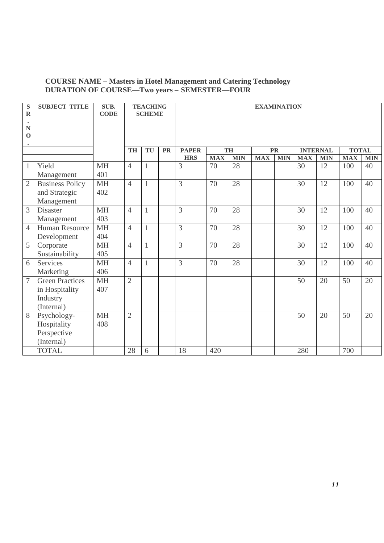#### **COURSE NAME – Masters in Hotel Management and Catering Technology DURATION OF COURSE—Two years – SEMESTER—FOUR**

| ${\bf S}$<br>$\mathbf R$                           | <b>SUBJECT TITLE</b>   | SUB.<br><b>CODE</b> |                | <b>TEACHING</b><br><b>SCHEME</b> |           |                | <b>EXAMINATION</b> |            |            |            |            |                 |              |            |
|----------------------------------------------------|------------------------|---------------------|----------------|----------------------------------|-----------|----------------|--------------------|------------|------------|------------|------------|-----------------|--------------|------------|
| $\bullet$<br>${\bf N}$<br>$\mathbf 0$<br>$\bullet$ |                        |                     |                |                                  |           |                |                    |            |            |            |            |                 |              |            |
|                                                    |                        |                     | <b>TH</b>      | TU                               | <b>PR</b> | <b>PAPER</b>   |                    | TH         |            | <b>PR</b>  |            | <b>INTERNAL</b> | <b>TOTAL</b> |            |
|                                                    |                        |                     |                |                                  |           | <b>HRS</b>     | <b>MAX</b>         | <b>MIN</b> | <b>MAX</b> | <b>MIN</b> | <b>MAX</b> | <b>MIN</b>      | <b>MAX</b>   | <b>MIN</b> |
| $\mathbf{1}$                                       | Yield                  | <b>MH</b>           | $\overline{4}$ | $\mathbf{1}$                     |           | 3              | 70                 | 28         |            |            | 30         | 12              | 100          | 40         |
|                                                    | Management             | 401                 |                |                                  |           |                |                    |            |            |            |            |                 |              |            |
| $\overline{2}$                                     | <b>Business Policy</b> | <b>MH</b>           | $\overline{4}$ | $\mathbf{1}$                     |           | 3              | 70                 | 28         |            |            | 30         | 12              | 100          | 40         |
|                                                    | and Strategic          | 402                 |                |                                  |           |                |                    |            |            |            |            |                 |              |            |
|                                                    | Management             |                     |                |                                  |           |                |                    |            |            |            |            |                 |              |            |
| 3                                                  | <b>Disaster</b>        | <b>MH</b>           | $\overline{4}$ | $\mathbf{1}$                     |           | 3              | 70                 | 28         |            |            | 30         | 12              | 100          | 40         |
|                                                    | Management             | 403                 |                |                                  |           |                |                    |            |            |            |            |                 |              |            |
| $\overline{4}$                                     | <b>Human Resource</b>  | <b>MH</b>           | $\overline{4}$ | $\mathbf{1}$                     |           | 3              | 70                 | 28         |            |            | 30         | 12              | 100          | 40         |
|                                                    | Development            | 404                 |                |                                  |           |                |                    |            |            |            |            |                 |              |            |
| 5                                                  | Corporate              | <b>MH</b>           | $\overline{4}$ | $\mathbf{1}$                     |           | 3              | 70                 | 28         |            |            | 30         | 12              | 100          | 40         |
|                                                    | Sustainability         | 405                 |                |                                  |           |                |                    |            |            |            |            |                 |              |            |
| 6                                                  | <b>Services</b>        | <b>MH</b>           | $\overline{4}$ | $\mathbf{1}$                     |           | $\overline{3}$ | 70                 | 28         |            |            | 30         | 12              | 100          | 40         |
|                                                    | Marketing              | 406                 |                |                                  |           |                |                    |            |            |            |            |                 |              |            |
| $\overline{7}$                                     | <b>Green Practices</b> | <b>MH</b>           | $\overline{2}$ |                                  |           |                |                    |            |            |            | 50         | 20              | 50           | 20         |
|                                                    | in Hospitality         | 407                 |                |                                  |           |                |                    |            |            |            |            |                 |              |            |
|                                                    | Industry               |                     |                |                                  |           |                |                    |            |            |            |            |                 |              |            |
|                                                    | (Internal)             |                     |                |                                  |           |                |                    |            |            |            |            |                 |              |            |
| 8                                                  | Psychology-            | <b>MH</b>           | $\overline{2}$ |                                  |           |                |                    |            |            |            | 50         | 20              | 50           | 20         |
|                                                    | Hospitality            | 408                 |                |                                  |           |                |                    |            |            |            |            |                 |              |            |
|                                                    | Perspective            |                     |                |                                  |           |                |                    |            |            |            |            |                 |              |            |
|                                                    | (Internal)             |                     |                |                                  |           |                |                    |            |            |            |            |                 |              |            |
|                                                    | <b>TOTAL</b>           |                     | 28             | 6                                |           | 18             | 420                |            |            |            | 280        |                 | 700          |            |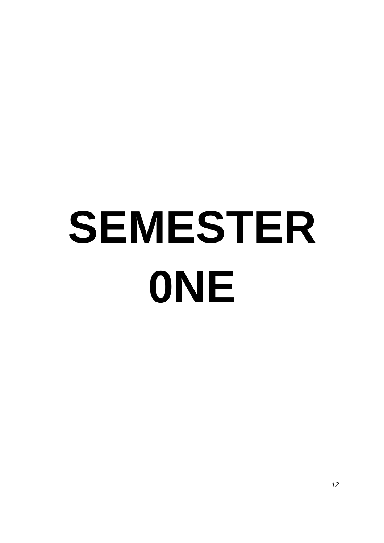## **SEMESTER 0NE**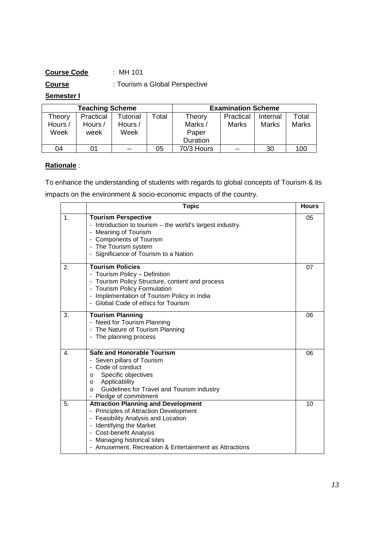#### **Course Code** : MH 101

**Course** : Tourism a Global Perspective

#### **Semester I**

|         | <b>Teaching Scheme</b> |          |      | <b>Examination Scheme</b> |           |          |              |  |  |  |
|---------|------------------------|----------|------|---------------------------|-----------|----------|--------------|--|--|--|
| Theory  | Practical              | Tutorial | ctal | Theory                    | Practical | Internal | Total        |  |  |  |
| Hours / | Hours /                | Hours /  |      | Marks /                   | Marks     | Marks    | <b>Marks</b> |  |  |  |
| Week    | week                   | Week     |      | Paper                     |           |          |              |  |  |  |
|         |                        |          |      | Duration                  |           |          |              |  |  |  |
| 04      | 01                     | $- -$    | 05   | 70/3 Hours                | $- -$     | 30       | 100          |  |  |  |

#### **Rationale** :

To enhance the understanding of students with regards to global concepts of Tourism & its impacts on the environment & socio-economic impacts of the country.

|                | <b>Topic</b>                                                                                                                                                                                                                                                                | <b>Hours</b> |
|----------------|-----------------------------------------------------------------------------------------------------------------------------------------------------------------------------------------------------------------------------------------------------------------------------|--------------|
| $\mathbf{1}$ . | <b>Tourism Perspective</b><br>- Introduction to tourism - the world's largest industry.<br>- Meaning of Tourism<br>- Components of Tourism<br>- The Tourism system<br>- Significance of Tourism to a Nation                                                                 | 05           |
| 2.             | <b>Tourism Policies</b><br>- Tourism Policy - Definition<br>- Tourism Policy Structure, content and process<br>- Tourism Policy Formulation<br>- Implementation of Tourism Policy in India<br>- Global Code of ethics for Tourism                                           | 07           |
| 3.             | <b>Tourism Planning</b><br>- Need for Tourism Planning<br>- The Nature of Tourism Planning<br>- The planning process                                                                                                                                                        | 06           |
| 4.             | <b>Safe and Honorable Tourism</b><br>- Seven pillars of Tourism<br>- Code of conduct<br>Specific objectives<br>O<br>Applicability<br>$\circ$<br>Guidelines for Travel and Tourism industry<br>$\Omega$<br>- Pledge of commitment                                            | 06           |
| 5.             | <b>Attraction Planning and Development</b><br>- Principles of Attraction Development<br>- Feasibility Analysis and Location<br>- Identifying the Market<br>- Cost-benefit Analysis<br>- Managing historical sites<br>- Amusement, Recreation & Entertainment as Attractions | 10           |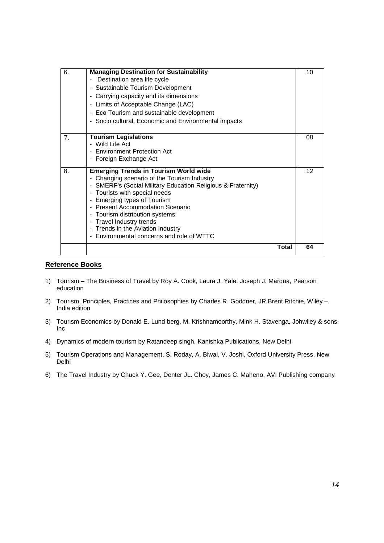| 6. | <b>Managing Destination for Sustainability</b><br>Destination area life cycle<br>- Sustainable Tourism Development<br>- Carrying capacity and its dimensions<br>- Limits of Acceptable Change (LAC)<br>- Eco Tourism and sustainable development<br>- Socio cultural, Economic and Environmental impacts                                                                                                      | 10 |
|----|---------------------------------------------------------------------------------------------------------------------------------------------------------------------------------------------------------------------------------------------------------------------------------------------------------------------------------------------------------------------------------------------------------------|----|
| 7. | <b>Tourism Legislations</b><br>- Wild Life Act<br>- Environment Protection Act<br>- Foreign Exchange Act                                                                                                                                                                                                                                                                                                      | 08 |
| 8. | <b>Emerging Trends in Tourism World wide</b><br>- Changing scenario of the Tourism Industry<br>- SMERF's (Social Military Education Religious & Fraternity)<br>- Tourists with special needs<br>- Emerging types of Tourism<br>- Present Accommodation Scenario<br>- Tourism distribution systems<br>- Travel Industry trends<br>- Trends in the Aviation Industry<br>Environmental concerns and role of WTTC | 12 |
|    | Total                                                                                                                                                                                                                                                                                                                                                                                                         | 64 |

#### **Reference Books**

- 1) Tourism The Business of Travel by Roy A. Cook, Laura J. Yale, Joseph J. Marqua, Pearson education
- 2) Tourism, Principles, Practices and Philosophies by Charles R. Goddner, JR Brent Ritchie, Wiley India edition
- 3) Tourism Economics by Donald E. Lund berg, M. Krishnamoorthy, Mink H. Stavenga, Johwiley & sons. Inc
- 4) Dynamics of modern tourism by Ratandeep singh, Kanishka Publications, New Delhi
- 5) Tourism Operations and Management, S. Roday, A. Biwal, V. Joshi, Oxford University Press, New Delhi
- 6) The Travel Industry by Chuck Y. Gee, Denter JL. Choy, James C. Maheno, AVI Publishing company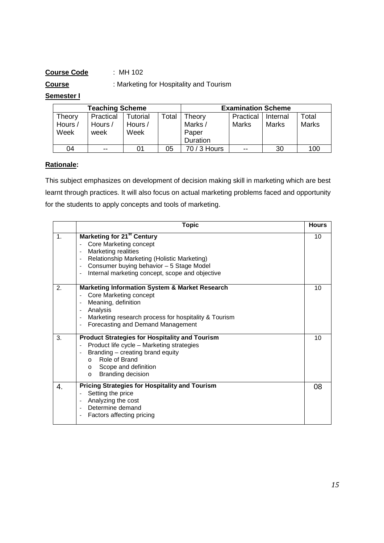#### **Course Code** : MH 102

**Course** : Marketing for Hospitality and Tourism

#### **Semester I**

|         | <b>Teaching Scheme</b> |          |       | <b>Examination Scheme</b> |           |          |              |  |  |  |
|---------|------------------------|----------|-------|---------------------------|-----------|----------|--------------|--|--|--|
| Theory  | Practical              | Tutorial | Total | Theory                    | Practical | Internal | Total        |  |  |  |
| Hours / | Hours /                | Hours /  |       | Marks /                   | Marks     | Marks    | <b>Marks</b> |  |  |  |
| Week    | week                   | Week     |       | Paper                     |           |          |              |  |  |  |
|         |                        |          |       | Duration                  |           |          |              |  |  |  |
| 04      | $- -$                  | 01       | 05    | 70 / 3 Hours              | $- -$     | 30       | 100          |  |  |  |

#### **Rationale:**

This subject emphasizes on development of decision making skill in marketing which are best learnt through practices. It will also focus on actual marketing problems faced and opportunity for the students to apply concepts and tools of marketing.

|               | <b>Topic</b>                                                                                                                                                                                                                                                                                                                                         | <b>Hours</b> |
|---------------|------------------------------------------------------------------------------------------------------------------------------------------------------------------------------------------------------------------------------------------------------------------------------------------------------------------------------------------------------|--------------|
| $\mathbf 1$ . | <b>Marketing for 21st Century</b><br>Core Marketing concept<br>Marketing realities<br>$\qquad \qquad \blacksquare$<br>Relationship Marketing (Holistic Marketing)<br>$\overline{\phantom{a}}$<br>Consumer buying behavior - 5 Stage Model<br>$\overline{\phantom{a}}$<br>Internal marketing concept, scope and objective<br>$\overline{\phantom{a}}$ | 10           |
| 2.            | <b>Marketing Information System &amp; Market Research</b><br>Core Marketing concept<br>Meaning, definition<br>$\qquad \qquad -$<br>Analysis<br>$\qquad \qquad -$<br>Marketing research process for hospitality & Tourism<br>$\overline{\phantom{a}}$<br>Forecasting and Demand Management<br>$\overline{\phantom{a}}$                                | 10           |
| 3.            | <b>Product Strategies for Hospitality and Tourism</b><br>Product life cycle - Marketing strategies<br>$\overline{\phantom{a}}$<br>Branding - creating brand equity<br>$\overline{\phantom{a}}$<br>Role of Brand<br>$\Omega$<br>Scope and definition<br>$\Omega$<br><b>Branding decision</b><br>$\circ$                                               | 10           |
| 4.            | <b>Pricing Strategies for Hospitality and Tourism</b><br>Setting the price<br>Analyzing the cost<br>Determine demand<br>$\overline{\phantom{a}}$<br>Factors affecting pricing                                                                                                                                                                        | 08           |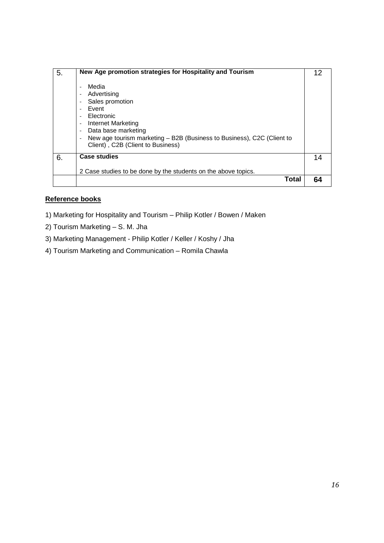| 5. | New Age promotion strategies for Hospitality and Tourism<br>Media<br>$\overline{\phantom{a}}$<br>Advertising<br>$\overline{\phantom{a}}$<br>Sales promotion<br>$\overline{\phantom{a}}$<br>Event<br>$\overline{\phantom{a}}$<br>Electronic<br>$\overline{\phantom{a}}$<br>Internet Marketing<br>$\overline{\phantom{a}}$<br>Data base marketing<br>$\overline{\phantom{a}}$<br>New age tourism marketing – B2B (Business to Business), C2C (Client to<br>$\overline{a}$<br>Client), C2B (Client to Business) | 12 |
|----|--------------------------------------------------------------------------------------------------------------------------------------------------------------------------------------------------------------------------------------------------------------------------------------------------------------------------------------------------------------------------------------------------------------------------------------------------------------------------------------------------------------|----|
| 6. | <b>Case studies</b><br>2 Case studies to be done by the students on the above topics.                                                                                                                                                                                                                                                                                                                                                                                                                        | 14 |
|    | Total                                                                                                                                                                                                                                                                                                                                                                                                                                                                                                        |    |

#### **Reference books**

- 1) Marketing for Hospitality and Tourism Philip Kotler / Bowen / Maken
- 2) Tourism Marketing S. M. Jha
- 3) Marketing Management Philip Kotler / Keller / Koshy / Jha
- 4) Tourism Marketing and Communication Romila Chawla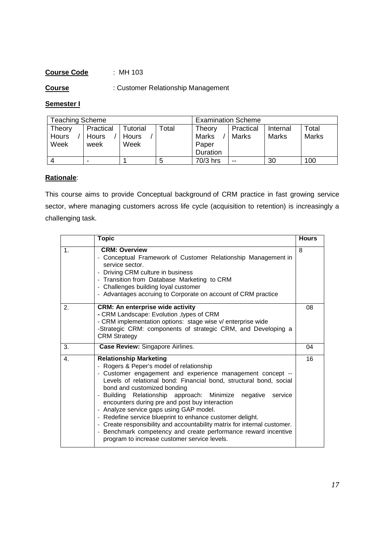#### **Course Code** : MH 103

**Course** : Customer Relationship Management

#### **Semester I**

| <b>Teaching Scheme</b> |                |          |       | <b>Examination Scheme</b> |           |          |              |
|------------------------|----------------|----------|-------|---------------------------|-----------|----------|--------------|
| Theory                 | Practical      | Tutorial | Total | Theory                    | Practical | Internal | Total        |
| Hours                  | <b>Hours</b>   | Hours    |       | <b>Marks</b>              | Marks     | Marks    | <b>Marks</b> |
| Week                   | week           | Week     |       | Paper                     |           |          |              |
|                        |                |          |       | <b>Duration</b>           |           |          |              |
| Δ                      | $\blacksquare$ |          | 5     | 70/3 hrs                  | $- -$     | 30       | 100          |

#### **Rationale**:

This course aims to provide Conceptual background of CRM practice in fast growing service sector, where managing customers across life cycle (acquisition to retention) is increasingly a challenging task.

|    | <b>Topic</b>                                                                                                                                                                                                                                                                                                                                                                                                                                                                                                                                                                                                                                                            | <b>Hours</b> |
|----|-------------------------------------------------------------------------------------------------------------------------------------------------------------------------------------------------------------------------------------------------------------------------------------------------------------------------------------------------------------------------------------------------------------------------------------------------------------------------------------------------------------------------------------------------------------------------------------------------------------------------------------------------------------------------|--------------|
| 1. | <b>CRM: Overview</b><br>- Conceptual Framework of Customer Relationship Management in<br>service sector.<br>- Driving CRM culture in business<br>- Transition from Database Marketing to CRM<br>- Challenges building loyal customer<br>- Advantages accruing to Corporate on account of CRM practice                                                                                                                                                                                                                                                                                                                                                                   | 8            |
| 2. | <b>CRM: An enterprise wide activity</b><br>- CRM Landscape: Evolution , types of CRM<br>- CRM implementation options: stage wise v/ enterprise wide<br>-Strategic CRM: components of strategic CRM, and Developing a<br><b>CRM Strategy</b>                                                                                                                                                                                                                                                                                                                                                                                                                             | 08           |
| 3. | Case Review: Singapore Airlines.                                                                                                                                                                                                                                                                                                                                                                                                                                                                                                                                                                                                                                        | 04           |
| 4. | <b>Relationship Marketing</b><br>- Rogers & Peper's model of relationship<br>- Customer engagement and experience management concept --<br>Levels of relational bond: Financial bond, structural bond, social<br>bond and customized bonding<br>Building Relationship approach: Minimize<br>negative<br>service<br>encounters during pre and post buy interaction<br>- Analyze service gaps using GAP model.<br>- Redefine service blueprint to enhance customer delight.<br>- Create responsibility and accountability matrix for internal customer.<br>- Benchmark competency and create performance reward incentive<br>program to increase customer service levels. | 16           |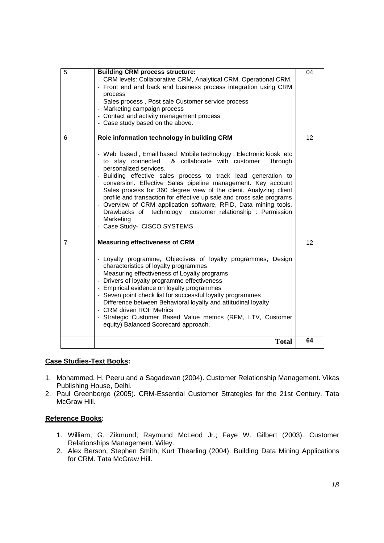| 5 | <b>Building CRM process structure:</b><br>- CRM levels: Collaborative CRM, Analytical CRM, Operational CRM.<br>- Front end and back end business process integration using CRM<br>process<br>- Sales process, Post sale Customer service process<br>- Marketing campaign process<br>- Contact and activity management process<br>- Case study based on the above.                                                                                                                                                                                                                                                                                                     | 04 |
|---|-----------------------------------------------------------------------------------------------------------------------------------------------------------------------------------------------------------------------------------------------------------------------------------------------------------------------------------------------------------------------------------------------------------------------------------------------------------------------------------------------------------------------------------------------------------------------------------------------------------------------------------------------------------------------|----|
| 6 | Role information technology in building CRM<br>- Web based, Email based Mobile technology, Electronic kiosk etc<br>& collaborate with customer<br>to stay connected<br>through<br>personalized services.<br>- Building effective sales process to track lead generation to<br>conversion. Effective Sales pipeline management. Key account<br>Sales process for 360 degree view of the client. Analyzing client<br>profile and transaction for effective up sale and cross sale programs<br>- Overview of CRM application software, RFID, Data mining tools.<br>Drawbacks of technology customer relationship: Permission<br>Marketing<br>- Case Study- CISCO SYSTEMS | 12 |
| 7 | <b>Measuring effectiveness of CRM</b><br>- Loyalty programme, Objectives of loyalty programmes, Design<br>characteristics of loyalty programmes<br>- Measuring effectiveness of Loyalty programs<br>- Drivers of loyalty programme effectiveness<br>- Empirical evidence on loyalty programmes<br>- Seven point check list for successful loyalty programmes<br>- Difference between Behavioral loyalty and attitudinal loyalty<br>- CRM driven ROI Metrics<br>- Strategic Customer Based Value metrics (RFM, LTV, Customer<br>equity) Balanced Scorecard approach.                                                                                                   | 12 |
|   | <b>Total</b>                                                                                                                                                                                                                                                                                                                                                                                                                                                                                                                                                                                                                                                          | 64 |

#### **Case Studies-Text Books:**

- 1. Mohammed, H. Peeru and a Sagadevan (2004). Customer Relationship Management. Vikas Publishing House, Delhi.
- 2. Paul Greenberge (2005). CRM-Essential Customer Strategies for the 21st Century. Tata McGraw Hill.

#### **Reference Books:**

- 1. William, G. Zikmund, Raymund McLeod Jr.; Faye W. Gilbert (2003). Customer Relationships Management. Wiley.
- 2. Alex Berson, Stephen Smith, Kurt Thearling (2004). Building Data Mining Applications for CRM. Tata McGraw Hill.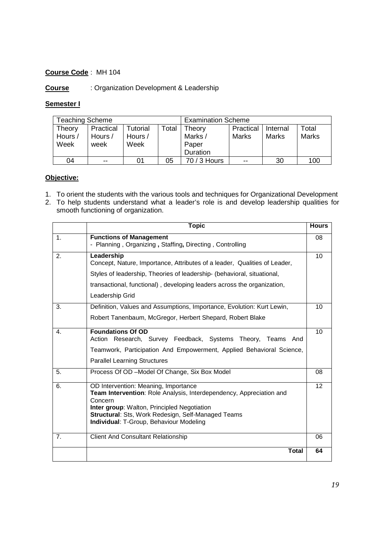#### **Course Code** : MH 104

#### **Course** : Organization Development & Leadership

#### **Semester I**

| Teaching Scheme   |                      |                     |       | <b>Examination Scheme</b> |                    |                   |                       |
|-------------------|----------------------|---------------------|-------|---------------------------|--------------------|-------------------|-----------------------|
| Theory<br>Hours / | Practical<br>Hours / | Tutorial<br>Hours / | Total | Theory<br>Marks /         | Practical<br>Marks | Internal<br>Marks | Total<br><b>Marks</b> |
| Week              | week                 | Week                |       | Paper<br>Duration         |                    |                   |                       |
| 04                | $- -$                | 01                  | 05    | 70 / 3 Hours              | $- -$              | 30                | 100                   |

#### **Objective:**

- 1. To orient the students with the various tools and techniques for Organizational Development
- 2. To help students understand what a leader's role is and develop leadership qualities for smooth functioning of organization.

|                | <b>Topic</b>                                                                                                                                                                                                                                                           | <b>Hours</b> |
|----------------|------------------------------------------------------------------------------------------------------------------------------------------------------------------------------------------------------------------------------------------------------------------------|--------------|
| 1.             | <b>Functions of Management</b><br>- Planning, Organizing, Staffing, Directing, Controlling                                                                                                                                                                             | 08           |
| 2.             | Leadership<br>Concept, Nature, Importance, Attributes of a leader, Qualities of Leader,<br>Styles of leadership, Theories of leadership- (behavioral, situational,<br>transactional, functional), developing leaders across the organization,<br>Leadership Grid       | 10           |
| 3.             | Definition, Values and Assumptions, Importance, Evolution: Kurt Lewin,<br>Robert Tanenbaum, McGregor, Herbert Shepard, Robert Blake                                                                                                                                    | 10           |
| 4.             | <b>Foundations Of OD</b><br>Action Research, Survey Feedback, Systems Theory, Teams And<br>Teamwork, Participation And Empowerment, Applied Behavioral Science,<br><b>Parallel Learning Structures</b>                                                                 | 10           |
| 5.             | Process Of OD - Model Of Change, Six Box Model                                                                                                                                                                                                                         | 08           |
| 6.             | OD Intervention: Meaning, Importance<br>Team Intervention: Role Analysis, Interdependency, Appreciation and<br>Concern<br>Inter group: Walton, Principled Negotiation<br>Structural: Sts, Work Redesign, Self-Managed Teams<br>Individual: T-Group, Behaviour Modeling | 12           |
| 7 <sub>1</sub> | <b>Client And Consultant Relationship</b>                                                                                                                                                                                                                              | 06           |
|                | <b>Total</b>                                                                                                                                                                                                                                                           | 64           |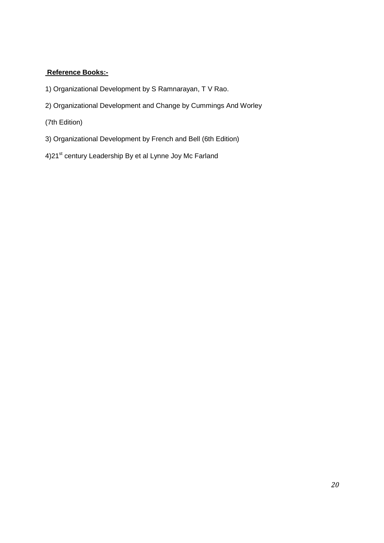#### **Reference Books:-**

- 1) Organizational Development by S Ramnarayan, T V Rao.
- 2) Organizational Development and Change by Cummings And Worley
- (7th Edition)
- 3) Organizational Development by French and Bell (6th Edition)
- 4)21<sup>st</sup> century Leadership By et al Lynne Joy Mc Farland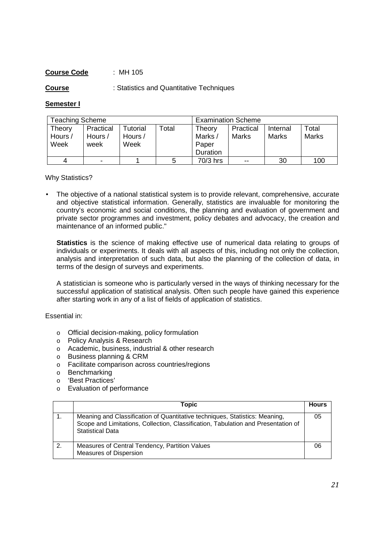#### **Course Code** : MH 105

**Course** : Statistics and Quantitative Techniques

#### **Semester I**

| <b>Teaching Scheme</b> |           |          |       | <b>Examination Scheme</b> |           |          |       |
|------------------------|-----------|----------|-------|---------------------------|-----------|----------|-------|
| Theory                 | Practical | Tutorial | Total | Theory                    | Practical | Internal | Total |
| Hours /                | Hours /   | Hours /  |       | Marks /                   | Marks     | Marks    | Marks |
| Week                   | week      | Week     |       | Paper                     |           |          |       |
|                        |           |          |       | Duration                  |           |          |       |
|                        | -         |          |       | 70/3 hrs                  | $- -$     | 30       | 100   |

Why Statistics?

• The objective of a national statistical system is to provide relevant, comprehensive, accurate and objective statistical information. Generally, statistics are invaluable for monitoring the country's economic and social conditions, the planning and evaluation of government and private sector programmes and investment, policy debates and advocacy, the creation and maintenance of an informed public."

**Statistics** is the science of making effective use of numerical data relating to groups of individuals or experiments. It deals with all aspects of this, including not only the collection, analysis and interpretation of such data, but also the planning of the collection of data, in terms of the design of surveys and experiments.

A statistician is someone who is particularly versed in the ways of thinking necessary for the successful application of statistical analysis. Often such people have gained this experience after starting work in any of a list of fields of application of statistics.

Essential in:

- o Official decision-making, policy formulation
- o Policy Analysis & Research
- o Academic, business, industrial & other research
- o Business planning & CRM
- o Facilitate comparison across countries/regions
- o Benchmarking
- o 'Best Practices'
- o Evaluation of performance

|    | Topic                                                                                                                                                                                       | <b>Hours</b> |
|----|---------------------------------------------------------------------------------------------------------------------------------------------------------------------------------------------|--------------|
|    | Meaning and Classification of Quantitative techniques, Statistics: Meaning,<br>Scope and Limitations, Collection, Classification, Tabulation and Presentation of<br><b>Statistical Data</b> | 05           |
| 2. | Measures of Central Tendency, Partition Values<br><b>Measures of Dispersion</b>                                                                                                             | 06           |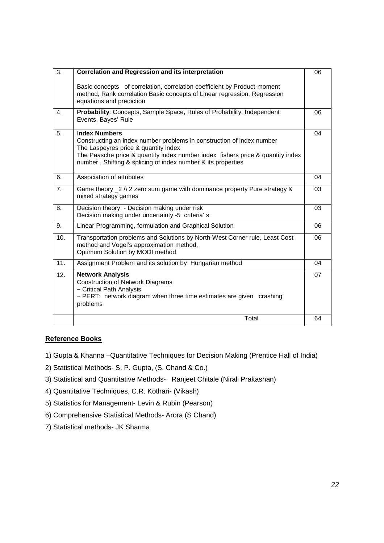| 3.             | <b>Correlation and Regression and its interpretation</b>                                                                                                                                                                                                                                | 06 |
|----------------|-----------------------------------------------------------------------------------------------------------------------------------------------------------------------------------------------------------------------------------------------------------------------------------------|----|
|                | Basic concepts of correlation, correlation coefficient by Product-moment<br>method, Rank correlation Basic concepts of Linear regression, Regression<br>equations and prediction                                                                                                        |    |
| $\mathbf{4}$ . | Probability: Concepts, Sample Space, Rules of Probability, Independent<br>Events, Bayes' Rule                                                                                                                                                                                           | 06 |
| 5.             | <b>Index Numbers</b><br>Constructing an index number problems in construction of index number<br>The Laspeyres price & quantity index<br>The Paasche price & quantity index number index fishers price & quantity index<br>number, Shifting & splicing of index number & its properties | 04 |
| 6.             | Association of attributes                                                                                                                                                                                                                                                               | 04 |
| 7.             | Game theory $2 \wedge 2$ zero sum game with dominance property Pure strategy &<br>mixed strategy games                                                                                                                                                                                  | 03 |
| 8.             | Decision theory - Decision making under risk<br>Decision making under uncertainty -5 criteria's                                                                                                                                                                                         | 03 |
| 9.             | Linear Programming, formulation and Graphical Solution                                                                                                                                                                                                                                  | 06 |
| 10.            | Transportation problems and Solutions by North-West Corner rule, Least Cost<br>method and Vogel's approximation method,<br>Optimum Solution by MODI method                                                                                                                              | 06 |
| 11.            | Assignment Problem and its solution by Hungarian method                                                                                                                                                                                                                                 | 04 |
| 12.            | <b>Network Analysis</b><br><b>Construction of Network Diagrams</b><br>- Critical Path Analysis<br>- PERT: network diagram when three time estimates are given crashing<br>problems                                                                                                      | 07 |
|                | Total                                                                                                                                                                                                                                                                                   | 64 |

#### **Reference Books**

- 1) Gupta & Khanna –Quantitative Techniques for Decision Making (Prentice Hall of India)
- 2) Statistical Methods- S. P. Gupta, (S. Chand & Co.)
- 3) Statistical and Quantitative Methods- Ranjeet Chitale (Nirali Prakashan)
- 4) Quantitative Techniques, C.R. Kothari- (Vikash)
- 5) Statistics for Management- Levin & Rubin (Pearson)
- 6) Comprehensive Statistical Methods- Arora (S Chand)
- 7) Statistical methods- JK Sharma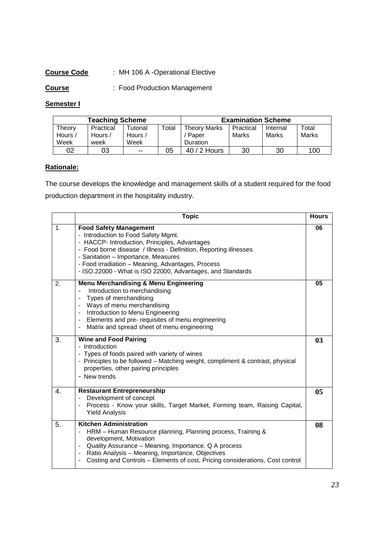#### **Course Code** : MH 106 A -Operational Elective

**Course** : Food Production Management

#### **Semester I**

| <b>Teaching Scheme</b> |           |          |             | <b>Examination Scheme</b> |           |          |       |
|------------------------|-----------|----------|-------------|---------------------------|-----------|----------|-------|
| Theory                 | Practical | Tutorial | $\tau$ otal | <b>Theory Marks</b>       | Practical | Internal | Total |
| Hours /                | Hours /   | Hours /  |             | Paper                     | Marks     | Marks    | Marks |
| Week                   | week      | Week     |             | <b>Duration</b>           |           |          |       |
| 02                     | 03        | $- -$    | 05          | $40/2$ Hours              | 30        | 30       | 100   |

#### **Rationale:**

The course develops the knowledge and management skills of a student required for the food production department in the hospitality industry.

|    | <b>Topic</b>                                                                                                                                                                                                                                                                                                                                                           | <b>Hours</b> |
|----|------------------------------------------------------------------------------------------------------------------------------------------------------------------------------------------------------------------------------------------------------------------------------------------------------------------------------------------------------------------------|--------------|
| 1. | <b>Food Safety Management</b><br>- Introduction to Food Safety Mgmt.<br>- HACCP- Introduction, Principles, Advantages<br>- Food borne disease / Illness - Definition, Reporting illnesses<br>- Sanitation - Importance, Measures<br>- Food irradiation - Meaning, Advantages, Process<br>- ISO.22000 - What is ISO 22000, Advantages, and Standards                    | 06           |
| 2. | <b>Menu Merchandising &amp; Menu Engineering</b><br>Introduction to merchandising<br>Types of merchandising<br>Ways of menu merchandising<br>$\overline{\phantom{a}}$<br>Introduction to Menu Engineering<br>Elements and pre- requisites of menu engineering<br>$\overline{\phantom{a}}$<br>Matrix and spread sheet of menu engineering                               | 05           |
| 3. | <b>Wine and Food Pairing</b><br>- Introduction<br>- Types of foods paired with variety of wines<br>- Principles to be followed - Matching weight, compliment & contrast, physical<br>properties, other pairing principles<br>- New trends                                                                                                                              | 03           |
| 4. | <b>Restaurant Entrepreneurship</b><br>Development of concept<br>Process - Know your skills, Target Market, Forming team, Raising Capital,<br><b>Yield Analysis</b>                                                                                                                                                                                                     | 05           |
| 5. | <b>Kitchen Administration</b><br>HRM - Human Resource planning, Planning process, Training &<br>development, Motivation<br>Quality Assurance - Meaning, Importance, Q A process<br>Ratio Analysis - Meaning, Importance, Objectives<br>$\qquad \qquad \blacksquare$<br>Costing and Controls - Elements of cost, Pricing considerations, Cost control<br>$\blacksquare$ | 08           |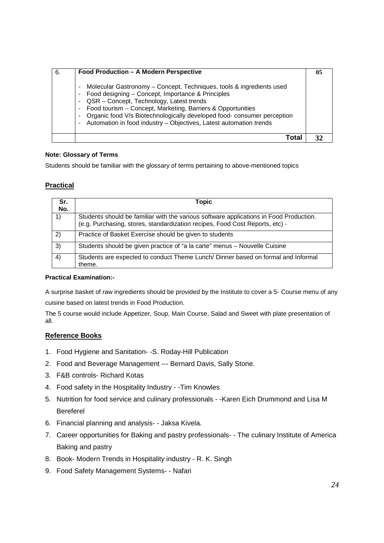| 6. | Food Production - A Modern Perspective                                                                                                                                                                                                                                                                                                                                                                                                  |  |
|----|-----------------------------------------------------------------------------------------------------------------------------------------------------------------------------------------------------------------------------------------------------------------------------------------------------------------------------------------------------------------------------------------------------------------------------------------|--|
|    | Molecular Gastronomy – Concept, Techniques, tools & ingredients used<br>٠<br>Food designing - Concept, Importance & Principles<br>٠<br>- QSR - Concept, Technology, Latest trends<br>- Food tourism - Concept, Marketing, Barriers & Opportunities<br>Organic food V/s Biotechnologically developed food- consumer perception<br>$\blacksquare$<br>Automation in food industry - Objectives, Latest automation trends<br>$\blacksquare$ |  |
|    | Γ∩ta                                                                                                                                                                                                                                                                                                                                                                                                                                    |  |

#### **Note: Glossary of Terms**

Students should be familiar with the glossary of terms pertaining to above-mentioned topics

#### **Practical**

| Sr. | Topic                                                                                                                                                                  |
|-----|------------------------------------------------------------------------------------------------------------------------------------------------------------------------|
| No. |                                                                                                                                                                        |
| 1)  | Students should be familiar with the various software applications in Food Production.<br>(e.g. Purchasing, stores, standardization recipes, Food Cost Reports, etc) - |
| 2)  | Practice of Basket Exercise should be given to students                                                                                                                |
| 3)  | Students should be given practice of "a la carte" menus - Nouvelle Cuisine                                                                                             |
| 4)  | Students are expected to conduct Theme Lunch/ Dinner based on formal and Informal<br>theme.                                                                            |

#### **Practical Examination:-**

A surprise basket of raw ingredients should be provided by the Institute to cover a 5- Course menu of any cuisine based on latest trends in Food Production.

The 5 course would include Appetizer, Soup, Main Course, Salad and Sweet with plate presentation of all.

#### **Reference Books**

- 1. Food Hygiene and Sanitation- -S. Roday-Hill Publication
- 2. Food and Beverage Management --- Bernard Davis, Sally Stone.
- 3. F&B controls- Richard Kotas
- 4. Food safety in the Hospitality Industry -Tim Knowles
- 5. Nutrition for food service and culinary professionals -Karen Eich Drummond and Lisa M Bereferel
- 6. Financial planning and analysis- Jaksa Kivela.
- 7. Career opportunities for Baking and pastry professionals- The culinary Institute of America Baking and pastry
- 8. Book- Modern Trends in Hospitality industry R. K. Singh
- 9. Food Safety Management Systems- Nafari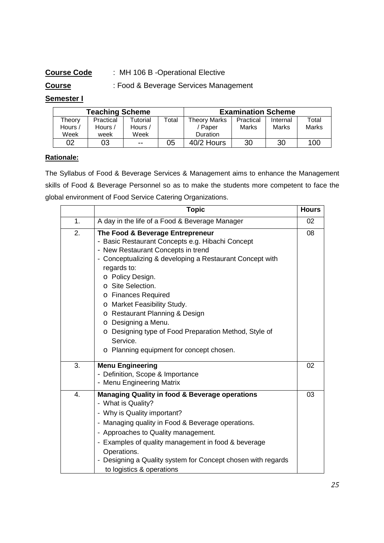#### **Course Code** : MH 106 B -Operational Elective

#### **Course** : Food & Beverage Services Management

#### **Semester I**

| <b>Teaching Scheme</b> |           |               |       | <b>Examination Scheme</b> |           |          |       |
|------------------------|-----------|---------------|-------|---------------------------|-----------|----------|-------|
| Theory                 | Practical | Tutorial      | ™otal | <b>Theory Marks</b>       | Practical | Internal | Total |
| Hours /                | Hours /   | Hours /       |       | ' Paper                   | Marks     | Marks    | Marks |
| Week                   | week      | Week          |       | <b>Duration</b>           |           |          |       |
| 02                     | 03        | $\sim$ $\sim$ | 05    | 40/2 Hours                | 30        | 30       | 100   |

#### **Rationale:**

The Syllabus of Food & Beverage Services & Management aims to enhance the Management skills of Food & Beverage Personnel so as to make the students more competent to face the global environment of Food Service Catering Organizations.

|    | <b>Topic</b>                                                                                                                                                                                                                                                                                                                                                                                                                                                                   | <b>Hours</b> |
|----|--------------------------------------------------------------------------------------------------------------------------------------------------------------------------------------------------------------------------------------------------------------------------------------------------------------------------------------------------------------------------------------------------------------------------------------------------------------------------------|--------------|
| 1. | A day in the life of a Food & Beverage Manager                                                                                                                                                                                                                                                                                                                                                                                                                                 | 02           |
| 2. | The Food & Beverage Entrepreneur<br>- Basic Restaurant Concepts e.g. Hibachi Concept<br>- New Restaurant Concepts in trend<br>- Conceptualizing & developing a Restaurant Concept with<br>regards to:<br>o Policy Design.<br>o Site Selection.<br>o Finances Required<br>o Market Feasibility Study.<br>o Restaurant Planning & Design<br>o Designing a Menu.<br>o Designing type of Food Preparation Method, Style of<br>Service.<br>o Planning equipment for concept chosen. | 08           |
| 3. | <b>Menu Engineering</b><br>- Definition, Scope & Importance<br>- Menu Engineering Matrix                                                                                                                                                                                                                                                                                                                                                                                       | 02           |
| 4. | <b>Managing Quality in food &amp; Beverage operations</b><br>- What is Quality?<br>- Why is Quality important?<br>- Managing quality in Food & Beverage operations.<br>- Approaches to Quality management.<br>- Examples of quality management in food & beverage<br>Operations.<br>- Designing a Quality system for Concept chosen with regards<br>to logistics & operations                                                                                                  | 03           |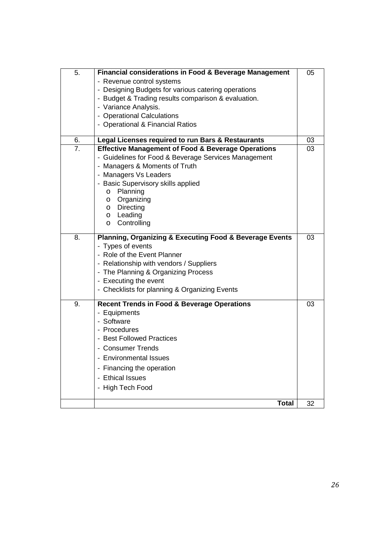| 5. | <b>Financial considerations in Food &amp; Beverage Management</b>      | 05 |
|----|------------------------------------------------------------------------|----|
|    | - Revenue control systems                                              |    |
|    | - Designing Budgets for various catering operations                    |    |
|    | - Budget & Trading results comparison & evaluation.                    |    |
|    | - Variance Analysis.                                                   |    |
|    | - Operational Calculations                                             |    |
|    | - Operational & Financial Ratios                                       |    |
|    |                                                                        |    |
| 6. | Legal Licenses required to run Bars & Restaurants                      | 03 |
| 7. | <b>Effective Management of Food &amp; Beverage Operations</b>          | 03 |
|    | - Guidelines for Food & Beverage Services Management                   |    |
|    | - Managers & Moments of Truth                                          |    |
|    | - Managers Vs Leaders                                                  |    |
|    | - Basic Supervisory skills applied                                     |    |
|    | o Planning                                                             |    |
|    | o Organizing                                                           |    |
|    | o Directing                                                            |    |
|    | o Leading                                                              |    |
|    | Controlling<br>$\circ$                                                 |    |
| 8. | <b>Planning, Organizing &amp; Executing Food &amp; Beverage Events</b> | 03 |
|    | - Types of events                                                      |    |
|    | - Role of the Event Planner                                            |    |
|    | - Relationship with vendors / Suppliers                                |    |
|    | - The Planning & Organizing Process                                    |    |
|    | - Executing the event                                                  |    |
|    |                                                                        |    |
|    | - Checklists for planning & Organizing Events                          |    |
| 9. | <b>Recent Trends in Food &amp; Beverage Operations</b>                 | 03 |
|    | - Equipments                                                           |    |
|    | - Software                                                             |    |
|    | - Procedures                                                           |    |
|    | - Best Followed Practices                                              |    |
|    | - Consumer Trends                                                      |    |
|    | <b>Environmental Issues</b>                                            |    |
|    |                                                                        |    |
|    | - Financing the operation                                              |    |
|    | <b>Ethical Issues</b>                                                  |    |
|    | - High Tech Food                                                       |    |
|    |                                                                        |    |
|    | <b>Total</b>                                                           | 32 |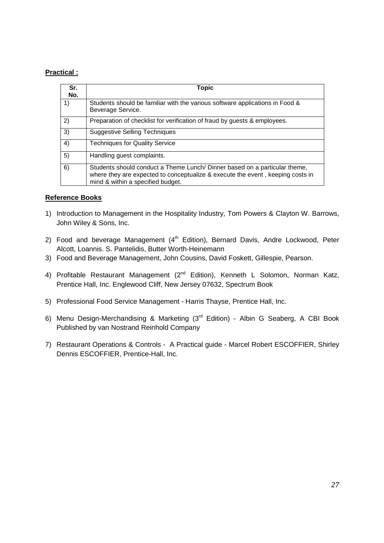#### **Practical :**

| Sr.<br>No. | Topic                                                                                                                                                                                             |
|------------|---------------------------------------------------------------------------------------------------------------------------------------------------------------------------------------------------|
| 1)         | Students should be familiar with the various software applications in Food &<br>Beverage Service.                                                                                                 |
| 2)         | Preparation of checklist for verification of fraud by guests & employees.                                                                                                                         |
| 3)         | <b>Suggestive Selling Techniques</b>                                                                                                                                                              |
| 4)         | <b>Techniques for Quality Service</b>                                                                                                                                                             |
| 5)         | Handling guest complaints.                                                                                                                                                                        |
| 6)         | Students should conduct a Theme Lunch/ Dinner based on a particular theme,<br>where they are expected to conceptualize & execute the event, keeping costs in<br>mind & within a specified budget. |

#### **Reference Books**

- 1) Introduction to Management in the Hospitality Industry, Tom Powers & Clayton W. Barrows, John Wiley & Sons, Inc.
- 2) Food and beverage Management  $(4<sup>th</sup> Edition)$ , Bernard Davis, Andre Lockwood, Peter Alcott, Loannis. S. Pantelidis, Butter Worth-Heinemann
- 3) Food and Beverage Management, John Cousins, David Foskett, Gillespie, Pearson.
- 4) Profitable Restaurant Management (2<sup>nd</sup> Edition), Kenneth L Solomon, Norman Katz, Prentice Hall, Inc. Englewood Cliff, New Jersey 07632, Spectrum Book
- 5) Professional Food Service Management Harris Thayse, Prentice Hall, Inc.
- 6) Menu Design-Merchandising & Marketing (3rd Edition) Albin G Seaberg, A CBI Book Published by van Nostrand Reinhold Company
- 7) Restaurant Operations & Controls A Practical guide Marcel Robert ESCOFFIER, Shirley Dennis ESCOFFIER, Prentice-Hall, Inc.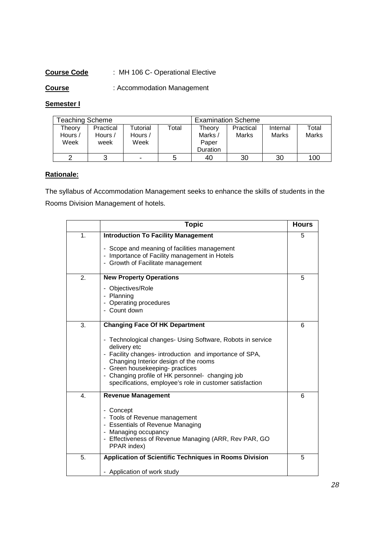#### **Course Code** : MH 106 C- Operational Elective

**Course** : Accommodation Management

#### **Semester I**

| Teaching Scheme           |                              |                                    |       | <b>Examination Scheme</b>                     |                    |                   |                |
|---------------------------|------------------------------|------------------------------------|-------|-----------------------------------------------|--------------------|-------------------|----------------|
| Theory<br>Hours /<br>Week | Practical<br>Hours /<br>week | <b>Tutorial</b><br>Hours /<br>Week | Total | Theory<br>Marks /<br>Paper<br><b>Duration</b> | Practical<br>Marks | Internal<br>Marks | Total<br>Marks |
|                           | っ                            |                                    |       | 40                                            | 30                 | 30                | 100            |

#### **Rationale:**

The syllabus of Accommodation Management seeks to enhance the skills of students in the Rooms Division Management of hotels.

|    | <b>Topic</b>                                                                                                                                                                                                                                                                                                                      | <b>Hours</b> |
|----|-----------------------------------------------------------------------------------------------------------------------------------------------------------------------------------------------------------------------------------------------------------------------------------------------------------------------------------|--------------|
| 1. | <b>Introduction To Facility Management</b>                                                                                                                                                                                                                                                                                        | 5            |
|    | - Scope and meaning of facilities management<br>- Importance of Facility management in Hotels<br>- Growth of Facilitate management                                                                                                                                                                                                |              |
| 2. | <b>New Property Operations</b>                                                                                                                                                                                                                                                                                                    | 5            |
|    | - Objectives/Role<br>- Planning<br>- Operating procedures<br>- Count down                                                                                                                                                                                                                                                         |              |
| 3. | <b>Changing Face Of HK Department</b>                                                                                                                                                                                                                                                                                             | 6            |
|    | - Technological changes- Using Software, Robots in service<br>delivery etc<br>- Facility changes- introduction and importance of SPA,<br>Changing Interior design of the rooms<br>- Green housekeeping- practices<br>- Changing profile of HK personnel- changing job<br>specifications, employee's role in customer satisfaction |              |
| 4. | <b>Revenue Management</b>                                                                                                                                                                                                                                                                                                         | 6            |
|    | - Concept<br>- Tools of Revenue management<br>- Essentials of Revenue Managing<br>- Managing occupancy<br>- Effectiveness of Revenue Managing (ARR, Rev PAR, GO<br>PPAR index)                                                                                                                                                    |              |
| 5. | Application of Scientific Techniques in Rooms Division                                                                                                                                                                                                                                                                            | 5            |
|    | - Application of work study                                                                                                                                                                                                                                                                                                       |              |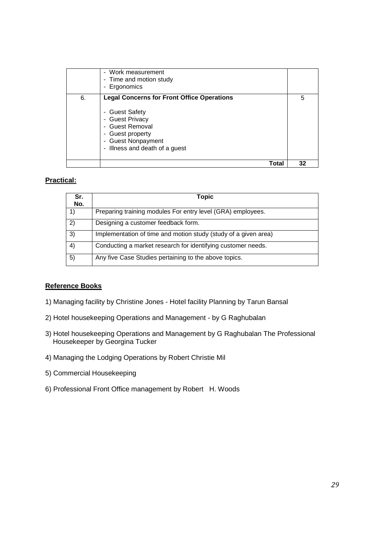|    | - Work measurement<br>- Time and motion study<br>- Ergonomics                                                                                                                         |    |
|----|---------------------------------------------------------------------------------------------------------------------------------------------------------------------------------------|----|
| 6. | <b>Legal Concerns for Front Office Operations</b><br>- Guest Safety<br>- Guest Privacy<br>- Guest Removal<br>- Guest property<br>- Guest Nonpayment<br>- Illness and death of a guest | 5  |
|    | Total                                                                                                                                                                                 | 32 |

#### **Practical:**

| Sr.<br>No. | Topic                                                           |
|------------|-----------------------------------------------------------------|
| 1)         | Preparing training modules For entry level (GRA) employees.     |
| 2)         | Designing a customer feedback form.                             |
| 3)         | Implementation of time and motion study (study of a given area) |
| 4)         | Conducting a market research for identifying customer needs.    |
| 5)         | Any five Case Studies pertaining to the above topics.           |

#### **Reference Books**

- 1) Managing facility by Christine Jones Hotel facility Planning by Tarun Bansal
- 2) Hotel housekeeping Operations and Management by G Raghubalan
- 3) Hotel housekeeping Operations and Management by G Raghubalan The Professional Housekeeper by Georgina Tucker
- 4) Managing the Lodging Operations by Robert Christie Mil
- 5) Commercial Housekeeping
- 6) Professional Front Office management by Robert H. Woods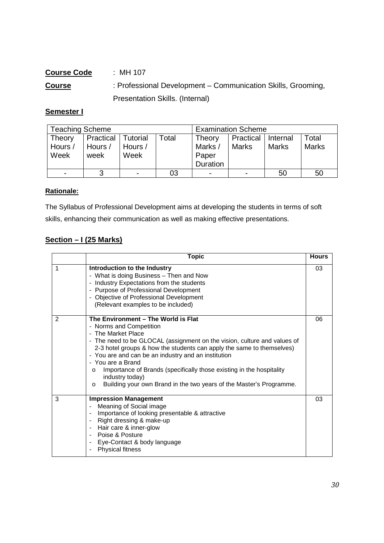#### **Course Code** : MH 107 **Course** : Professional Development – Communication Skills, Grooming, Presentation Skills. (Internal)

#### **Semester I**

| <b>Teaching Scheme</b> |           |                |       | <b>Examination Scheme</b> |           |              |              |
|------------------------|-----------|----------------|-------|---------------------------|-----------|--------------|--------------|
| <b>Theory</b>          | Practical | Tutorial       | Total | Theory                    | Practical | Internal     | Total        |
| Hours /                | Hours /   | Hours /        |       | Marks /                   | Marks     | <b>Marks</b> | <b>Marks</b> |
| Week                   | week      | Week           |       | Paper                     |           |              |              |
|                        |           |                |       | Duration                  |           |              |              |
|                        | 3         | $\blacksquare$ | 03    | -                         | -         | 50           | 50           |

#### **Rationale:**

The Syllabus of Professional Development aims at developing the students in terms of soft skills, enhancing their communication as well as making effective presentations.

#### **Section – I (25 Marks)**

|   | <b>Topic</b>                                                                                                                                                                                                                                                                                                                                                                                                                                                                                                  | <b>Hours</b> |
|---|---------------------------------------------------------------------------------------------------------------------------------------------------------------------------------------------------------------------------------------------------------------------------------------------------------------------------------------------------------------------------------------------------------------------------------------------------------------------------------------------------------------|--------------|
| 1 | Introduction to the Industry<br>- What is doing Business - Then and Now<br>- Industry Expectations from the students<br>- Purpose of Professional Development<br>- Objective of Professional Development<br>(Relevant examples to be included)                                                                                                                                                                                                                                                                | 03           |
| 2 | The Environment - The World is Flat<br>- Norms and Competition<br>- The Market Place<br>- The need to be GLOCAL (assignment on the vision, culture and values of<br>2-3 hotel groups & how the students can apply the same to themselves)<br>- You are and can be an industry and an institution<br>- You are a Brand<br>Importance of Brands (specifically those existing in the hospitality<br>$\circ$<br>industry today)<br>Building your own Brand in the two years of the Master's Programme.<br>$\circ$ | 06           |
| 3 | <b>Impression Management</b><br>Meaning of Social image<br>$\blacksquare$<br>Importance of looking presentable & attractive<br>Right dressing & make-up<br>$\blacksquare$<br>Hair care & inner-glow<br>$\blacksquare$<br>Poise & Posture<br>Eye-Contact & body language<br>$\blacksquare$<br><b>Physical fitness</b>                                                                                                                                                                                          | 03           |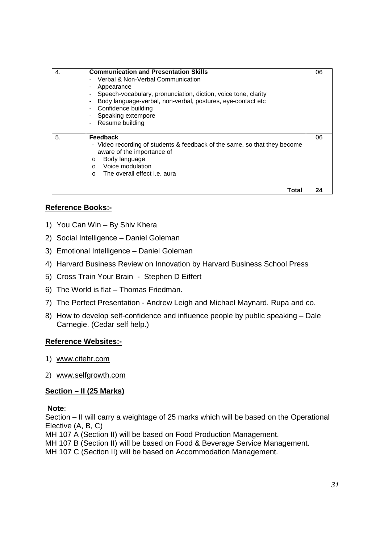| 4. | <b>Communication and Presentation Skills</b><br>Verbal & Non-Verbal Communication<br>$\blacksquare$<br>Appearance<br>Speech-vocabulary, pronunciation, diction, voice tone, clarity<br>Body language-verbal, non-verbal, postures, eye-contact etc<br>Confidence building<br>$\overline{\phantom{a}}$<br>Speaking extempore<br>Resume building<br>$\overline{\phantom{0}}$ | 06 |
|----|----------------------------------------------------------------------------------------------------------------------------------------------------------------------------------------------------------------------------------------------------------------------------------------------------------------------------------------------------------------------------|----|
| 5. | <b>Feedback</b><br>- Video recording of students & feedback of the same, so that they become<br>aware of the importance of<br>Body language<br>$\circ$<br>Voice modulation<br>$\Omega$<br>The overall effect i.e. aura<br>$\Omega$                                                                                                                                         | 06 |
|    | Total                                                                                                                                                                                                                                                                                                                                                                      | 24 |

#### **Reference Books:-**

- 1) You Can Win By Shiv Khera
- 2) Social Intelligence Daniel Goleman
- 3) Emotional Intelligence Daniel Goleman
- 4) Harvard Business Review on Innovation by Harvard Business School Press
- 5) Cross Train Your Brain Stephen D Eiffert
- 6) The World is flat Thomas Friedman.
- 7) The Perfect Presentation Andrew Leigh and Michael Maynard. Rupa and co.
- 8) How to develop self-confidence and influence people by public speaking Dale Carnegie. (Cedar self help.)

#### **Reference Websites:-**

- 1) www.citehr.com
- 2) www.selfgrowth.com

#### **Section – II (25 Marks)**

#### **Note**:

Section – II will carry a weightage of 25 marks which will be based on the Operational Elective (A, B, C)

MH 107 A (Section II) will be based on Food Production Management.

MH 107 B (Section II) will be based on Food & Beverage Service Management.

MH 107 C (Section II) will be based on Accommodation Management.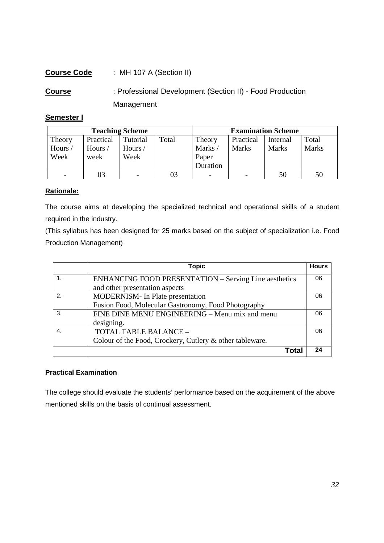| <b>Course Code</b> | : MH 107 A (Section II)                                   |
|--------------------|-----------------------------------------------------------|
| <b>Course</b>      | : Professional Development (Section II) - Food Production |
|                    | Management                                                |

#### **Semester I**

| <b>Teaching Scheme</b> |           |          |       | <b>Examination Scheme</b> |                          |          |              |
|------------------------|-----------|----------|-------|---------------------------|--------------------------|----------|--------------|
| Theory                 | Practical | Tutorial | Total | Theory                    | Practical                | Internal | Total        |
| Hours/                 | Hours/    | Hours/   |       | Marks/                    | <b>Marks</b>             | Marks    | <b>Marks</b> |
| Week                   | week      | Week     |       | Paper                     |                          |          |              |
|                        |           |          |       | Duration                  |                          |          |              |
|                        | 03        |          | 03    | -                         | $\overline{\phantom{0}}$ | 50       | 50           |

#### **Rationale:**

The course aims at developing the specialized technical and operational skills of a student required in the industry.

(This syllabus has been designed for 25 marks based on the subject of specialization i.e. Food Production Management)

|               | Topic                                                        | <b>Hours</b> |
|---------------|--------------------------------------------------------------|--------------|
|               | <b>ENHANCING FOOD PRESENTATION - Serving Line aesthetics</b> | 06           |
|               | and other presentation aspects                               |              |
| $\mathcal{P}$ | MODERNISM- In Plate presentation                             | 06           |
|               | Fusion Food, Molecular Gastronomy, Food Photography          |              |
| 3.            | FINE DINE MENU ENGINEERING - Menu mix and menu               | 06           |
|               | designing.                                                   |              |
| 4.            | TOTAL TABLE BALANCE -                                        | 06           |
|               | Colour of the Food, Crockery, Cutlery & other tableware.     |              |
|               | Total                                                        | 24           |

#### **Practical Examination**

The college should evaluate the students' performance based on the acquirement of the above mentioned skills on the basis of continual assessment.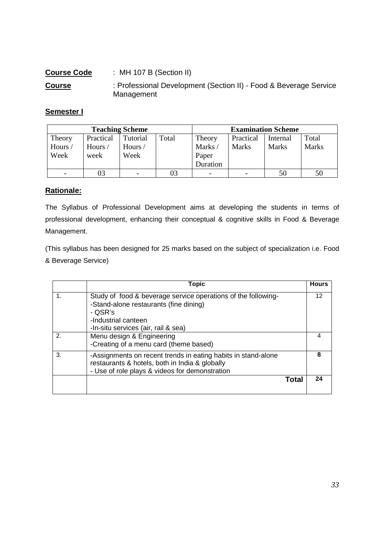| <b>Course Code</b> | : MH 107 B (Section II)                                                         |
|--------------------|---------------------------------------------------------------------------------|
| <b>Course</b>      | : Professional Development (Section II) - Food & Beverage Service<br>Management |

#### **Semester I**

| <b>Teaching Scheme</b> |           |                          |       | <b>Examination Scheme</b> |              |              |              |
|------------------------|-----------|--------------------------|-------|---------------------------|--------------|--------------|--------------|
| Theory                 | Practical | Tutorial                 | Total | Theory                    | Practical    | Internal     | Total        |
| Hours /                | Hours /   | Hours/                   |       | Marks/                    | <b>Marks</b> | <b>Marks</b> | <b>Marks</b> |
| Week                   | week      | Week                     |       | Paper                     |              |              |              |
|                        |           |                          |       | Duration                  |              |              |              |
|                        | 03        | $\overline{\phantom{0}}$ | 03    |                           | -            | 50           | 50           |

#### **Rationale:**

The Syllabus of Professional Development aims at developing the students in terms of professional development, enhancing their conceptual & cognitive skills in Food & Beverage Management.

(This syllabus has been designed for 25 marks based on the subject of specialization i.e. Food & Beverage Service)

|    | Topic                                                                                                                                                                            | <b>Hours</b> |
|----|----------------------------------------------------------------------------------------------------------------------------------------------------------------------------------|--------------|
| 1. | Study of food & beverage service operations of the following-<br>-Stand-alone restaurants (fine dining)<br>- OSR's<br>-Industrial canteen<br>-In-situ services (air, rail & sea) | 12           |
| 2. | Menu design & Engineering<br>-Creating of a menu card (theme based)                                                                                                              |              |
| 3. | -Assignments on recent trends in eating habits in stand-alone<br>restaurants & hotels, both in India & globally<br>- Use of role plays & videos for demonstration                | Զ            |
|    | Total                                                                                                                                                                            | 24           |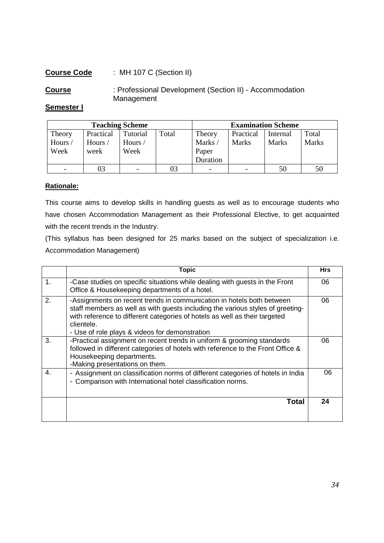#### **Course Code** : MH 107 C (Section II)

**Course** : Professional Development (Section II) - Accommodation Management

#### **Semester I**

| <b>Teaching Scheme</b> |           |          |       | <b>Examination Scheme</b> |                          |              |              |
|------------------------|-----------|----------|-------|---------------------------|--------------------------|--------------|--------------|
| Theory                 | Practical | Tutorial | Total | Theory                    | Practical                | Internal     | Total        |
| Hours/                 | Hours/    | Hours /  |       | Marks/                    | <b>Marks</b>             | <b>Marks</b> | <b>Marks</b> |
| Week                   | week      | Week     |       | Paper                     |                          |              |              |
|                        |           |          |       | Duration                  |                          |              |              |
|                        | 03        |          |       | $\overline{\phantom{0}}$  | $\overline{\phantom{0}}$ | 50           | 50           |

#### **Rationale:**

This course aims to develop skills in handling guests as well as to encourage students who have chosen Accommodation Management as their Professional Elective, to get acquainted with the recent trends in the Industry.

(This syllabus has been designed for 25 marks based on the subject of specialization i.e. Accommodation Management)

|                | Topic                                                                                                                                                                                                                                                                                                 | <b>Hrs</b> |
|----------------|-------------------------------------------------------------------------------------------------------------------------------------------------------------------------------------------------------------------------------------------------------------------------------------------------------|------------|
| $\mathbf{1}$ . | -Case studies on specific situations while dealing with guests in the Front<br>Office & Housekeeping departments of a hotel.                                                                                                                                                                          | 06         |
| 2.             | -Assignments on recent trends in communication in hotels both between<br>staff members as well as with guests including the various styles of greeting-<br>with reference to different categories of hotels as well as their targeted<br>clientele.<br>- Use of role plays & videos for demonstration | 06         |
| 3.             | -Practical assignment on recent trends in uniform & grooming standards<br>followed in different categories of hotels with reference to the Front Office &<br>Housekeeping departments.<br>-Making presentations on them.                                                                              | 06         |
| $\overline{4}$ | - Assignment on classification norms of different categories of hotels in India<br>Comparison with International hotel classification norms.<br>۰                                                                                                                                                     | 06         |
|                | Total                                                                                                                                                                                                                                                                                                 | 24         |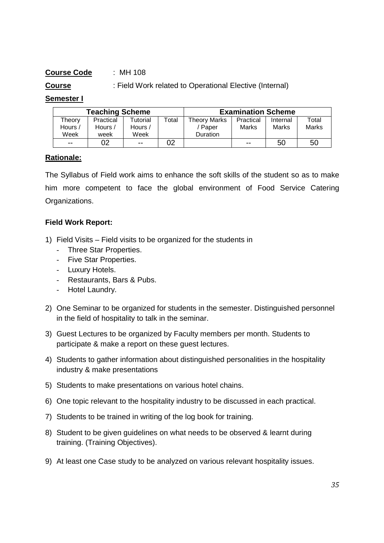### **Course Code** : MH 108

#### **Course** : Field Work related to Operational Elective (Internal)

#### **Semester I**

| <b>Teaching Scheme</b> |           |               |       |                 | <b>Examination Scheme</b> |          |       |
|------------------------|-----------|---------------|-------|-----------------|---------------------------|----------|-------|
| Theory                 | Practical | Tutorial      | Total | Theory Marks    | Practical                 | Internal | Total |
| Hours /                | Hours /   | Hours /       |       | ' Paper         | Marks                     | Marks    | Marks |
| Week                   | week      | Week          |       | <b>Duration</b> |                           |          |       |
| $\sim$ $\sim$          | 02        | $\sim$ $\sim$ | 02    |                 | $- -$                     | 50       | 50    |

#### **Rationale:**

The Syllabus of Field work aims to enhance the soft skills of the student so as to make him more competent to face the global environment of Food Service Catering Organizations.

#### **Field Work Report:**

- 1) Field Visits Field visits to be organized for the students in
	- Three Star Properties.
	- Five Star Properties.
	- Luxury Hotels.
	- Restaurants, Bars & Pubs.
	- Hotel Laundry.
- 2) One Seminar to be organized for students in the semester. Distinguished personnel in the field of hospitality to talk in the seminar.
- 3) Guest Lectures to be organized by Faculty members per month. Students to participate & make a report on these guest lectures.
- 4) Students to gather information about distinguished personalities in the hospitality industry & make presentations
- 5) Students to make presentations on various hotel chains.
- 6) One topic relevant to the hospitality industry to be discussed in each practical.
- 7) Students to be trained in writing of the log book for training.
- 8) Student to be given guidelines on what needs to be observed & learnt during training. (Training Objectives).
- 9) At least one Case study to be analyzed on various relevant hospitality issues.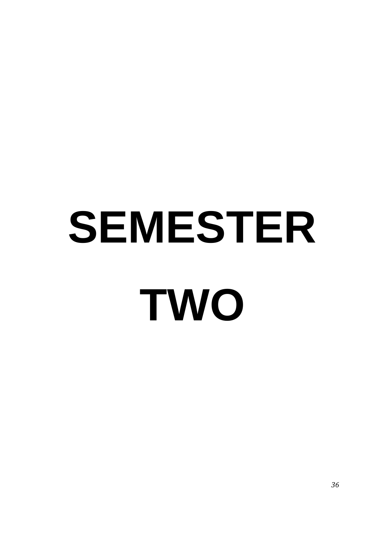# **SEMESTER TWO**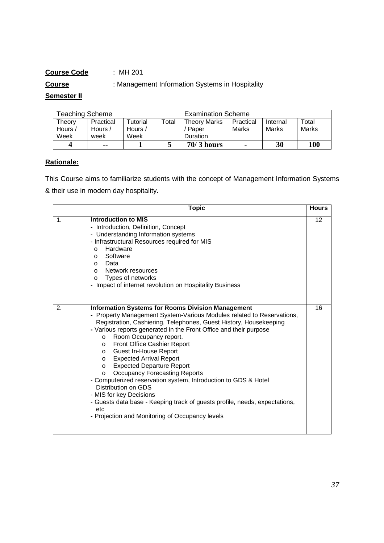**Course** : Management Information Systems in Hospitality

#### **Semester II**

| <b>Teaching Scheme</b> |           |          |       | <b>Examination Scheme</b> |                |          |       |
|------------------------|-----------|----------|-------|---------------------------|----------------|----------|-------|
| Theory                 | Practical | Tutorial | Total | <b>Theory Marks</b>       | Practical      | Internal | Total |
| Hours /                | Hours /   | Hours /  |       | Paper                     | Marks          | Marks    | Marks |
| Week                   | week      | Week     |       | Duration                  |                |          |       |
| Δ                      | --        |          |       | $70/3$ hours              | $\blacksquare$ | 30       | 100   |

# **Rationale:**

This Course aims to familiarize students with the concept of Management Information Systems & their use in modern day hospitality.

|               | <b>Topic</b>                                                                                                                                                                                                                                                                                                                                                                                                                                                                                                                                                                                                                                                                                                                                                                       | <b>Hours</b>    |
|---------------|------------------------------------------------------------------------------------------------------------------------------------------------------------------------------------------------------------------------------------------------------------------------------------------------------------------------------------------------------------------------------------------------------------------------------------------------------------------------------------------------------------------------------------------------------------------------------------------------------------------------------------------------------------------------------------------------------------------------------------------------------------------------------------|-----------------|
| $\mathbf 1$ . | Introduction to MIS<br>- Introduction, Definition, Concept<br>- Understanding Information systems<br>- Infrastructural Resources required for MIS<br>Hardware<br>$\Omega$<br>Software<br>O<br>Data<br>$\circ$<br>Network resources<br>$\Omega$<br>Types of networks<br>O<br>- Impact of internet revolution on Hospitality Business                                                                                                                                                                                                                                                                                                                                                                                                                                                | 12 <sup>2</sup> |
| 2.            | <b>Information Systems for Rooms Division Management</b><br>- Property Management System-Various Modules related to Reservations,<br>Registration, Cashiering, Telephones, Guest History, Housekeeping<br>- Various reports generated in the Front Office and their purpose<br>Room Occupancy report.<br>$\circ$<br>Front Office Cashier Report<br>$\circ$<br>o Guest In-House Report<br>o Expected Arrival Report<br><b>Expected Departure Report</b><br>$\Omega$<br><b>Occupancy Forecasting Reports</b><br>$\Omega$<br>- Computerized reservation system, Introduction to GDS & Hotel<br>Distribution on GDS<br>- MIS for key Decisions<br>- Guests data base - Keeping track of guests profile, needs, expectations,<br>etc<br>- Projection and Monitoring of Occupancy levels | 16              |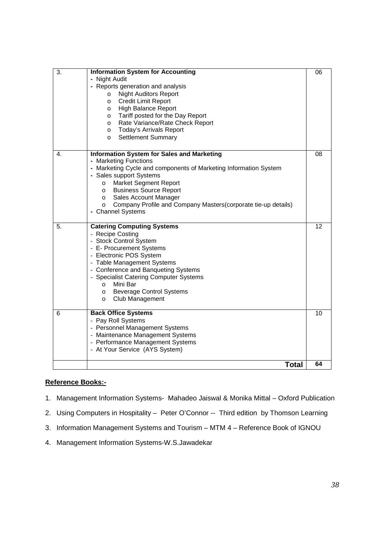| 3. | <b>Information System for Accounting</b><br>- Night Audit<br>- Reports generation and analysis<br><b>Night Auditors Report</b><br>$\circ$<br><b>Credit Limit Report</b><br>$\circ$<br><b>High Balance Report</b><br>O<br>Tariff posted for the Day Report<br>$\circ$<br>Rate Variance/Rate Check Report<br>$\circ$<br><b>Today's Arrivals Report</b><br>$\circ$<br><b>Settlement Summary</b><br>$\circ$ | 06 |
|----|---------------------------------------------------------------------------------------------------------------------------------------------------------------------------------------------------------------------------------------------------------------------------------------------------------------------------------------------------------------------------------------------------------|----|
| 4. | <b>Information System for Sales and Marketing</b><br>- Marketing Functions<br>- Marketing Cycle and components of Marketing Information System<br>- Sales support Systems<br>Market Segment Report<br>$\circ$<br><b>Business Source Report</b><br>$\circ$<br>Sales Account Manager<br>$\circ$<br>Company Profile and Company Masters (corporate tie-up details)<br>$\circ$<br>- Channel Systems         | 08 |
| 5. | <b>Catering Computing Systems</b><br>- Recipe Costing<br>- Stock Control System<br>- E- Procurement Systems<br>- Electronic POS System<br>- Table Management Systems<br>- Conference and Banqueting Systems<br>- Specialist Catering Computer Systems<br>Mini Bar<br>$\circ$<br><b>Beverage Control Systems</b><br>$\circ$<br>Club Management<br>$\circ$                                                | 12 |
| 6  | <b>Back Office Systems</b><br>- Pay Roll Systems<br>- Personnel Management Systems<br>- Maintenance Management Systems<br>- Performance Management Systems<br>- At Your Service (AYS System)                                                                                                                                                                                                            | 10 |
|    | <b>Total</b>                                                                                                                                                                                                                                                                                                                                                                                            | 64 |

- 1. Management Information Systems- Mahadeo Jaiswal & Monika Mittal Oxford Publication
- 2. Using Computers in Hospitality Peter O'Connor -- Third edition by Thomson Learning
- 3. Information Management Systems and Tourism MTM 4 Reference Book of IGNOU
- 4. Management Information Systems-W.S.Jawadekar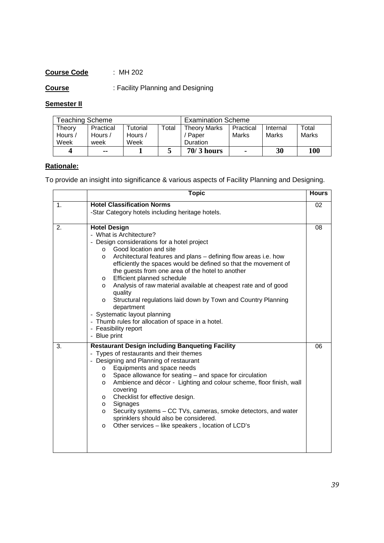**Course** : Facility Planning and Designing

# **Semester II**

| <b>Feaching Scheme</b> |           |                      |       | <b>Examination Scheme</b> |                |          |       |
|------------------------|-----------|----------------------|-------|---------------------------|----------------|----------|-------|
| Theorv                 | Practical | <sup>-</sup> utorial | Total | <b>Theory Marks</b>       | Practical      | Internal | Total |
| Hours /                | Hours /   | Hours $\overline{a}$ |       | Paper                     | Marks          | Marks    | Marks |
| Week                   | week      | Week                 |       | Duration                  |                |          |       |
|                        | --        |                      |       | $70/3$ hours              | $\blacksquare$ | 30       | 100   |

# **Rationale:**

To provide an insight into significance & various aspects of Facility Planning and Designing.

|    | <b>Topic</b>                                                                                                                                                                                                                                                                                                                                                                                                                                                                                                                                                                                                                                                                                      | <b>Hours</b> |
|----|---------------------------------------------------------------------------------------------------------------------------------------------------------------------------------------------------------------------------------------------------------------------------------------------------------------------------------------------------------------------------------------------------------------------------------------------------------------------------------------------------------------------------------------------------------------------------------------------------------------------------------------------------------------------------------------------------|--------------|
| 1. | <b>Hotel Classification Norms</b><br>-Star Category hotels including heritage hotels.                                                                                                                                                                                                                                                                                                                                                                                                                                                                                                                                                                                                             | 02           |
| 2. | <b>Hotel Design</b><br>- What is Architecture?<br>- Design considerations for a hotel project<br>Good location and site<br>$\circ$<br>Architectural features and plans – defining flow areas i.e. how<br>$\circ$<br>efficiently the spaces would be defined so that the movement of<br>the guests from one area of the hotel to another<br>Efficient planned schedule<br>$\circ$<br>Analysis of raw material available at cheapest rate and of good<br>$\circ$<br>quality<br>Structural regulations laid down by Town and Country Planning<br>$\Omega$<br>department<br>- Systematic layout planning<br>- Thumb rules for allocation of space in a hotel.<br>- Feasibility report<br>- Blue print | 08           |
| 3. | <b>Restaurant Design including Banqueting Facility</b><br>- Types of restaurants and their themes<br>- Designing and Planning of restaurant<br>Equipments and space needs<br>$\circ$<br>Space allowance for seating - and space for circulation<br>$\circ$<br>Ambience and décor - Lighting and colour scheme, floor finish, wall<br>$\circ$<br>covering<br>Checklist for effective design.<br>$\circ$<br>Signages<br>$\circ$<br>Security systems - CC TVs, cameras, smoke detectors, and water<br>$\circ$<br>sprinklers should also be considered.<br>Other services - like speakers, location of LCD's<br>$\circ$                                                                               | 06           |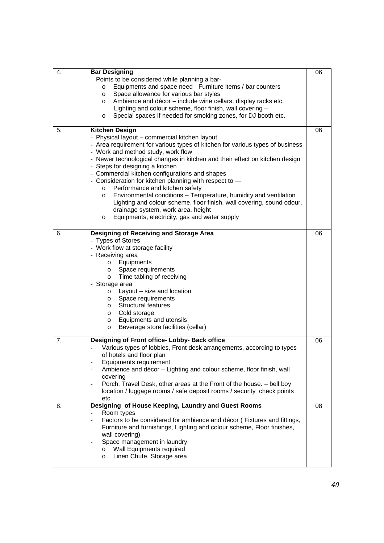| 4. | <b>Bar Designing</b>                                                                         | 06 |
|----|----------------------------------------------------------------------------------------------|----|
|    | Points to be considered while planning a bar-                                                |    |
|    | Equipments and space need - Furniture items / bar counters<br>$\circ$                        |    |
|    | Space allowance for various bar styles<br>$\circ$                                            |    |
|    | Ambience and décor - include wine cellars, display racks etc.<br>$\circ$                     |    |
|    | Lighting and colour scheme, floor finish, wall covering -                                    |    |
|    | Special spaces if needed for smoking zones, for DJ booth etc.<br>O                           |    |
| 5. | <b>Kitchen Design</b>                                                                        | 06 |
|    | - Physical layout - commercial kitchen layout                                                |    |
|    | - Area requirement for various types of kitchen for various types of business                |    |
|    | - Work and method study, work flow                                                           |    |
|    | - Newer technological changes in kitchen and their effect on kitchen design                  |    |
|    | - Steps for designing a kitchen                                                              |    |
|    | - Commercial kitchen configurations and shapes                                               |    |
|    | - Consideration for kitchen planning with respect to -<br>Performance and kitchen safety     |    |
|    | $\circ$<br>Environmental conditions - Temperature, humidity and ventilation<br>$\circ$       |    |
|    | Lighting and colour scheme, floor finish, wall covering, sound odour,                        |    |
|    | drainage system, work area, height                                                           |    |
|    | Equipments, electricity, gas and water supply<br>$\circ$                                     |    |
|    |                                                                                              |    |
| 6. | Designing of Receiving and Storage Area                                                      | 06 |
|    | - Types of Stores                                                                            |    |
|    | - Work flow at storage facility                                                              |    |
|    | - Receiving area                                                                             |    |
|    | Equipments<br>O                                                                              |    |
|    | Space requirements<br>O                                                                      |    |
|    | Time tabling of receiving<br>$\circ$                                                         |    |
|    | - Storage area                                                                               |    |
|    | Layout - size and location<br>$\circ$                                                        |    |
|    | Space requirements<br>$\circ$                                                                |    |
|    | <b>Structural features</b><br>O                                                              |    |
|    | Cold storage<br>O<br>Equipments and utensils<br>O                                            |    |
|    | Beverage store facilities (cellar)<br>$\circ$                                                |    |
|    |                                                                                              |    |
| 7. | Designing of Front office- Lobby- Back office                                                | 06 |
|    | Various types of lobbies, Front desk arrangements, according to types                        |    |
|    | of hotels and floor plan                                                                     |    |
|    | Equipments requirement<br>$\overline{\phantom{a}}$                                           |    |
|    | Ambience and décor - Lighting and colour scheme, floor finish, wall<br>covering              |    |
|    | Porch, Travel Desk, other areas at the Front of the house. - bell boy                        |    |
|    | location / luggage rooms / safe deposit rooms / security check points                        |    |
|    | etc.                                                                                         |    |
| 8. | Designing of House Keeping, Laundry and Guest Rooms                                          | 08 |
|    | Room types<br>$\overline{\phantom{a}}$                                                       |    |
|    | Factors to be considered for ambience and décor (Fixtures and fittings,<br>$\qquad \qquad -$ |    |
|    | Furniture and furnishings, Lighting and colour scheme, Floor finishes,                       |    |
|    | wall covering)                                                                               |    |
|    | Space management in laundry                                                                  |    |
|    | Wall Equipments required<br>$\circ$                                                          |    |
|    | Linen Chute, Storage area<br>$\circ$                                                         |    |
|    |                                                                                              |    |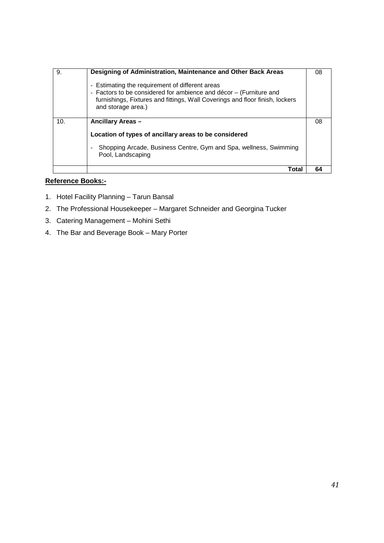| 9.  | Designing of Administration, Maintenance and Other Back Areas<br>Estimating the requirement of different areas<br>$\overline{\phantom{a}}$<br>- Factors to be considered for ambience and décor - (Furniture and<br>furnishings, Fixtures and fittings, Wall Coverings and floor finish, lockers<br>and storage area.) | 08 |
|-----|------------------------------------------------------------------------------------------------------------------------------------------------------------------------------------------------------------------------------------------------------------------------------------------------------------------------|----|
| 10. | Ancillary Areas -<br>Location of types of ancillary areas to be considered<br>Shopping Arcade, Business Centre, Gym and Spa, wellness, Swimming<br>Pool, Landscaping                                                                                                                                                   | 08 |
|     | Total                                                                                                                                                                                                                                                                                                                  | 64 |

- 1. Hotel Facility Planning Tarun Bansal
- 2. The Professional Housekeeper Margaret Schneider and Georgina Tucker
- 3. Catering Management Mohini Sethi
- 4. The Bar and Beverage Book Mary Porter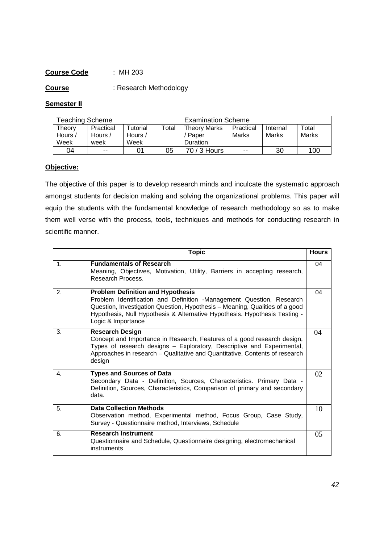**Course** : Research Methodology

#### **Semester II**

| <b>Feaching Scheme</b>    |                              |                                                      |       | <b>Examination Scheme</b>                |                    |                   |                |
|---------------------------|------------------------------|------------------------------------------------------|-------|------------------------------------------|--------------------|-------------------|----------------|
| Theory<br>Hours /<br>Week | Practical<br>Hours /<br>week | <sup>-</sup> utorial<br>Hours $\overline{a}$<br>Week | Total | <b>Theory Marks</b><br>Paper<br>Duration | Practical<br>Marks | Internal<br>Marks | Total<br>Marks |
| 04                        | $- -$                        | 01                                                   | 05    | 70 / 3 Hours                             | $- -$              | 30                | 100            |

#### **Objective:**

The objective of this paper is to develop research minds and inculcate the systematic approach amongst students for decision making and solving the organizational problems. This paper will equip the students with the fundamental knowledge of research methodology so as to make them well verse with the process, tools, techniques and methods for conducting research in scientific manner.

|               | <b>Topic</b>                                                                                                                                                                                                                                                                                        | <b>Hours</b> |
|---------------|-----------------------------------------------------------------------------------------------------------------------------------------------------------------------------------------------------------------------------------------------------------------------------------------------------|--------------|
| $\mathbf 1$ . | <b>Fundamentals of Research</b><br>Meaning, Objectives, Motivation, Utility, Barriers in accepting research,<br>Research Process.                                                                                                                                                                   | 04           |
| 2.            | <b>Problem Definition and Hypothesis</b><br>Problem Identification and Definition -Management Question, Research<br>Question, Investigation Question, Hypothesis - Meaning, Qualities of a good<br>Hypothesis, Null Hypothesis & Alternative Hypothesis. Hypothesis Testing -<br>Logic & Importance | 04           |
| 3.            | <b>Research Design</b><br>Concept and Importance in Research, Features of a good research design,<br>Types of research designs - Exploratory, Descriptive and Experimental,<br>Approaches in research - Qualitative and Quantitative, Contents of research<br>design                                | 04           |
| 4.            | <b>Types and Sources of Data</b><br>Secondary Data - Definition, Sources, Characteristics. Primary Data -<br>Definition, Sources, Characteristics, Comparison of primary and secondary<br>data.                                                                                                     | 02           |
| 5.            | <b>Data Collection Methods</b><br>Observation method, Experimental method, Focus Group, Case Study,<br>Survey - Questionnaire method, Interviews, Schedule                                                                                                                                          | 10           |
| 6.            | <b>Research Instrument</b><br>Questionnaire and Schedule, Questionnaire designing, electromechanical<br>instruments                                                                                                                                                                                 | 05           |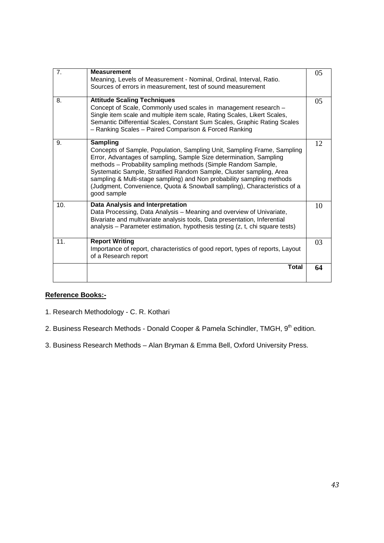| 7.  | <b>Measurement</b><br>Meaning, Levels of Measurement - Nominal, Ordinal, Interval, Ratio.<br>Sources of errors in measurement, test of sound measurement                                                                                                                                                                                                                                                                                                                     | 05 |
|-----|------------------------------------------------------------------------------------------------------------------------------------------------------------------------------------------------------------------------------------------------------------------------------------------------------------------------------------------------------------------------------------------------------------------------------------------------------------------------------|----|
| 8.  | <b>Attitude Scaling Techniques</b><br>Concept of Scale, Commonly used scales in management research -<br>Single item scale and multiple item scale, Rating Scales, Likert Scales,<br>Semantic Differential Scales, Constant Sum Scales, Graphic Rating Scales<br>- Ranking Scales - Paired Comparison & Forced Ranking                                                                                                                                                       | 05 |
| 9.  | <b>Sampling</b><br>Concepts of Sample, Population, Sampling Unit, Sampling Frame, Sampling<br>Error, Advantages of sampling, Sample Size determination, Sampling<br>methods - Probability sampling methods (Simple Random Sample,<br>Systematic Sample, Stratified Random Sample, Cluster sampling, Area<br>sampling & Multi-stage sampling) and Non probability sampling methods<br>(Judgment, Convenience, Quota & Snowball sampling), Characteristics of a<br>good sample | 12 |
| 10. | Data Analysis and Interpretation<br>Data Processing, Data Analysis - Meaning and overview of Univariate,<br>Bivariate and multivariate analysis tools, Data presentation, Inferential<br>analysis – Parameter estimation, hypothesis testing (z, t, chi square tests)                                                                                                                                                                                                        | 10 |
| 11. | <b>Report Writing</b><br>Importance of report, characteristics of good report, types of reports, Layout<br>of a Research report                                                                                                                                                                                                                                                                                                                                              | 03 |
|     | <b>Total</b>                                                                                                                                                                                                                                                                                                                                                                                                                                                                 | 64 |

- 1. Research Methodology C. R. Kothari
- 2. Business Research Methods Donald Cooper & Pamela Schindler, TMGH, 9<sup>th</sup> edition.
- 3. Business Research Methods Alan Bryman & Emma Bell, Oxford University Press.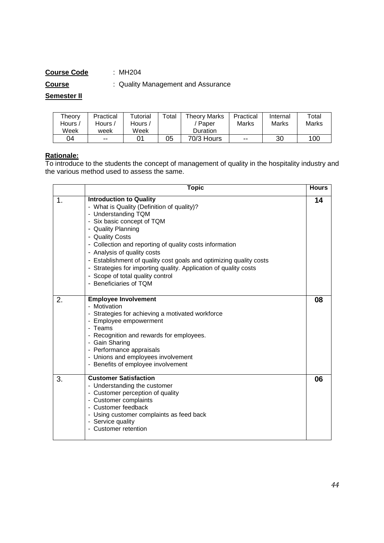**Course** : Quality Management and Assurance

**Semester II**

| Theory         | Practical | Tutorial | ™otal | Theorv Marks    | Practical | Internal | Total |
|----------------|-----------|----------|-------|-----------------|-----------|----------|-------|
| <i>,</i> Hours | Hours /   | Hours /  |       | Paper           | Marks     | Marks    | Marks |
| Week           | week      | Week     |       | <b>Duration</b> |           |          |       |
| 04             | $- -$     |          | 05    | 70/3 Hours      | $- -$     | 30       | 100   |

#### **Rationale:**

To introduce to the students the concept of management of quality in the hospitality industry and the various method used to assess the same.

|    | <b>Topic</b>                                                                                                                                                                                                                                                                                                                                                                                                                                                                 | <b>Hours</b> |
|----|------------------------------------------------------------------------------------------------------------------------------------------------------------------------------------------------------------------------------------------------------------------------------------------------------------------------------------------------------------------------------------------------------------------------------------------------------------------------------|--------------|
| 1. | <b>Introduction to Quality</b><br>- What is Quality (Definition of quality)?<br>- Understanding TQM<br>- Six basic concept of TQM<br>- Quality Planning<br>- Quality Costs<br>- Collection and reporting of quality costs information<br>- Analysis of quality costs<br>- Establishment of quality cost goals and optimizing quality costs<br>- Strategies for importing quality. Application of quality costs<br>- Scope of total quality control<br>- Beneficiaries of TQM | 14           |
| 2. | <b>Employee Involvement</b><br>- Motivation<br>- Strategies for achieving a motivated workforce<br>- Employee empowerment<br>- Teams<br>- Recognition and rewards for employees.<br>- Gain Sharing<br>- Performance appraisals<br>- Unions and employees involvement<br>- Benefits of employee involvement                                                                                                                                                                   | 08           |
| 3. | <b>Customer Satisfaction</b><br>- Understanding the customer<br>- Customer perception of quality<br>- Customer complaints<br>- Customer feedback<br>- Using customer complaints as feed back<br>- Service quality<br>- Customer retention                                                                                                                                                                                                                                    | 06           |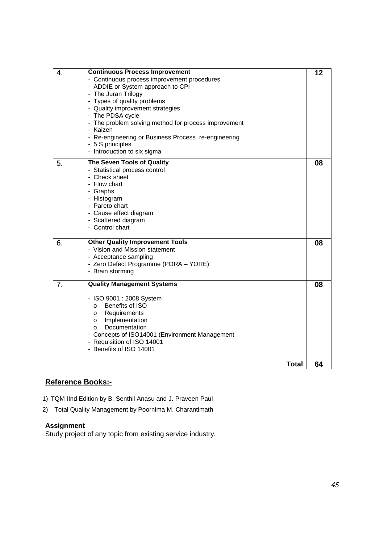| $\overline{4}$ . | <b>Continuous Process Improvement</b>                | 12 |
|------------------|------------------------------------------------------|----|
|                  | - Continuous process improvement procedures          |    |
|                  | - ADDIE or System approach to CPI                    |    |
|                  | - The Juran Trilogy                                  |    |
|                  | - Types of quality problems                          |    |
|                  | - Quality improvement strategies                     |    |
|                  | - The PDSA cycle                                     |    |
|                  | - The problem solving method for process improvement |    |
|                  | - Kaizen                                             |    |
|                  | - Re-engineering or Business Process re-engineering  |    |
|                  | - 5 S principles                                     |    |
|                  | - Introduction to six sigma                          |    |
| 5.               | The Seven Tools of Quality                           | 08 |
|                  | - Statistical process control                        |    |
|                  | - Check sheet                                        |    |
|                  | - Flow chart                                         |    |
|                  | - Graphs                                             |    |
|                  | - Histogram                                          |    |
|                  | - Pareto chart                                       |    |
|                  | - Cause effect diagram                               |    |
|                  | - Scattered diagram                                  |    |
|                  | - Control chart                                      |    |
|                  |                                                      |    |
| 6.               | <b>Other Quality Improvement Tools</b>               | 08 |
|                  | - Vision and Mission statement                       |    |
|                  | - Acceptance sampling                                |    |
|                  | - Zero Defect Programme (PORA - YORE)                |    |
|                  | - Brain storming                                     |    |
| 7.               | <b>Quality Management Systems</b>                    | 08 |
|                  |                                                      |    |
|                  | - ISO 9001 : 2008 System                             |    |
|                  | Benefits of ISO<br>$\circ$                           |    |
|                  | Requirements<br>$\circ$                              |    |
|                  | Implementation<br>$\circ$                            |    |
|                  | Documentation<br>$\circ$                             |    |
|                  | - Concepts of ISO14001 (Environment Management       |    |
|                  | - Requisition of ISO 14001                           |    |
|                  | - Benefits of ISO 14001                              |    |
|                  | <b>Total</b>                                         | 64 |
|                  |                                                      |    |

- 1) TQM IInd Edition by B. Senthil Anasu and J. Praveen Paul
- 2) Total Quality Management by Poornima M. Charantimath

#### **Assignment**

Study project of any topic from existing service industry.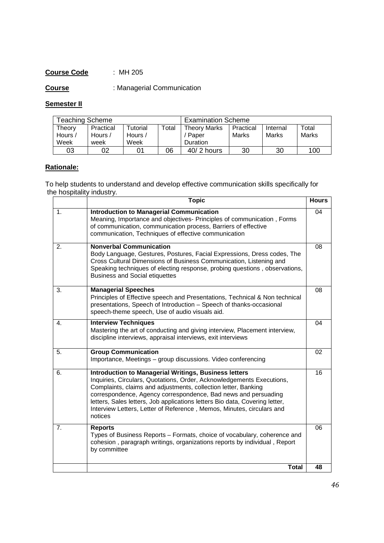**Course** : Managerial Communication

# **Semester II**

| Teaching Scheme           |                              |                             |       | <b>Examination Scheme</b>                       |                    |                   |                |
|---------------------------|------------------------------|-----------------------------|-------|-------------------------------------------------|--------------------|-------------------|----------------|
| Theory<br>Hours /<br>Week | Practical<br>Hours /<br>week | Tutorial<br>Hours /<br>Week | Total | <b>Theory Marks</b><br>Paper<br><b>Duration</b> | Practical<br>Marks | Internal<br>Marks | Total<br>Marks |
| 03                        | 02                           | 01                          | 06    | $40/2$ hours                                    | 30                 | 30                | 100            |

# **Rationale:**

To help students to understand and develop effective communication skills specifically for the hospitality industry.

|               | <b>Topic</b>                                                                                                                                                                                                                                                                                                                                                                                                                                 | <b>Hours</b> |
|---------------|----------------------------------------------------------------------------------------------------------------------------------------------------------------------------------------------------------------------------------------------------------------------------------------------------------------------------------------------------------------------------------------------------------------------------------------------|--------------|
| $\mathbf 1$ . | <b>Introduction to Managerial Communication</b><br>Meaning, Importance and objectives- Principles of communication, Forms<br>of communication, communication process, Barriers of effective<br>communication, Techniques of effective communication                                                                                                                                                                                          | 04           |
| 2.            | <b>Nonverbal Communication</b><br>Body Language, Gestures, Postures, Facial Expressions, Dress codes, The<br>Cross Cultural Dimensions of Business Communication, Listening and<br>Speaking techniques of electing response, probing questions, observations,<br><b>Business and Social etiquettes</b>                                                                                                                                       | 08           |
| 3.            | <b>Managerial Speeches</b><br>Principles of Effective speech and Presentations, Technical & Non technical<br>presentations, Speech of Introduction - Speech of thanks-occasional<br>speech-theme speech, Use of audio visuals aid.                                                                                                                                                                                                           | 08           |
| 4.            | <b>Interview Techniques</b><br>Mastering the art of conducting and giving interview, Placement interview,<br>discipline interviews, appraisal interviews, exit interviews                                                                                                                                                                                                                                                                    | 04           |
| 5.            | <b>Group Communication</b><br>Importance, Meetings - group discussions. Video conferencing                                                                                                                                                                                                                                                                                                                                                   | 02           |
| 6.            | <b>Introduction to Managerial Writings, Business letters</b><br>Inquiries, Circulars, Quotations, Order, Acknowledgements Executions,<br>Complaints, claims and adjustments, collection letter, Banking<br>correspondence, Agency correspondence, Bad news and persuading<br>letters, Sales letters, Job applications letters Bio data, Covering letter,<br>Interview Letters, Letter of Reference, Memos, Minutes, circulars and<br>notices | 16           |
| 7.            | <b>Reports</b><br>Types of Business Reports – Formats, choice of vocabulary, coherence and<br>cohesion, paragraph writings, organizations reports by individual, Report<br>by committee                                                                                                                                                                                                                                                      | 06           |
|               | <b>Total</b>                                                                                                                                                                                                                                                                                                                                                                                                                                 | 48           |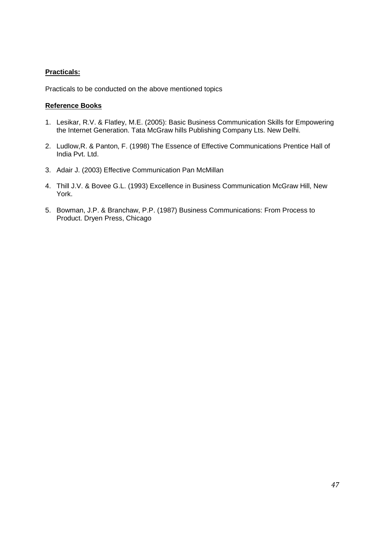#### **Practicals:**

Practicals to be conducted on the above mentioned topics

- 1. Lesikar, R.V. & Flatley, M.E. (2005): Basic Business Communication Skills for Empowering the Internet Generation. Tata McGraw hills Publishing Company Lts. New Delhi.
- 2. Ludlow,R. & Panton, F. (1998) The Essence of Effective Communications Prentice Hall of India Pvt. Ltd.
- 3. Adair J. (2003) Effective Communication Pan McMillan
- 4. Thill J.V. & Bovee G.L. (1993) Excellence in Business Communication McGraw Hill, New York.
- 5. Bowman, J.P. & Branchaw, P.P. (1987) Business Communications: From Process to Product. Dryen Press, Chicago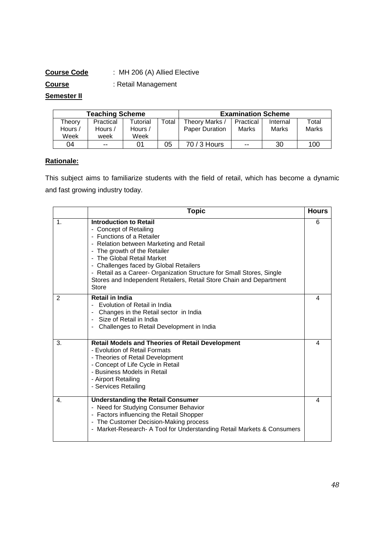# **Course Code** : MH 206 (A) Allied Elective

**Course** : Retail Management

# **Semester II**

| <b>Teaching Scheme</b> |           |          |       |                | <b>Examination Scheme</b> |          |       |
|------------------------|-----------|----------|-------|----------------|---------------------------|----------|-------|
| Theorv                 | Practical | Tutorial | Total | Theory Marks / | Practical                 | Internal | Total |
| Hours /                | Hours /   | Hours /  |       | Paper Duration | Marks                     | Marks    | Marks |
| Week                   | week      | Week     |       |                |                           |          |       |
| 04                     | $- -$     |          | 05    | 70 / 3 Hours   | $- -$                     | 30       | 100   |

# **Rationale:**

This subject aims to familiarize students with the field of retail, which has become a dynamic and fast growing industry today.

|                | <b>Topic</b>                                                                                                                                                                                                                                                                                                                                                                                            | <b>Hours</b> |
|----------------|---------------------------------------------------------------------------------------------------------------------------------------------------------------------------------------------------------------------------------------------------------------------------------------------------------------------------------------------------------------------------------------------------------|--------------|
| $\mathbf{1}$ . | <b>Introduction to Retail</b><br>- Concept of Retailing<br>- Functions of a Retailer<br>- Relation between Marketing and Retail<br>- The growth of the Retailer<br>- The Global Retail Market<br>- Challenges faced by Global Retailers<br>- Retail as a Career- Organization Structure for Small Stores, Single<br>Stores and Independent Retailers, Retail Store Chain and Department<br><b>Store</b> | 6            |
| $\overline{2}$ | <b>Retail in India</b><br>Evolution of Retail in India<br>Changes in the Retail sector in India<br>Size of Retail in India<br>Challenges to Retail Development in India                                                                                                                                                                                                                                 | 4            |
| 3.             | <b>Retail Models and Theories of Retail Development</b><br>- Evolution of Retail Formats<br>- Theories of Retail Development<br>- Concept of Life Cycle in Retail<br>- Business Models in Retail<br>- Airport Retailing<br>- Services Retailing                                                                                                                                                         | 4            |
| 4.             | <b>Understanding the Retail Consumer</b><br>- Need for Studying Consumer Behavior<br>- Factors influencing the Retail Shopper<br>- The Customer Decision-Making process<br>- Market-Research- A Tool for Understanding Retail Markets & Consumers                                                                                                                                                       | 4            |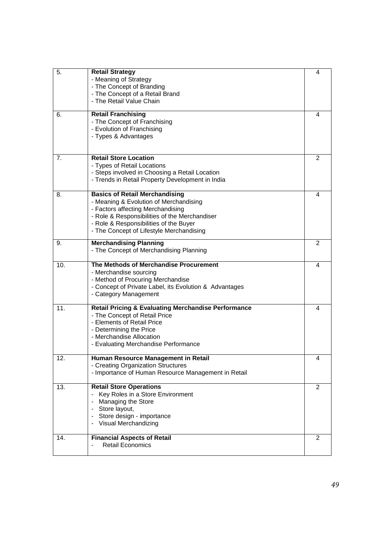| 5.  | <b>Retail Strategy</b>                                                          | 4 |
|-----|---------------------------------------------------------------------------------|---|
|     | - Meaning of Strategy                                                           |   |
|     | - The Concept of Branding                                                       |   |
|     | - The Concept of a Retail Brand                                                 |   |
|     | - The Retail Value Chain                                                        |   |
| 6.  | <b>Retail Franchising</b>                                                       | 4 |
|     | - The Concept of Franchising                                                    |   |
|     | - Evolution of Franchising                                                      |   |
|     | - Types & Advantages                                                            |   |
|     |                                                                                 |   |
| 7.  | <b>Retail Store Location</b>                                                    | 2 |
|     | - Types of Retail Locations                                                     |   |
|     | - Steps involved in Choosing a Retail Location                                  |   |
|     | - Trends in Retail Property Development in India                                |   |
| 8.  | <b>Basics of Retail Merchandising</b>                                           | 4 |
|     | - Meaning & Evolution of Merchandising                                          |   |
|     | - Factors affecting Merchandising                                               |   |
|     | - Role & Responsibilities of the Merchandiser                                   |   |
|     | - Role & Responsibilities of the Buyer                                          |   |
|     | - The Concept of Lifestyle Merchandising                                        |   |
| 9.  | <b>Merchandising Planning</b>                                                   | 2 |
|     | - The Concept of Merchandising Planning                                         |   |
|     |                                                                                 |   |
| 10. | The Methods of Merchandise Procurement                                          | 4 |
|     | - Merchandise sourcing                                                          |   |
|     | - Method of Procuring Merchandise                                               |   |
|     | - Concept of Private Label, its Evolution & Advantages<br>- Category Management |   |
|     |                                                                                 |   |
| 11. | <b>Retail Pricing &amp; Evaluating Merchandise Performance</b>                  | 4 |
|     | - The Concept of Retail Price                                                   |   |
|     | - Elements of Retail Price                                                      |   |
|     | - Determining the Price                                                         |   |
|     | - Merchandise Allocation                                                        |   |
|     | - Evaluating Merchandise Performance                                            |   |
| 12. | Human Resource Management in Retail                                             | 4 |
|     | - Creating Organization Structures                                              |   |
|     | - Importance of Human Resource Management in Retail                             |   |
| 13. | <b>Retail Store Operations</b>                                                  | 2 |
|     | Key Roles in a Store Environment                                                |   |
|     | Managing the Store                                                              |   |
|     | - Store layout,                                                                 |   |
|     | Store design - importance                                                       |   |
|     | Visual Merchandizing                                                            |   |
| 14. | <b>Financial Aspects of Retail</b>                                              | 2 |
|     | <b>Retail Economics</b>                                                         |   |
|     |                                                                                 |   |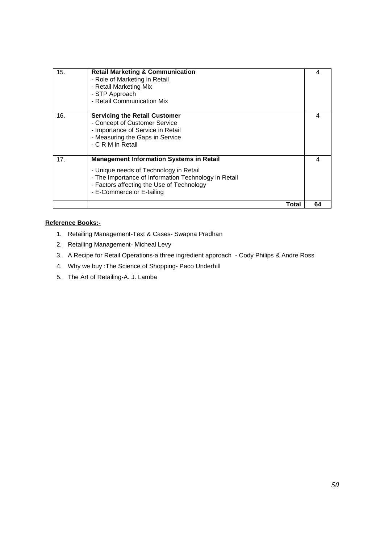| 15. | <b>Retail Marketing &amp; Communication</b><br>- Role of Marketing in Retail<br>- Retail Marketing Mix<br>- STP Approach<br>- Retail Communication Mix                                                                      | 4  |
|-----|-----------------------------------------------------------------------------------------------------------------------------------------------------------------------------------------------------------------------------|----|
| 16. | <b>Servicing the Retail Customer</b><br>- Concept of Customer Service<br>- Importance of Service in Retail<br>- Measuring the Gaps in Service<br>- C R M in Retail                                                          | 4  |
| 17. | <b>Management Information Systems in Retail</b><br>- Unique needs of Technology in Retail<br>- The Importance of Information Technology in Retail<br>- Factors affecting the Use of Technology<br>- E-Commerce or E-tailing | 4  |
|     | Total                                                                                                                                                                                                                       | 64 |

- 1. Retailing Management-Text & Cases- Swapna Pradhan
- 2. Retailing Management- Micheal Levy
- 3. A Recipe for Retail Operations-a three ingredient approach Cody Philips & Andre Ross
- 4. Why we buy :The Science of Shopping- Paco Underhill
- 5. The Art of Retailing-A. J. Lamba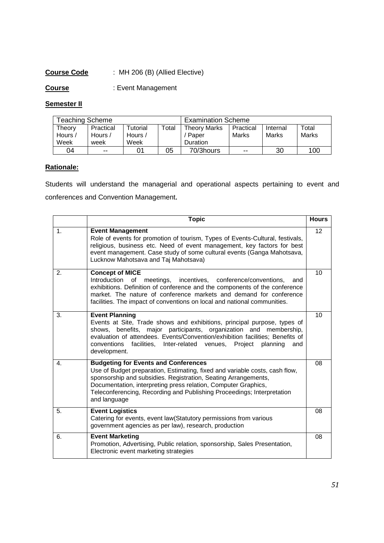# **Course Code** : MH 206 (B) (Allied Elective)

**Course** : Event Management

# **Semester II**

| <b>Feaching Scheme</b>    |                              |                                                      |       | <b>Examination Scheme</b>                |                    |                   |                |
|---------------------------|------------------------------|------------------------------------------------------|-------|------------------------------------------|--------------------|-------------------|----------------|
| Theory<br>Hours /<br>Week | Practical<br>Hours /<br>week | <sup>-</sup> utorial<br>Hours $\overline{a}$<br>Week | Total | <b>Theory Marks</b><br>Paper<br>Duration | Practical<br>Marks | Internal<br>Marks | Total<br>Marks |
| 04                        | $- -$                        | 01                                                   | 05    | 70/3hours                                | $- -$              | 30                | 100            |

# **Rationale:**

Students will understand the managerial and operational aspects pertaining to event and conferences and Convention Management.

|                | <b>Topic</b>                                                                                                                                                                                                                                                                                                                                             | <b>Hours</b> |
|----------------|----------------------------------------------------------------------------------------------------------------------------------------------------------------------------------------------------------------------------------------------------------------------------------------------------------------------------------------------------------|--------------|
| $\mathbf{1}$ . | <b>Event Management</b><br>Role of events for promotion of tourism, Types of Events-Cultural, festivals,<br>religious, business etc. Need of event management, key factors for best<br>event management. Case study of some cultural events (Ganga Mahotsava,<br>Lucknow Mahotsava and Taj Mahotsava)                                                    | 12           |
| 2.             | <b>Concept of MICE</b><br>Introduction of<br>meetings,<br>incentives, conference/conventions,<br>and<br>exhibitions. Definition of conference and the components of the conference<br>market. The nature of conference markets and demand for conference<br>facilities. The impact of conventions on local and national communities.                     | 10           |
| 3.             | <b>Event Planning</b><br>Events at Site, Trade shows and exhibitions, principal purpose, types of<br>shows, benefits, major participants, organization and membership,<br>evaluation of attendees. Events/Convention/exhibition facilities; Benefits of<br>conventions facilities, Inter-related venues, Project<br>planning<br>and<br>development.      | 10           |
| $\mathbf{4}$ . | <b>Budgeting for Events and Conferences</b><br>Use of Budget preparation, Estimating, fixed and variable costs, cash flow,<br>sponsorship and subsidies. Registration, Seating Arrangements,<br>Documentation, interpreting press relation, Computer Graphics,<br>Teleconferencing, Recording and Publishing Proceedings; Interpretation<br>and language | 08           |
| 5.             | <b>Event Logistics</b><br>Catering for events, event law (Statutory permissions from various<br>government agencies as per law), research, production                                                                                                                                                                                                    | 08           |
| 6.             | <b>Event Marketing</b><br>Promotion, Advertising, Public relation, sponsorship, Sales Presentation,<br>Electronic event marketing strategies                                                                                                                                                                                                             | 08           |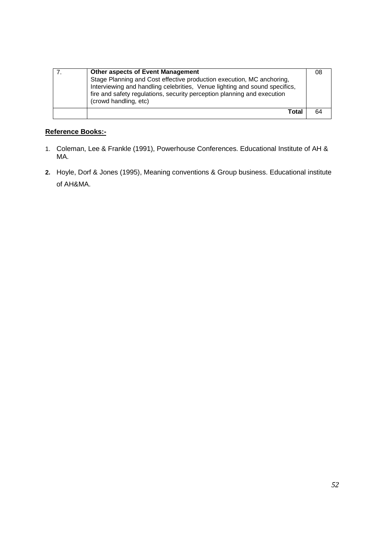| <b>Other aspects of Event Management</b><br>Stage Planning and Cost effective production execution, MC anchoring,<br>Interviewing and handling celebrities, Venue lighting and sound specifics,<br>fire and safety regulations, security perception planning and execution<br>(crowd handling, etc) | 08 |
|-----------------------------------------------------------------------------------------------------------------------------------------------------------------------------------------------------------------------------------------------------------------------------------------------------|----|
| Total                                                                                                                                                                                                                                                                                               | 64 |

- 1. Coleman, Lee & Frankle (1991), Powerhouse Conferences. Educational Institute of AH & MA.
- **2.** Hoyle, Dorf & Jones (1995), Meaning conventions & Group business. Educational institute of AH&MA.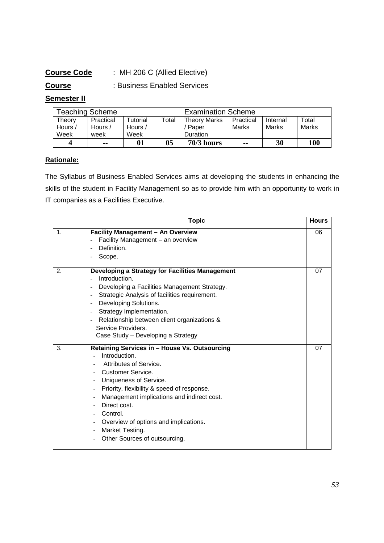# **Course Code** : MH 206 C (Allied Elective)

**Course** : Business Enabled Services

# **Semester II**

| Teaching Scheme |           |                 | <b>Examination Scheme</b> |                     |               |          |              |
|-----------------|-----------|-----------------|---------------------------|---------------------|---------------|----------|--------------|
| Theorv          | Practical | <b>Tutorial</b> | Total                     | <b>Theory Marks</b> | Practical     | Internal | Total        |
| Hours /         | Hours /   | Hours /         |                           | Paper               | Marks         | Marks    | <b>Marks</b> |
| Week            | week      | Week            |                           | Duration            |               |          |              |
|                 | --        | 01              | 05                        | $70/3$ hours        | $\sim$ $\sim$ | 30       | 100          |

#### **Rationale:**

The Syllabus of Business Enabled Services aims at developing the students in enhancing the skills of the student in Facility Management so as to provide him with an opportunity to work in IT companies as a Facilities Executive.

|                | <b>Topic</b>                                                                                                                                                                                                                                                                                                                                                                                                                                     | <b>Hours</b> |
|----------------|--------------------------------------------------------------------------------------------------------------------------------------------------------------------------------------------------------------------------------------------------------------------------------------------------------------------------------------------------------------------------------------------------------------------------------------------------|--------------|
| $\mathbf 1$ .  | <b>Facility Management - An Overview</b><br>Facility Management - an overview<br>Definition.<br>Ē,<br>Scope.<br>÷                                                                                                                                                                                                                                                                                                                                | 06           |
| $\mathbf{2}$ . | Developing a Strategy for Facilities Management<br>Introduction.<br>Developing a Facilities Management Strategy.<br>$\overline{a}$<br>Strategic Analysis of facilities requirement.<br>$\overline{a}$<br>Developing Solutions.<br>$\overline{a}$<br>Strategy Implementation.<br>$\overline{\phantom{a}}$<br>Relationship between client organizations &<br>$\overline{a}$<br>Service Providers.<br>Case Study - Developing a Strategy            | 07           |
| 3.             | Retaining Services in - House Vs. Outsourcing<br>Introduction.<br>Attributes of Service.<br>Customer Service.<br>Uniqueness of Service.<br>Priority, flexibility & speed of response.<br>Management implications and indirect cost.<br>$\overline{\phantom{a}}$<br>Direct cost.<br>Control.<br>Overview of options and implications.<br>$\overline{\phantom{a}}$<br>Market Testing.<br>$\overline{\phantom{a}}$<br>Other Sources of outsourcing. | 07           |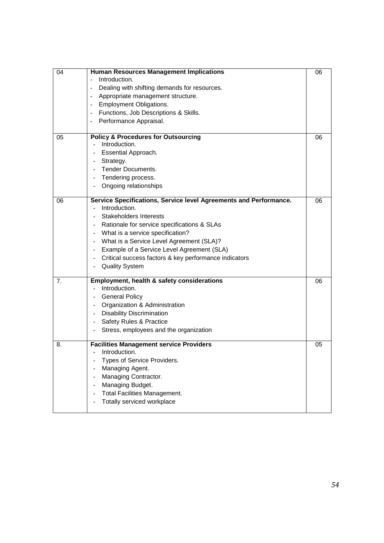| 04 | <b>Human Resources Management Implications</b><br>Introduction.<br>Dealing with shifting demands for resources.<br>Appropriate management structure.<br>$\overline{\phantom{a}}$<br><b>Employment Obligations.</b><br>$\overline{\phantom{a}}$<br>Functions, Job Descriptions & Skills.<br>Performance Appraisal.                                                                                                                                                        | 06 |
|----|--------------------------------------------------------------------------------------------------------------------------------------------------------------------------------------------------------------------------------------------------------------------------------------------------------------------------------------------------------------------------------------------------------------------------------------------------------------------------|----|
| 05 | <b>Policy &amp; Procedures for Outsourcing</b><br>Introduction.<br>Essential Approach.<br>Strategy.<br>$\blacksquare$<br><b>Tender Documents.</b><br>$\blacksquare$<br>Tendering process.<br>$\equiv$<br>Ongoing relationships                                                                                                                                                                                                                                           | 06 |
| 06 | Service Specifications, Service level Agreements and Performance.<br>Introduction.<br>$\overline{a}$<br><b>Stakeholders Interests</b><br>Rationale for service specifications & SLAs<br>- What is a service specification?<br>- What is a Service Level Agreement (SLA)?<br>Example of a Service Level Agreement (SLA)<br>$\blacksquare$<br>Critical success factors & key performance indicators<br>$\overline{\phantom{a}}$<br><b>Quality System</b><br>$\blacksquare$ | 06 |
| 7. | Employment, health & safety considerations<br>Introduction.<br><b>General Policy</b><br>Organization & Administration<br>$\frac{1}{2}$ .<br><b>Disability Discrimination</b><br>$\overline{\phantom{a}}$<br>Safety Rules & Practice<br>$\sim 100$<br>Stress, employees and the organization                                                                                                                                                                              | 06 |
| 8. | <b>Facilities Management service Providers</b><br>Introduction.<br>$\overline{a}$<br>Types of Service Providers.<br>Managing Agent.<br>Managing Contractor.<br>Managing Budget.<br>$\overline{a}$<br><b>Total Facilities Management.</b><br>$\overline{a}$<br>Totally serviced workplace<br>$\overline{\phantom{a}}$                                                                                                                                                     | 05 |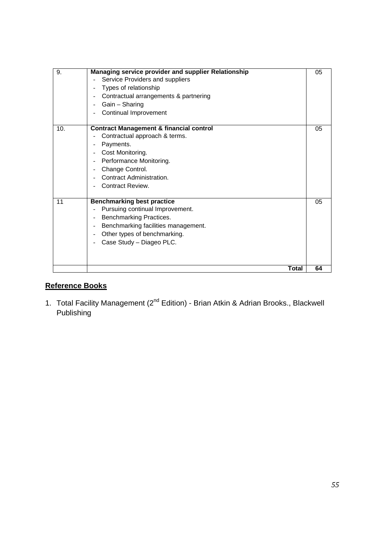| 9.<br>10. | Managing service provider and supplier Relationship<br>Service Providers and suppliers<br>Types of relationship<br>Contractual arrangements & partnering<br>$\overline{\phantom{a}}$<br>Gain - Sharing<br>$\overline{\phantom{m}}$<br>Continual Improvement<br>$\overline{\phantom{a}}$<br><b>Contract Management &amp; financial control</b><br>Contractual approach & terms.<br>Payments.<br>۰<br>Cost Monitoring.<br>$\overline{\phantom{a}}$<br>Performance Monitoring.<br>$\overline{\phantom{a}}$<br>Change Control.<br>$\overline{\phantom{a}}$<br>Contract Administration.<br>Contract Review. | 05<br>05 |
|-----------|--------------------------------------------------------------------------------------------------------------------------------------------------------------------------------------------------------------------------------------------------------------------------------------------------------------------------------------------------------------------------------------------------------------------------------------------------------------------------------------------------------------------------------------------------------------------------------------------------------|----------|
| 11        | <b>Benchmarking best practice</b><br>Pursuing continual Improvement.<br>$\overline{\phantom{a}}$<br>Benchmarking Practices.<br>$\overline{\phantom{a}}$<br>Benchmarking facilities management.<br>$\overline{\phantom{a}}$<br>Other types of benchmarking.<br>$\overline{\phantom{a}}$<br>Case Study - Diageo PLC.                                                                                                                                                                                                                                                                                     | 05       |
|           | Total                                                                                                                                                                                                                                                                                                                                                                                                                                                                                                                                                                                                  | 64       |

1. Total Facility Management (2<sup>nd</sup> Edition) - Brian Atkin & Adrian Brooks., Blackwell Publishing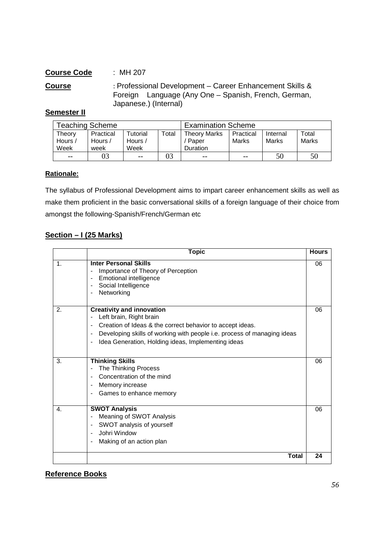# **Course Code** : MH 207 **Course** : Professional Development – Career Enhancement Skills & Foreign Language (Any One – Spanish, French, German, Japanese.) (Internal)

#### **Semester II**

| <b>Teaching Scheme</b>    |                              |                             |       | <b>Examination Scheme</b>                |                    |                   |                |
|---------------------------|------------------------------|-----------------------------|-------|------------------------------------------|--------------------|-------------------|----------------|
| Theory<br>Hours /<br>Week | Practical<br>Hours /<br>week | Tutorial<br>Hours /<br>Week | Total | <b>Theory Marks</b><br>Paper<br>Duration | Practical<br>Marks | Internal<br>Marks | Total<br>Marks |
| $- -$                     | 03                           | $- -$                       | 03    | $- -$                                    | $- -$              | 50                | 50             |

#### **Rationale:**

The syllabus of Professional Development aims to impart career enhancement skills as well as make them proficient in the basic conversational skills of a foreign language of their choice from amongst the following-Spanish/French/German etc

#### **Section – I (25 Marks)**

|                | <b>Topic</b>                                                                                                                                                                                                                                                                                                                                       | <b>Hours</b> |
|----------------|----------------------------------------------------------------------------------------------------------------------------------------------------------------------------------------------------------------------------------------------------------------------------------------------------------------------------------------------------|--------------|
| $\mathbf 1$ .  | <b>Inter Personal Skills</b><br>Importance of Theory of Perception<br>Ĭ.<br><b>Emotional intelligence</b><br>Social Intelligence<br>$\overline{\phantom{0}}$<br>Networking<br>$\overline{a}$                                                                                                                                                       | 06           |
| $\mathbf{2}$ . | <b>Creativity and innovation</b><br>Left brain, Right brain<br>-<br>Creation of Ideas & the correct behavior to accept ideas.<br>$\overline{\phantom{0}}$<br>Developing skills of working with people i.e. process of managing ideas<br>$\overline{\phantom{0}}$<br>Idea Generation, Holding ideas, Implementing ideas<br>$\overline{\phantom{a}}$ | 06           |
| 3.             | <b>Thinking Skills</b><br>The Thinking Process<br>-<br>Concentration of the mind<br>$\blacksquare$<br>Memory increase<br>$\overline{\phantom{0}}$<br>Games to enhance memory                                                                                                                                                                       | 06           |
| 4.             | <b>SWOT Analysis</b><br>Meaning of SWOT Analysis<br>$\overline{a}$<br>SWOT analysis of yourself<br>$\blacksquare$<br>Johri Window<br>Making of an action plan<br>$\overline{\phantom{0}}$                                                                                                                                                          | 06           |
|                | <b>Total</b>                                                                                                                                                                                                                                                                                                                                       | 24           |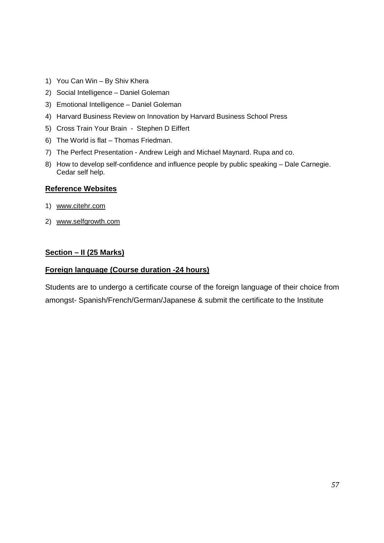- 1) You Can Win By Shiv Khera
- 2) Social Intelligence Daniel Goleman
- 3) Emotional Intelligence Daniel Goleman
- 4) Harvard Business Review on Innovation by Harvard Business School Press
- 5) Cross Train Your Brain Stephen D Eiffert
- 6) The World is flat Thomas Friedman.
- 7) The Perfect Presentation Andrew Leigh and Michael Maynard. Rupa and co.
- 8) How to develop self-confidence and influence people by public speaking Dale Carnegie. Cedar self help.

#### **Reference Websites**

- 1) www.citehr.com
- 2) www.selfgrowth.com

# **Section – II (25 Marks)**

#### **Foreign language (Course duration -24 hours)**

Students are to undergo a certificate course of the foreign language of their choice from amongst- Spanish/French/German/Japanese & submit the certificate to the Institute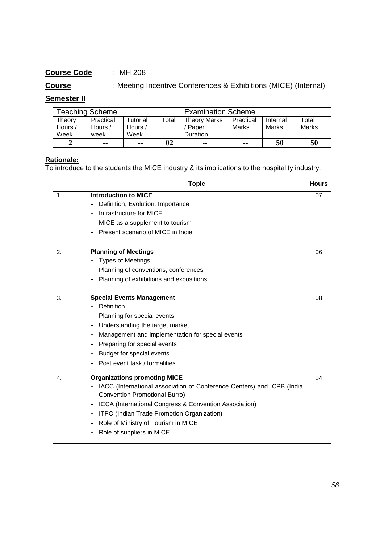# **Course** : Meeting Incentive Conferences & Exhibitions (MICE) (Internal)

# **Semester II**

| <b>Teaching Scheme</b>    |                              |                             |       | <b>Examination Scheme</b>                |                    |                   |                |
|---------------------------|------------------------------|-----------------------------|-------|------------------------------------------|--------------------|-------------------|----------------|
| Theory<br>Hours /<br>Week | Practical<br>Hours /<br>week | Tutorial<br>Hours /<br>Week | Total | <b>Theory Marks</b><br>Paper<br>Duration | Practical<br>Marks | Internal<br>Marks | Total<br>Marks |
| ◠                         | --                           | --                          | 02    | --                                       | --                 | 50                | 50             |

#### **Rationale:**

To introduce to the students the MICE industry & its implications to the hospitality industry.

|               | <b>Topic</b>                                                                             | <b>Hours</b> |
|---------------|------------------------------------------------------------------------------------------|--------------|
| $\mathbf 1$ . | <b>Introduction to MICE</b>                                                              | 07           |
|               | Definition, Evolution, Importance                                                        |              |
|               | Infrastructure for MICE<br>٠                                                             |              |
|               | MICE as a supplement to tourism<br>$\blacksquare$                                        |              |
|               | Present scenario of MICE in India                                                        |              |
| 2.            | <b>Planning of Meetings</b>                                                              | 06           |
|               | <b>Types of Meetings</b>                                                                 |              |
|               | Planning of conventions, conferences                                                     |              |
|               | Planning of exhibitions and expositions<br>۰                                             |              |
| 3.            | <b>Special Events Management</b>                                                         | 08           |
|               | Definition                                                                               |              |
|               | Planning for special events                                                              |              |
|               |                                                                                          |              |
|               | Understanding the target market<br>۰<br>Management and implementation for special events |              |
|               | $\blacksquare$                                                                           |              |
|               | Preparing for special events                                                             |              |
|               | Budget for special events<br>٠                                                           |              |
|               | Post event task / formalities                                                            |              |
| 4.            | <b>Organizations promoting MICE</b>                                                      | 04           |
|               | IACC (International association of Conference Centers) and ICPB (India                   |              |
|               | <b>Convention Promotional Burro)</b>                                                     |              |
|               | ICCA (International Congress & Convention Association)<br>$\blacksquare$                 |              |
|               | ITPO (Indian Trade Promotion Organization)<br>$\blacksquare$                             |              |
|               | Role of Ministry of Tourism in MICE                                                      |              |
|               | Role of suppliers in MICE                                                                |              |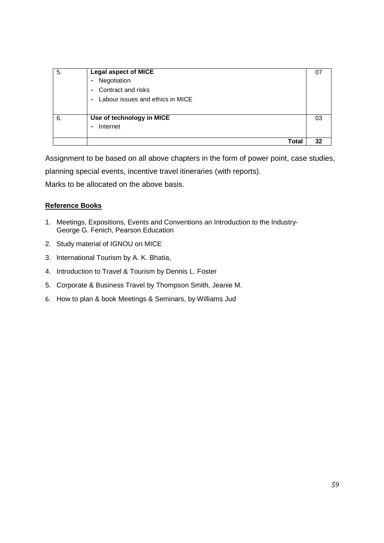| 5. | <b>Legal aspect of MICE</b>                        |    |
|----|----------------------------------------------------|----|
|    | Negotiation<br>$\blacksquare$                      |    |
|    | Contract and risks<br>$\blacksquare$               |    |
|    | Labour issues and ethics in MICE<br>$\blacksquare$ |    |
|    |                                                    |    |
| 6. | Use of technology in MICE                          | 03 |
|    | Internet<br>$\blacksquare$                         |    |
|    |                                                    |    |
|    | Total                                              | 32 |

Assignment to be based on all above chapters in the form of power point, case studies,

planning special events, incentive travel itineraries (with reports).

Marks to be allocated on the above basis.

- 1. Meetings, Expositions, Events and Conventions an Introduction to the Industry-George G. Fenich, Pearson Education
- 2. Study material of IGNOU on MICE
- 3. International Tourism by A. K. Bhatia,
- 4. Introduction to Travel & Tourism by Dennis L. Foster
- 5. Corporate & Business Travel by Thompson Smith, Jeanie M.
- 6. How to plan & book Meetings & Seminars, by Williams Jud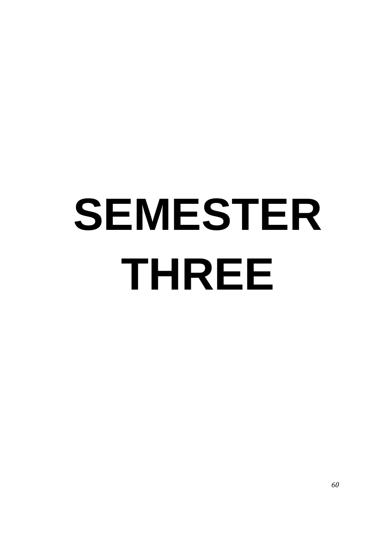# **SEMESTER THREE**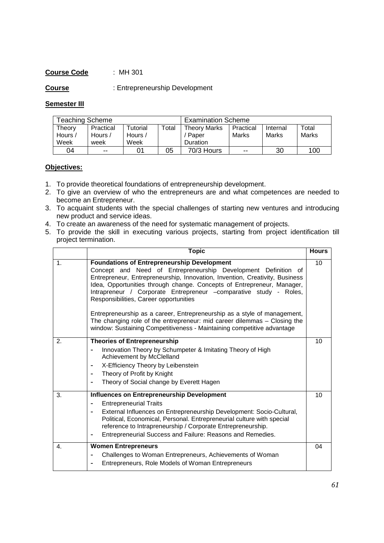**Course** : Entrepreneurship Development

#### **Semester III**

| <b>Teaching Scheme</b>    |                              |                            |       | <b>Examination Scheme</b>                |                    |                   |                |
|---------------------------|------------------------------|----------------------------|-------|------------------------------------------|--------------------|-------------------|----------------|
| Theorv<br>Hours /<br>Week | Practical<br>Hours /<br>week | ™utorial<br>Hours,<br>Week | Total | <b>Theory Marks</b><br>Paper<br>Duration | Practical<br>Marks | Internal<br>Marks | Total<br>Marks |
| 04                        | $- -$                        |                            | 05    | 70/3 Hours                               | $- -$              | 30                | 100            |

#### **Objectives:**

- 1. To provide theoretical foundations of entrepreneurship development.
- 2. To give an overview of who the entrepreneurs are and what competences are needed to become an Entrepreneur.
- 3. To acquaint students with the special challenges of starting new ventures and introducing new product and service ideas.
- 4. To create an awareness of the need for systematic management of projects.
- 5. To provide the skill in executing various projects, starting from project identification till project termination.

|               | <b>Topic</b>                                                                                                                                                                                                                                                                                                                                                                                 | <b>Hours</b> |
|---------------|----------------------------------------------------------------------------------------------------------------------------------------------------------------------------------------------------------------------------------------------------------------------------------------------------------------------------------------------------------------------------------------------|--------------|
| $\mathbf 1$ . | <b>Foundations of Entrepreneurship Development</b><br>Concept and Need of Entrepreneurship Development Definition of<br>Entrepreneur, Entrepreneurship, Innovation, Invention, Creativity, Business<br>Idea, Opportunities through change. Concepts of Entrepreneur, Manager,<br>Intrapreneur / Corporate Entrepreneur -comparative study - Roles,<br>Responsibilities, Career opportunities | 10           |
|               | Entrepreneurship as a career, Entrepreneurship as a style of management,<br>The changing role of the entrepreneur: mid career dilemmas - Closing the<br>window: Sustaining Competitiveness - Maintaining competitive advantage                                                                                                                                                               |              |
| 2.            | <b>Theories of Entrepreneurship</b>                                                                                                                                                                                                                                                                                                                                                          | 10           |
|               | Innovation Theory by Schumpeter & Imitating Theory of High<br>Achievement by McClelland                                                                                                                                                                                                                                                                                                      |              |
|               | X-Efficiency Theory by Leibenstein<br>$\blacksquare$                                                                                                                                                                                                                                                                                                                                         |              |
|               | Theory of Profit by Knight<br>$\blacksquare$                                                                                                                                                                                                                                                                                                                                                 |              |
|               | Theory of Social change by Everett Hagen                                                                                                                                                                                                                                                                                                                                                     |              |
| 3.            | <b>Influences on Entrepreneurship Development</b>                                                                                                                                                                                                                                                                                                                                            | 10           |
|               | <b>Entrepreneurial Traits</b>                                                                                                                                                                                                                                                                                                                                                                |              |
|               | External Influences on Entrepreneurship Development: Socio-Cultural,<br>Political, Economical, Personal. Entrepreneurial culture with special<br>reference to Intrapreneurship / Corporate Entrepreneurship.                                                                                                                                                                                 |              |
|               | Entrepreneurial Success and Failure: Reasons and Remedies.<br>$\blacksquare$                                                                                                                                                                                                                                                                                                                 |              |
| 4.            | <b>Women Entrepreneurs</b>                                                                                                                                                                                                                                                                                                                                                                   | 04           |
|               | Challenges to Woman Entrepreneurs, Achievements of Woman<br>$\blacksquare$                                                                                                                                                                                                                                                                                                                   |              |
|               | Entrepreneurs, Role Models of Woman Entrepreneurs                                                                                                                                                                                                                                                                                                                                            |              |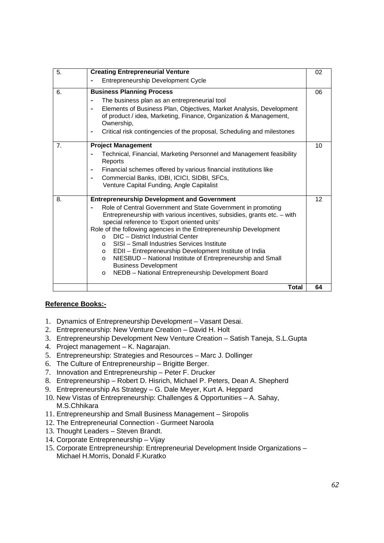| 5.             | <b>Creating Entrepreneurial Venture</b>                                                                                                                                                                                                                                                                                                                                                                                                                                                                                                                                                                                                                                    | 02 |
|----------------|----------------------------------------------------------------------------------------------------------------------------------------------------------------------------------------------------------------------------------------------------------------------------------------------------------------------------------------------------------------------------------------------------------------------------------------------------------------------------------------------------------------------------------------------------------------------------------------------------------------------------------------------------------------------------|----|
|                | Entrepreneurship Development Cycle                                                                                                                                                                                                                                                                                                                                                                                                                                                                                                                                                                                                                                         |    |
| 6.             | <b>Business Planning Process</b><br>The business plan as an entrepreneurial tool<br>Elements of Business Plan, Objectives, Market Analysis, Development<br>$\blacksquare$<br>of product / idea, Marketing, Finance, Organization & Management,<br>Ownership,<br>Critical risk contingencies of the proposal, Scheduling and milestones                                                                                                                                                                                                                                                                                                                                     | 06 |
| 7 <sub>1</sub> | <b>Project Management</b><br>Technical, Financial, Marketing Personnel and Management feasibility<br>Reports<br>Financial schemes offered by various financial institutions like<br>$\blacksquare$<br>Commercial Banks, IDBI, ICICI, SIDBI, SFCs,<br>$\blacksquare$<br>Venture Capital Funding, Angle Capitalist                                                                                                                                                                                                                                                                                                                                                           | 10 |
| 8.             | <b>Entrepreneurship Development and Government</b><br>Role of Central Government and State Government in promoting<br>Entrepreneurship with various incentives, subsidies, grants etc. - with<br>special reference to 'Export oriented units'<br>Role of the following agencies in the Entrepreneurship Development<br>DIC - District Industrial Center<br>$\Omega$<br>SISI - Small Industries Services Institute<br>$\circ$<br>EDII - Entrepreneurship Development Institute of India<br>$\circ$<br>NIESBUD - National Institute of Entrepreneurship and Small<br>$\circ$<br><b>Business Development</b><br>NEDB - National Entrepreneurship Development Board<br>$\circ$ | 12 |
|                | <b>Total</b>                                                                                                                                                                                                                                                                                                                                                                                                                                                                                                                                                                                                                                                               | 64 |

- 1. Dynamics of Entrepreneurship Development Vasant Desai.
- 2. Entrepreneurship: New Venture Creation David H. Holt
- 3. Entrepreneurship Development New Venture Creation Satish Taneja, S.L.Gupta
- 4. Project management K. Nagarajan.
- 5. Entrepreneurship: Strategies and Resources Marc J. Dollinger
- 6. The Culture of Entrepreneurship Brigitte Berger.
- 7. Innovation and Entrepreneurship Peter F. Drucker
- 8. Entrepreneurship Robert D. Hisrich, Michael P. Peters, Dean A. Shepherd
- 9. Entrepreneurship As Strategy G. Dale Meyer, Kurt A. Heppard
- 10. New Vistas of Entrepreneurship: Challenges & Opportunities A. Sahay, M.S.Chhikara
- 11. Entrepreneurship and Small Business Management Siropolis
- 12. The Entrepreneurial Connection Gurmeet Naroola
- 13. Thought Leaders Steven Brandt.
- 14. Corporate Entrepreneurship Vijay
- 15. Corporate Entrepreneurship: Entrepreneurial Development Inside Organizations Michael H.Morris, Donald F.Kuratko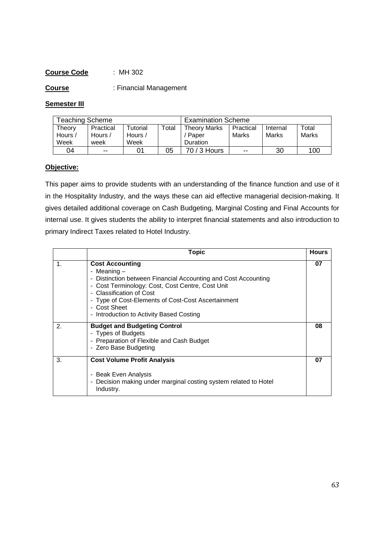**Course** : Financial Management

#### **Semester III**

| <b>Teaching Scheme</b>    |                              |                             |       | <b>Examination Scheme</b>                |                    |                   |                |
|---------------------------|------------------------------|-----------------------------|-------|------------------------------------------|--------------------|-------------------|----------------|
| Theorv<br>Hours /<br>Week | Practical<br>Hours /<br>week | Tutorial<br>Hours /<br>Week | Total | <b>Theory Marks</b><br>Paper<br>Duration | Practical<br>Marks | Internal<br>Marks | Total<br>Marks |
| 04                        | $- -$                        | 01                          | 05    | 70 / 3 Hours                             | $- -$              | 30                | 100            |

#### **Objective:**

This paper aims to provide students with an understanding of the finance function and use of it in the Hospitality Industry, and the ways these can aid effective managerial decision-making. It gives detailed additional coverage on Cash Budgeting, Marginal Costing and Final Accounts for internal use. It gives students the ability to interpret financial statements and also introduction to primary Indirect Taxes related to Hotel Industry.

|               | Topic                                                                                                                                                                                                                                                                                                     | <b>Hours</b> |
|---------------|-----------------------------------------------------------------------------------------------------------------------------------------------------------------------------------------------------------------------------------------------------------------------------------------------------------|--------------|
| $\mathbf 1$ . | <b>Cost Accounting</b><br>- Meaning -<br>- Distinction between Financial Accounting and Cost Accounting<br>- Cost Terminology: Cost, Cost Centre, Cost Unit<br>- Classification of Cost<br>- Type of Cost-Elements of Cost-Cost Ascertainment<br>- Cost Sheet<br>- Introduction to Activity Based Costing | 07           |
| 2.            | <b>Budget and Budgeting Control</b><br>- Types of Budgets<br>- Preparation of Flexible and Cash Budget<br>- Zero Base Budgeting                                                                                                                                                                           | 08           |
| 3.            | <b>Cost Volume Profit Analysis</b><br>- Beak Even Analysis<br>- Decision making under marginal costing system related to Hotel<br>Industry.                                                                                                                                                               | 07           |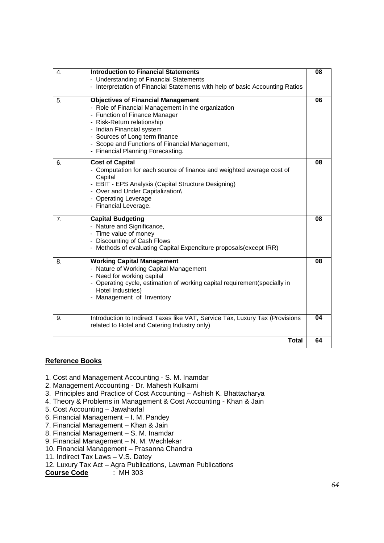| 4. | <b>Introduction to Financial Statements</b><br>- Understanding of Financial Statements                                                                                                                                                                                                                               | 08 |
|----|----------------------------------------------------------------------------------------------------------------------------------------------------------------------------------------------------------------------------------------------------------------------------------------------------------------------|----|
|    | - Interpretation of Financial Statements with help of basic Accounting Ratios                                                                                                                                                                                                                                        |    |
| 5. | <b>Objectives of Financial Management</b><br>- Role of Financial Management in the organization<br>- Function of Finance Manager<br>- Risk-Return relationship<br>- Indian Financial system<br>- Sources of Long term finance<br>- Scope and Functions of Financial Management,<br>- Financial Planning Forecasting. | 06 |
| 6. | <b>Cost of Capital</b><br>- Computation for each source of finance and weighted average cost of<br>Capital<br>- EBIT - EPS Analysis (Capital Structure Designing)<br>- Over and Under Capitalization\<br>- Operating Leverage<br>- Financial Leverage.                                                               | 08 |
| 7. | <b>Capital Budgeting</b><br>- Nature and Significance,<br>- Time value of money<br>- Discounting of Cash Flows<br>- Methods of evaluating Capital Expenditure proposals(except IRR)                                                                                                                                  | 08 |
| 8. | <b>Working Capital Management</b><br>- Nature of Working Capital Management<br>- Need for working capital<br>- Operating cycle, estimation of working capital requirement(specially in<br>Hotel Industries)<br>- Management of Inventory                                                                             | 08 |
| 9. | Introduction to Indirect Taxes like VAT, Service Tax, Luxury Tax (Provisions<br>related to Hotel and Catering Industry only)                                                                                                                                                                                         | 04 |
|    | <b>Total</b>                                                                                                                                                                                                                                                                                                         | 64 |

- 1. Cost and Management Accounting S. M. Inamdar
- 2. Management Accounting Dr. Mahesh Kulkarni
- 3. Principles and Practice of Cost Accounting Ashish K. Bhattacharya
- 4. Theory & Problems in Management & Cost Accounting Khan & Jain
- 5. Cost Accounting Jawaharlal
- 6. Financial Management I. M. Pandey
- 7. Financial Management Khan & Jain
- 8. Financial Management S. M. Inamdar
- 9. Financial Management N. M. Wechlekar
- 10. Financial Management Prasanna Chandra
- 11. Indirect Tax Laws V.S. Datey
- 12. Luxury Tax Act Agra Publications, Lawman Publications

**Course Code** : MH 303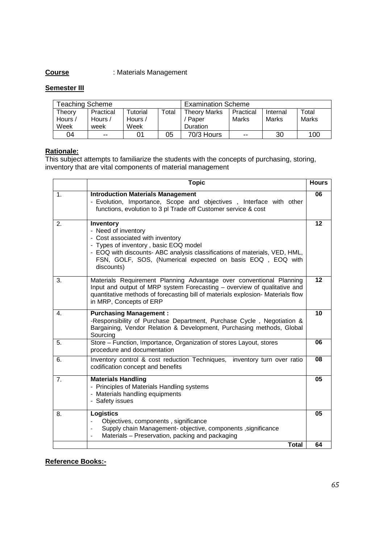# **Course** : Materials Management

#### **Semester III**

| <b>Teaching Scheme</b>    |                              |                             | <b>Examination Scheme</b> |                                                 |                    |                   |                |
|---------------------------|------------------------------|-----------------------------|---------------------------|-------------------------------------------------|--------------------|-------------------|----------------|
| Theory<br>Hours /<br>Week | Practical<br>Hours /<br>week | Tutorial<br>Hours /<br>Week | $\tau$ otal               | <b>Theory Marks</b><br>Paper<br><b>Duration</b> | Practical<br>Marks | Internal<br>Marks | Total<br>Marks |
| 04                        | $- -$                        |                             | 05                        | 70/3 Hours                                      | $- -$              | 30                | 100            |

#### **Rationale:**

This subject attempts to familiarize the students with the concepts of purchasing, storing, inventory that are vital components of material management

|                | <b>Topic</b>                                                                                                                                                                                                                                                            | <b>Hours</b>    |
|----------------|-------------------------------------------------------------------------------------------------------------------------------------------------------------------------------------------------------------------------------------------------------------------------|-----------------|
| $\mathbf{1}$ . | <b>Introduction Materials Management</b><br>- Evolution, Importance, Scope and objectives, Interface with other<br>functions, evolution to 3 pl Trade off Customer service & cost                                                                                       | 06              |
| 2.             | Inventory<br>- Need of inventory<br>- Cost associated with inventory<br>- Types of inventory, basic EOQ model<br>- EOQ with discounts- ABC analysis classifications of materials, VED, HML,<br>FSN, GOLF, SOS, (Numerical expected on basis EOQ, EOQ with<br>discounts) | 12              |
| 3.             | Materials Requirement Planning Advantage over conventional Planning<br>Input and output of MRP system Forecasting - overview of qualitative and<br>quantitative methods of forecasting bill of materials explosion- Materials flow<br>in MRP, Concepts of ERP           | 12              |
| 4.             | <b>Purchasing Management:</b><br>-Responsibility of Purchase Department, Purchase Cycle, Negotiation &<br>Bargaining, Vendor Relation & Development, Purchasing methods, Global<br>Sourcing                                                                             | 10              |
| 5.             | Store - Function, Importance, Organization of stores Layout, stores<br>procedure and documentation                                                                                                                                                                      | 06              |
| 6.             | Inventory control & cost reduction Techniques, inventory turn over ratio<br>codification concept and benefits                                                                                                                                                           | 08              |
| 7 <sub>1</sub> | <b>Materials Handling</b><br>- Principles of Materials Handling systems<br>- Materials handling equipments<br>- Safety issues                                                                                                                                           | $\overline{05}$ |
| 8.             | <b>Logistics</b><br>Objectives, components, significance<br>Supply chain Management- objective, components , significance<br>Materials - Preservation, packing and packaging                                                                                            | 05              |
|                | <b>Total</b>                                                                                                                                                                                                                                                            | 64              |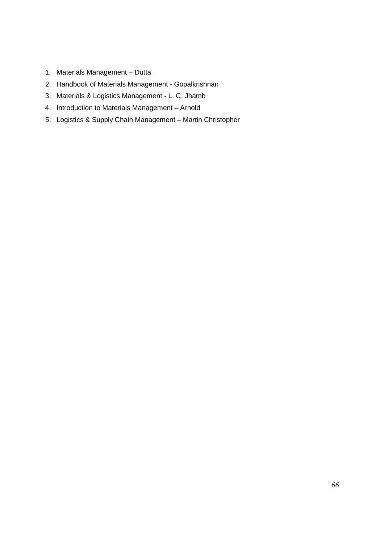- 1. Materials Management Dutta
- 2. Handbook of Materials Management Gopalkrishnan
- 3. Materials & Logistics Management L. C. Jhamb
- 4. Introduction to Materials Management Arnold
- 5. Logistics & Supply Chain Management Martin Christopher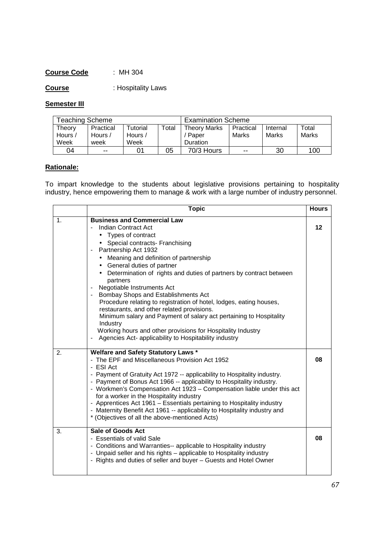**Course** : Hospitality Laws

# **Semester III**

| <b>Teaching Scheme</b>    |                              |                                          | <b>Examination Scheme</b> |                                          |                    |                   |                |
|---------------------------|------------------------------|------------------------------------------|---------------------------|------------------------------------------|--------------------|-------------------|----------------|
| Theorv<br>Hours /<br>Week | Practical<br>Hours /<br>week | Tutorial<br>Hours $\overline{a}$<br>Week | Total                     | <b>Theory Marks</b><br>Paper<br>Duration | Practical<br>Marks | Internal<br>Marks | Total<br>Marks |
|                           |                              |                                          |                           |                                          |                    |                   |                |
| 04                        | $- -$                        | 01                                       | 05                        | 70/3 Hours                               | $- -$              | 30                | 100            |

# **Rationale:**

To impart knowledge to the students about legislative provisions pertaining to hospitality industry, hence empowering them to manage & work with a large number of industry personnel.

|    | <b>Topic</b>                                                                                                                                                                                                                                                                                                                                                                                                                                                                                                                                                                                                                                                                                                                                        | <b>Hours</b> |
|----|-----------------------------------------------------------------------------------------------------------------------------------------------------------------------------------------------------------------------------------------------------------------------------------------------------------------------------------------------------------------------------------------------------------------------------------------------------------------------------------------------------------------------------------------------------------------------------------------------------------------------------------------------------------------------------------------------------------------------------------------------------|--------------|
| 1. | <b>Business and Commercial Law</b><br>Indian Contract Act<br>Types of contract<br>$\bullet$<br>Special contracts- Franchising<br>Partnership Act 1932<br>$\overline{\phantom{a}}$<br>• Meaning and definition of partnership<br>• General duties of partner<br>• Determination of rights and duties of partners by contract between<br>partners<br>Negotiable Instruments Act<br>Bombay Shops and Establishments Act<br>Procedure relating to registration of hotel, lodges, eating houses,<br>restaurants, and other related provisions.<br>Minimum salary and Payment of salary act pertaining to Hospitality<br>Industry<br>Working hours and other provisions for Hospitality Industry<br>Agencies Act- applicability to Hospitability industry | 12           |
| 2. | <b>Welfare and Safety Statutory Laws *</b><br>- The EPF and Miscellaneous Provision Act 1952<br>- ESI Act<br>- Payment of Gratuity Act 1972 -- applicability to Hospitality industry.<br>- Payment of Bonus Act 1966 -- applicability to Hospitality industry.<br>- Workmen's Compensation Act 1923 - Compensation liable under this act<br>for a worker in the Hospitality industry<br>- Apprentices Act 1961 - Essentials pertaining to Hospitality industry<br>- Maternity Benefit Act 1961 -- applicability to Hospitality industry and<br>* (Objectives of all the above-mentioned Acts)                                                                                                                                                       | 08           |
| 3. | <b>Sale of Goods Act</b><br>- Essentials of valid Sale<br>- Conditions and Warranties-- applicable to Hospitality industry<br>- Unpaid seller and his rights - applicable to Hospitality industry<br>- Rights and duties of seller and buyer - Guests and Hotel Owner                                                                                                                                                                                                                                                                                                                                                                                                                                                                               | 08           |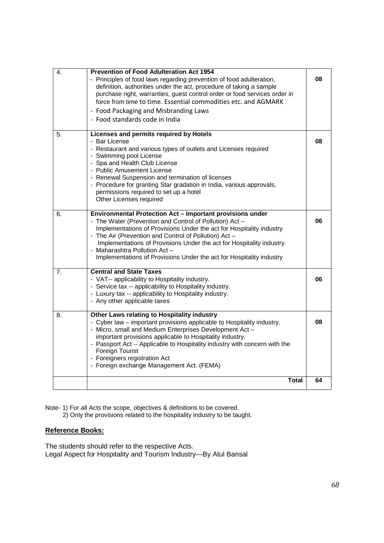| $\overline{4}$ . | <b>Prevention of Food Adulteration Act 1954</b><br>- Principles of food laws regarding prevention of food adulteration,<br>definition, authorities under the act, procedure of taking a sample<br>purchase right, warranties, guest control order or food services order in<br>force from time to time. Essential commodities etc. and AGMARK<br>- Food Packaging and Misbranding Laws<br>- Food standards code in India               | 08 |
|------------------|----------------------------------------------------------------------------------------------------------------------------------------------------------------------------------------------------------------------------------------------------------------------------------------------------------------------------------------------------------------------------------------------------------------------------------------|----|
| 5.               | Licenses and permits required by Hotels<br>- Bar License<br>- Restaurant and various types of outlets and Licenses required<br>- Swimming pool License<br>- Spa and Health Club License<br>- Public Amusement License<br>- Renewal Suspension and termination of licenses<br>- Procedure for granting Star gradation in India, various approvals,<br>permissions required to set up a hotel<br>Other Licenses required                 | 08 |
| 6.               | Environmental Protection Act - Important provisions under<br>- The Water (Prevention and Control of Pollution) Act -<br>Implementations of Provisions Under the act for Hospitality industry<br>- The Air (Prevention and Control of Pollution) Act -<br>Implementations of Provisions Under the act for Hospitality industry<br>- Maharashtra Pollution Act -<br>Implementations of Provisions Under the act for Hospitality industry | 06 |
| 7 <sub>1</sub>   | <b>Central and State Taxes</b><br>- VAT-- applicability to Hospitality industry.<br>- Service tax -- applicability to Hospitality industry.<br>- Luxury tax -- applicability to Hospitality industry.<br>- Any other applicable taxes                                                                                                                                                                                                  | 06 |
| 8.               | Other Laws relating to Hospitality industry<br>- Cyber law – important provisions applicable to Hospitality industry.<br>- Micro, small and Medium Enterprises Development Act -<br>important provisions applicable to Hospitality industry.<br>- Passport Act -- Applicable to Hospitality industry with concern with the<br>Foreign Tourist<br>- Foreigners registration Act<br>- Foreign exchange Management Act. (FEMA)            | 08 |
|                  | Total                                                                                                                                                                                                                                                                                                                                                                                                                                  | 64 |

Note- 1) For all Acts the scope, objectives & definitions to be covered. 2) Only the provisions related to the hospitality industry to be taught.

# **Reference Books:**

The students should refer to the respective Acts. Legal Aspect for Hospitality and Tourism Industry—By Atul Bansal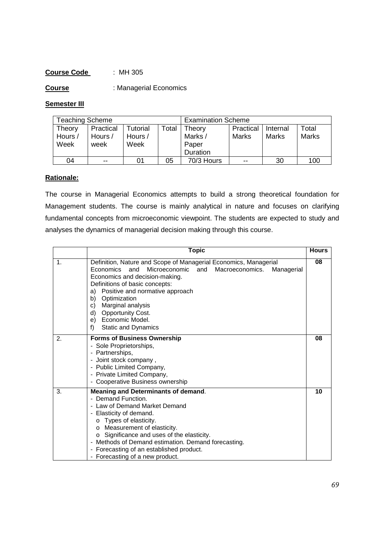**Course** : Managerial Economics

#### **Semester III**

| Teaching Scheme |           |          | <b>Examination Scheme</b> |            |           |          |              |
|-----------------|-----------|----------|---------------------------|------------|-----------|----------|--------------|
| Theory          | Practical | Tutorial | Total                     | Theory     | Practical | Internal | Total        |
| Hours /         | Hours /   | Hours /  |                           | Marks /    | Marks     | Marks    | <b>Marks</b> |
| Week            | week      | Week     |                           | Paper      |           |          |              |
|                 |           |          |                           | Duration   |           |          |              |
| 04              | $- -$     | 01       | 05                        | 70/3 Hours | $- -$     | 30       | 100          |

#### **Rationale:**

The course in Managerial Economics attempts to build a strong theoretical foundation for Management students. The course is mainly analytical in nature and focuses on clarifying fundamental concepts from microeconomic viewpoint. The students are expected to study and analyses the dynamics of managerial decision making through this course.

|               | <b>Topic</b>                                                                                                                                                                                                                                                                                                                                                                                                       | <b>Hours</b> |
|---------------|--------------------------------------------------------------------------------------------------------------------------------------------------------------------------------------------------------------------------------------------------------------------------------------------------------------------------------------------------------------------------------------------------------------------|--------------|
| $\mathbf 1$ . | Definition, Nature and Scope of Managerial Economics, Managerial<br>Economics<br>Microeconomic and<br>Macroeconomics.<br>and<br>Managerial<br>Economics and decision-making.<br>Definitions of basic concepts:<br>Positive and normative approach<br>a)<br>Optimization<br>b)<br>Marginal analysis<br>C)<br><b>Opportunity Cost.</b><br>d)<br>e) Economic Model.<br>Static and Dynamics<br>f)                      | 08           |
| 2.            | <b>Forms of Business Ownership</b><br>- Sole Proprietorships,<br>- Partnerships,<br>- Joint stock company,<br>- Public Limited Company,<br>- Private Limited Company,<br>- Cooperative Business ownership                                                                                                                                                                                                          | 08           |
| 3.            | Meaning and Determinants of demand.<br>- Demand Function.<br>- Law of Demand Market Demand<br>- Elasticity of demand.<br>Types of elasticity.<br>$\circ$<br>Measurement of elasticity.<br>O<br>Significance and uses of the elasticity.<br>$\circ$<br>Methods of Demand estimation. Demand forecasting.<br>$\overline{\phantom{0}}$<br>- Forecasting of an established product.<br>- Forecasting of a new product. | 10           |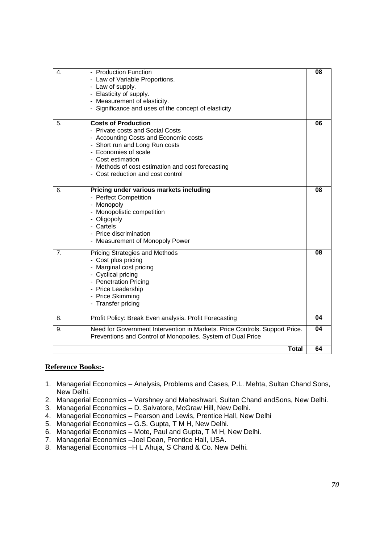| 4. | - Production Function<br>- Law of Variable Proportions.<br>- Law of supply.<br>- Elasticity of supply.<br>- Measurement of elasticity.<br>- Significance and uses of the concept of elasticity                                                                                   | 08 |
|----|----------------------------------------------------------------------------------------------------------------------------------------------------------------------------------------------------------------------------------------------------------------------------------|----|
| 5. | <b>Costs of Production</b><br>- Private costs and Social Costs<br>- Accounting Costs and Economic costs<br>- Short run and Long Run costs<br>- Economies of scale<br>- Cost estimation<br>- Methods of cost estimation and cost forecasting<br>- Cost reduction and cost control | 06 |
| 6. | Pricing under various markets including<br>- Perfect Competition<br>- Monopoly<br>- Monopolistic competition<br>- Oligopoly<br>- Cartels<br>- Price discrimination<br>- Measurement of Monopoly Power                                                                            | 08 |
| 7. | Pricing Strategies and Methods<br>- Cost plus pricing<br>- Marginal cost pricing<br>- Cyclical pricing<br>- Penetration Pricing<br>- Price Leadership<br>- Price Skimming<br>- Transfer pricing                                                                                  | 08 |
| 8. | Profit Policy: Break Even analysis. Profit Forecasting                                                                                                                                                                                                                           | 04 |
| 9. | Need for Government Intervention in Markets. Price Controls. Support Price.<br>Preventions and Control of Monopolies. System of Dual Price                                                                                                                                       | 04 |
|    | <b>Total</b>                                                                                                                                                                                                                                                                     | 64 |

- 1. Managerial Economics Analysis**,** Problems and Cases, P.L. Mehta, Sultan Chand Sons, New Delhi.
- 2. Managerial Economics Varshney and Maheshwari, Sultan Chand andSons, New Delhi.
- 3. Managerial Economics D. Salvatore, McGraw Hill, New Delhi.
- 4. Managerial Economics Pearson and Lewis, Prentice Hall, New Delhi
- 5. Managerial Economics G.S. Gupta, T M H, New Delhi.
- 6. Managerial Economics Mote, Paul and Gupta, T M H, New Delhi.
- 7. Managerial Economics –Joel Dean, Prentice Hall, USA.
- 8. Managerial Economics –H L Ahuja, S Chand & Co. New Delhi.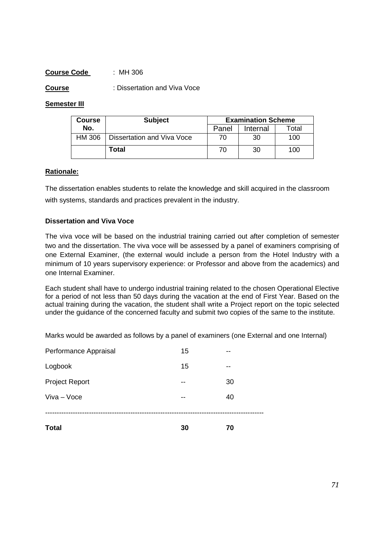**Course** : Dissertation and Viva Voce

#### **Semester III**

| Course | <b>Subject</b>             | <b>Examination Scheme</b> |          |       |  |  |
|--------|----------------------------|---------------------------|----------|-------|--|--|
| No.    |                            | Panel                     | Internal | Total |  |  |
| HM 306 | Dissertation and Viva Voce | 70                        | 30       | 100   |  |  |
|        | Total                      | 70                        | 30       | 100   |  |  |

#### **Rationale:**

The dissertation enables students to relate the knowledge and skill acquired in the classroom with systems, standards and practices prevalent in the industry.

#### **Dissertation and Viva Voce**

The viva voce will be based on the industrial training carried out after completion of semester two and the dissertation. The viva voce will be assessed by a panel of examiners comprising of one External Examiner, (the external would include a person from the Hotel Industry with a minimum of 10 years supervisory experience: or Professor and above from the academics) and one Internal Examiner.

Each student shall have to undergo industrial training related to the chosen Operational Elective for a period of not less than 50 days during the vacation at the end of First Year. Based on the actual training during the vacation, the student shall write a Project report on the topic selected under the guidance of the concerned faculty and submit two copies of the same to the institute.

Marks would be awarded as follows by a panel of examiners (one External and one Internal)

| <b>Total</b>          | 30 | 70 |
|-----------------------|----|----|
| Viva - Voce           |    | 40 |
| <b>Project Report</b> | -- | 30 |
| Logbook               | 15 | -- |
| Performance Appraisal | 15 | -- |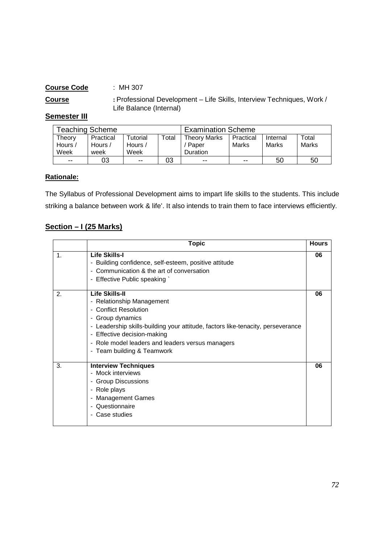**Course :** Professional Development – Life Skills, Interview Techniques, Work / Life Balance (Internal)

#### **Semester III**

| Teaching Scheme |           |                |       | <b>Examination Scheme</b> |           |          |       |
|-----------------|-----------|----------------|-------|---------------------------|-----------|----------|-------|
| Theory          | Practical | Tutorial       | Total | <b>Theory Marks</b>       | Practical | Internal | Total |
| Hours /         | Hours /   | Hours $\prime$ |       | Paper                     | Marks     | Marks    | Marks |
| Week            | week      | Week           |       | <b>Duration</b>           |           |          |       |
| $- -$           | 03        | $- -$          | 03    | $- -$                     | $- -$     | 50       | 50    |

# **Rationale:**

The Syllabus of Professional Development aims to impart life skills to the students. This include striking a balance between work & life'. It also intends to train them to face interviews efficiently.

#### **Section – I (25 Marks)**

|                | <b>Topic</b>                                                                                                                                                                                                                                                                                                           | <b>Hours</b> |
|----------------|------------------------------------------------------------------------------------------------------------------------------------------------------------------------------------------------------------------------------------------------------------------------------------------------------------------------|--------------|
| 1.             | <b>Life Skills-I</b><br>- Building confidence, self-esteem, positive attitude<br>- Communication & the art of conversation<br>- Effective Public speaking `                                                                                                                                                            | 06           |
| $\mathbf{2}$ . | Life Skills-II<br>- Relationship Management<br>- Conflict Resolution<br>- Group dynamics<br>- Leadership skills-building your attitude, factors like-tenacity, perseverance<br>- Effective decision-making<br>Role model leaders and leaders versus managers<br>$\overline{\phantom{0}}$<br>- Team building & Teamwork | 06           |
| 3.             | <b>Interview Techniques</b><br>- Mock interviews<br>- Group Discussions<br>- Role plays<br><b>Management Games</b><br>-<br>- Questionnaire<br>Case studies                                                                                                                                                             | 06           |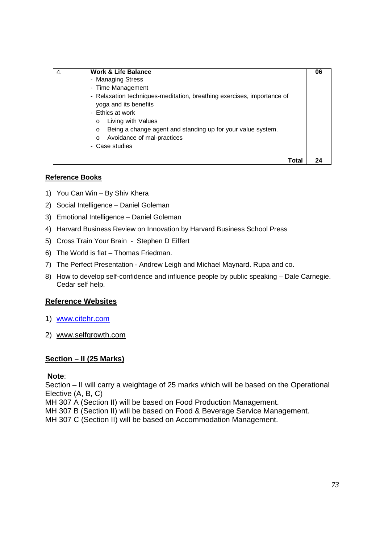| 4. | <b>Work &amp; Life Balance</b>                                                                  | 06 |
|----|-------------------------------------------------------------------------------------------------|----|
|    | - Managing Stress                                                                               |    |
|    | - Time Management                                                                               |    |
|    | - Relaxation techniques-meditation, breathing exercises, importance of<br>yoga and its benefits |    |
|    | Ethics at work<br>$\blacksquare$                                                                |    |
|    | Living with Values<br>$\circ$                                                                   |    |
|    | Being a change agent and standing up for your value system.<br>$\circ$                          |    |
|    | Avoidance of mal-practices<br>$\Omega$                                                          |    |
|    | Case studies<br>۰.                                                                              |    |
|    | Гоtаl                                                                                           |    |

- 1) You Can Win By Shiv Khera
- 2) Social Intelligence Daniel Goleman
- 3) Emotional Intelligence Daniel Goleman
- 4) Harvard Business Review on Innovation by Harvard Business School Press
- 5) Cross Train Your Brain Stephen D Eiffert
- 6) The World is flat Thomas Friedman.
- 7) The Perfect Presentation Andrew Leigh and Michael Maynard. Rupa and co.
- 8) How to develop self-confidence and influence people by public speaking Dale Carnegie. Cedar self help.

#### **Reference Websites**

- 1) www.citehr.com
- 2) www.selfgrowth.com

#### **Section – II (25 Marks)**

#### **Note**:

Section – II will carry a weightage of 25 marks which will be based on the Operational Elective (A, B, C)

MH 307 A (Section II) will be based on Food Production Management.

MH 307 B (Section II) will be based on Food & Beverage Service Management.

MH 307 C (Section II) will be based on Accommodation Management.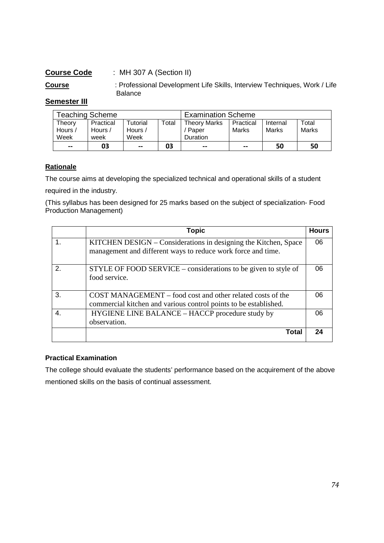# **Course Code** : MH 307 A (Section II)

**Course** : Professional Development Life Skills, Interview Techniques, Work / Life Balance

# **Semester III**

| Teaching Scheme   |                      |                                         |       | <b>Examination Scheme</b>    |                    |                   |                |
|-------------------|----------------------|-----------------------------------------|-------|------------------------------|--------------------|-------------------|----------------|
| Theorv<br>Hours / | Practical<br>Hours / | <b>Tutorial</b><br>Hours $\overline{a}$ | Total | <b>Theory Marks</b><br>Paper | Practical<br>Marks | Internal<br>Marks | Total<br>Marks |
| Week              | week                 | Week                                    |       | Duration                     |                    |                   |                |
| $\sim$ $\sim$     | 03                   | $- -$                                   | 03    | $- -$                        | $- -$              | 50                | 50             |

#### **Rationale**

The course aims at developing the specialized technical and operational skills of a student

required in the industry.

(This syllabus has been designed for 25 marks based on the subject of specialization- Food Production Management)

|               | <b>Topic</b>                                                                                                                    | <b>Hours</b> |
|---------------|---------------------------------------------------------------------------------------------------------------------------------|--------------|
|               | KITCHEN DESIGN – Considerations in designing the Kitchen, Space<br>management and different ways to reduce work force and time. | 06           |
| $\mathcal{P}$ | STYLE OF FOOD SERVICE – considerations to be given to style of<br>food service.                                                 | 06           |
| 3.            | COST MANAGEMENT – food cost and other related costs of the<br>commercial kitchen and various control points to be established.  | 06           |
| 4.            | HYGIENE LINE BALANCE – HACCP procedure study by<br>observation.                                                                 | 06           |
|               | Total                                                                                                                           | 24           |

#### **Practical Examination**

The college should evaluate the students' performance based on the acquirement of the above mentioned skills on the basis of continual assessment.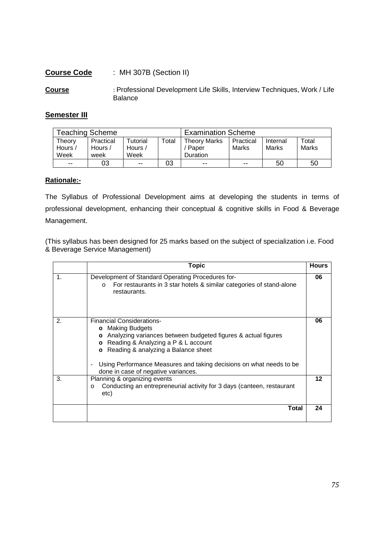#### **Course Code** : MH 307B (Section II)

**Course** : Professional Development Life Skills, Interview Techniques, Work / Life Balance

#### **Semester III**

| <b>Teaching Scheme</b>    |                              |                             |       | <b>Examination Scheme</b>                  |                    |                   |                |
|---------------------------|------------------------------|-----------------------------|-------|--------------------------------------------|--------------------|-------------------|----------------|
| Theory<br>Hours /<br>Week | Practical<br>Hours /<br>week | Tutorial<br>Hours /<br>Week | Total | <b>Theory Marks</b><br>' Paper<br>Duration | Practical<br>Marks | Internal<br>Marks | Total<br>Marks |
| $-$                       | 03                           | $- -$                       | 03    | $- -$                                      | $- -$              | 50                | 50             |

#### **Rationale:-**

The Syllabus of Professional Development aims at developing the students in terms of professional development, enhancing their conceptual & cognitive skills in Food & Beverage Management.

(This syllabus has been designed for 25 marks based on the subject of specialization i.e. Food & Beverage Service Management)

|    | <b>Topic</b>                                                                                                                                                                                                                                                                                                                                                          | <b>Hours</b> |
|----|-----------------------------------------------------------------------------------------------------------------------------------------------------------------------------------------------------------------------------------------------------------------------------------------------------------------------------------------------------------------------|--------------|
| 1. | Development of Standard Operating Procedures for-<br>For restaurants in 3 star hotels & similar categories of stand-alone<br>$\circ$<br>restaurants.                                                                                                                                                                                                                  | 06           |
| 2. | <b>Financial Considerations-</b><br>o Making Budgets<br>o Analyzing variances between budgeted figures & actual figures<br>Reading & Analyzing a P & L account<br>$\circ$<br>Reading & analyzing a Balance sheet<br>$\circ$<br>Using Performance Measures and taking decisions on what needs to be<br>$\overline{\phantom{0}}$<br>done in case of negative variances. | 06           |
| 3. | Planning & organizing events<br>Conducting an entrepreneurial activity for 3 days (canteen, restaurant<br>$\circ$<br>etc)                                                                                                                                                                                                                                             | 12           |
|    | <b>Total</b>                                                                                                                                                                                                                                                                                                                                                          | 24           |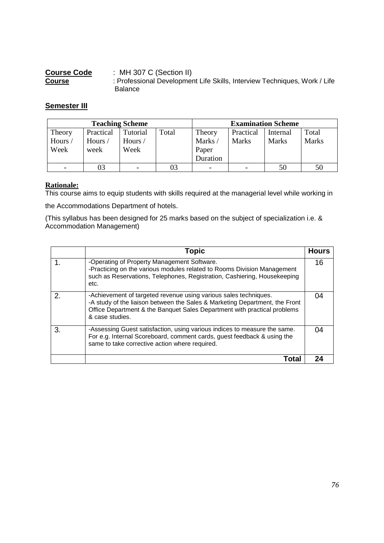| <b>Course Code</b> | : MH 307 C (Section II)                                                   |
|--------------------|---------------------------------------------------------------------------|
| <b>Course</b>      | : Professional Development Life Skills, Interview Techniques, Work / Life |
|                    | <b>Balance</b>                                                            |

# **Semester III**

| <b>Teaching Scheme</b> |           |          |       |          |                          | <b>Examination Scheme</b> |              |
|------------------------|-----------|----------|-------|----------|--------------------------|---------------------------|--------------|
| Theory                 | Practical | Tutorial | Total | Theory   | Practical                | Internal                  | Total        |
| Hours/                 | Hours /   | Hours/   |       | Marks/   | <b>Marks</b>             | <b>Marks</b>              | <b>Marks</b> |
| Week                   | week      | Week     |       | Paper    |                          |                           |              |
|                        |           |          |       | Duration |                          |                           |              |
|                        | 03        | -        | 03    | -        | $\overline{\phantom{0}}$ | 50                        | 50           |

# **Rationale:**

This course aims to equip students with skills required at the managerial level while working in

the Accommodations Department of hotels.

(This syllabus has been designed for 25 marks based on the subject of specialization i.e. & Accommodation Management)

|    | Topic                                                                                                                                                                                                                                          | <b>Hours</b> |
|----|------------------------------------------------------------------------------------------------------------------------------------------------------------------------------------------------------------------------------------------------|--------------|
|    | -Operating of Property Management Software.<br>-Practicing on the various modules related to Rooms Division Management<br>such as Reservations, Telephones, Registration, Cashiering, Housekeeping<br>etc.                                     | 16           |
| 2. | -Achievement of targeted revenue using various sales techniques.<br>-A study of the liaison between the Sales & Marketing Department, the Front<br>Office Department & the Banquet Sales Department with practical problems<br>& case studies. |              |
| 3. | -Assessing Guest satisfaction, using various indices to measure the same.<br>For e.g. Internal Scoreboard, comment cards, guest feedback & using the<br>same to take corrective action where required.                                         |              |
|    | Tota                                                                                                                                                                                                                                           |              |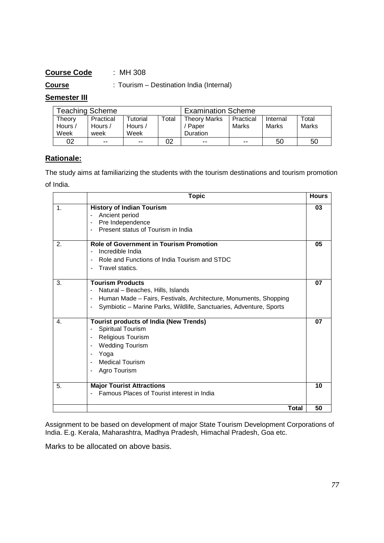# **Course Code** : MH 308

**Course** : Tourism – Destination India (Internal)

# **Semester III**

| <b>Teaching Scheme</b> |           |          |       | <b>Examination Scheme</b> |           |          |       |
|------------------------|-----------|----------|-------|---------------------------|-----------|----------|-------|
| Theorv                 | Practical | Tutorial | Total | <b>Theory Marks</b>       | Practical | Internal | Total |
| Hours /                | Hours /   | Hours /  |       | Paper                     | Marks     | Marks    | Marks |
| Week                   | week      | Week     |       | Duration                  |           |          |       |
| 02                     | $- -$     | $- -$    | 02    | $- -$                     | $- -$     | 50       | 50    |

# **Rationale:**

The study aims at familiarizing the students with the tourism destinations and tourism promotion of India.

|                | <b>Topic</b>                                                                                                                                                                                                                                          | <b>Hours</b> |
|----------------|-------------------------------------------------------------------------------------------------------------------------------------------------------------------------------------------------------------------------------------------------------|--------------|
| $\mathbf 1$ .  | <b>History of Indian Tourism</b><br>Ancient period<br>Pre Independence<br>$\overline{\phantom{a}}$<br>Present status of Tourism in India                                                                                                              | 03           |
| 2.             | <b>Role of Government in Tourism Promotion</b><br>Incredible India<br>Role and Functions of India Tourism and STDC<br>$\overline{a}$<br>Travel statics.<br>$\overline{a}$                                                                             | 05           |
| 3.             | <b>Tourism Products</b><br>Natural - Beaches, Hills, Islands<br>Human Made - Fairs, Festivals, Architecture, Monuments, Shopping<br>$\blacksquare$<br>Symbiotic - Marine Parks, Wildlife, Sanctuaries, Adventure, Sports                              | 07           |
| $\mathbf{4}$ . | <b>Tourist products of India (New Trends)</b><br>Spiritual Tourism<br>$\blacksquare$<br>Religious Tourism<br>$\blacksquare$<br><b>Wedding Tourism</b><br>$\overline{\phantom{a}}$<br>Yoga<br><b>Medical Tourism</b><br>Agro Tourism<br>$\blacksquare$ | 07           |
| 5.             | <b>Major Tourist Attractions</b><br>Famous Places of Tourist interest in India                                                                                                                                                                        | 10           |
|                | <b>Total</b>                                                                                                                                                                                                                                          | 50           |

Assignment to be based on development of major State Tourism Development Corporations of India. E.g. Kerala, Maharashtra, Madhya Pradesh, Himachal Pradesh, Goa etc.

Marks to be allocated on above basis.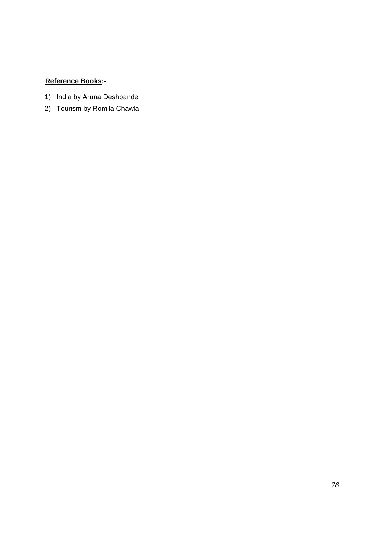- 1) India by Aruna Deshpande
- 2) Tourism by Romila Chawla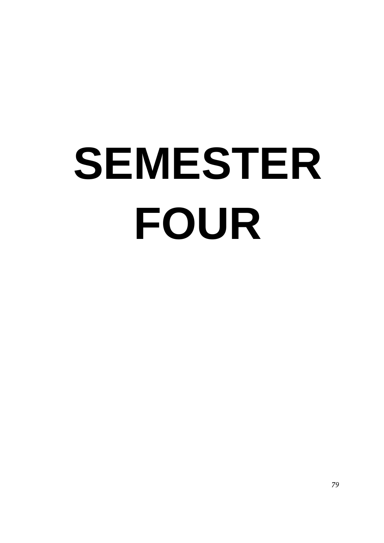# **SEMESTER FOUR**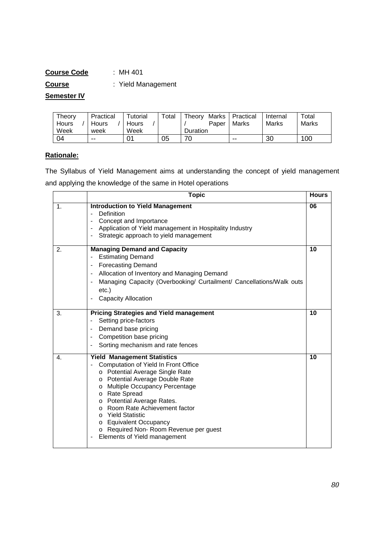# **Course Code** : MH 401 **Course** : Yield Management

# **Semester IV**

| Theory | Practical | Tutorial | $\tau$ otal | Theory<br>Marks | Practical | Internal | $\tau$ otal |
|--------|-----------|----------|-------------|-----------------|-----------|----------|-------------|
| Hours  | Hours     | Hours    |             | Paper           | Marks     | Marks    | Marks       |
| Week   | week      | Week     |             | <b>Duration</b> |           |          |             |
| 04     | $- -$     |          | 05          | 70              | $- -$     | 30       | 100         |

# **Rationale:**

The Syllabus of Yield Management aims at understanding the concept of yield management and applying the knowledge of the same in Hotel operations

|    | <b>Topic</b>                                                                                                                                                                                                                                                                                                                                                                                 | <b>Hours</b> |
|----|----------------------------------------------------------------------------------------------------------------------------------------------------------------------------------------------------------------------------------------------------------------------------------------------------------------------------------------------------------------------------------------------|--------------|
| 1. | <b>Introduction to Yield Management</b><br>Definition<br>$\blacksquare$<br>Concept and Importance<br>Application of Yield management in Hospitality Industry<br>Strategic approach to yield management                                                                                                                                                                                       | 06           |
| 2. | <b>Managing Demand and Capacity</b><br><b>Estimating Demand</b><br><b>Forecasting Demand</b><br>Allocation of Inventory and Managing Demand<br>$\qquad \qquad \blacksquare$<br>Managing Capacity (Overbooking/ Curtailment/ Cancellations/Walk outs<br>$\blacksquare$<br>$etc.$ )<br><b>Capacity Allocation</b>                                                                              | 10           |
| 3. | <b>Pricing Strategies and Yield management</b><br>Setting price-factors<br>Demand base pricing<br>$\blacksquare$<br>Competition base pricing<br>Sorting mechanism and rate fences                                                                                                                                                                                                            | 10           |
| 4. | <b>Yield Management Statistics</b><br>Computation of Yield In Front Office<br>o Potential Average Single Rate<br>o Potential Average Double Rate<br>o Multiple Occupancy Percentage<br>o Rate Spread<br>o Potential Average Rates.<br>o Room Rate Achievement factor<br>o Yield Statistic<br>o Equivalent Occupancy<br>o Required Non-Room Revenue per guest<br>Elements of Yield management | 10           |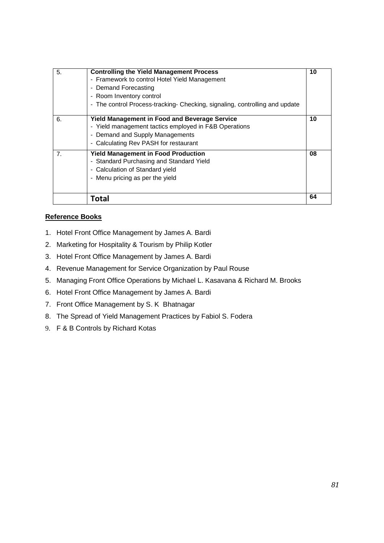| 5.             | <b>Controlling the Yield Management Process</b><br>- Framework to control Hotel Yield Management<br>- Demand Forecasting<br>- Room Inventory control<br>- The control Process-tracking- Checking, signaling, controlling and update | 10 |
|----------------|-------------------------------------------------------------------------------------------------------------------------------------------------------------------------------------------------------------------------------------|----|
| 6.             | <b>Yield Management in Food and Beverage Service</b><br>- Yield management tactics employed in F&B Operations<br>- Demand and Supply Managements<br>- Calculating Rev PASH for restaurant                                           | 10 |
| 7 <sub>1</sub> | <b>Yield Management in Food Production</b><br>- Standard Purchasing and Standard Yield<br>- Calculation of Standard yield<br>- Menu pricing as per the yield                                                                        | 08 |
|                | Total                                                                                                                                                                                                                               | 64 |

- 1. Hotel Front Office Management by James A. Bardi
- 2. Marketing for Hospitality & Tourism by Philip Kotler
- 3. Hotel Front Office Management by James A. Bardi
- 4. Revenue Management for Service Organization by Paul Rouse
- 5. Managing Front Office Operations by Michael L. Kasavana & Richard M. Brooks
- 6. Hotel Front Office Management by James A. Bardi
- 7. Front Office Management by S. K Bhatnagar
- 8. The Spread of Yield Management Practices by Fabiol S. Fodera
- 9. F & B Controls by Richard Kotas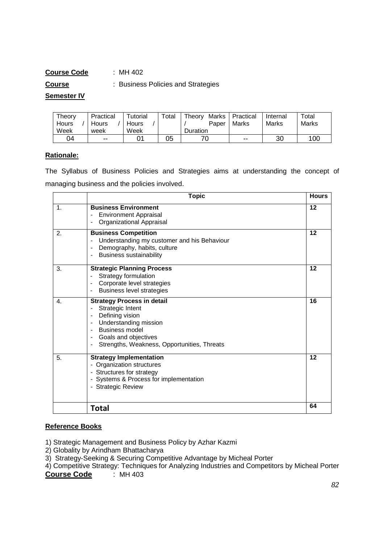# **Course Code** : MH 402

**Course** : Business Policies and Strategies

#### **Semester IV**

| Theory | Practical | $\tau$ utorial | Total | Marks<br>Theory | Practical | Internal | $\tau$ otal |
|--------|-----------|----------------|-------|-----------------|-----------|----------|-------------|
| Hours  | Hours     | <b>Hours</b>   |       | Paper           | Marks     | Marks    | Marks       |
| Week   | week      | Week           |       | <b>Duration</b> |           |          |             |
| 04     | $- -$     |                | 05    |                 | $- -$     | 30       | 100         |

# **Rationale:**

The Syllabus of Business Policies and Strategies aims at understanding the concept of managing business and the policies involved.

|    | <b>Topic</b>                                                                                                                                                                                                                                                      | <b>Hours</b> |
|----|-------------------------------------------------------------------------------------------------------------------------------------------------------------------------------------------------------------------------------------------------------------------|--------------|
| 1. | <b>Business Environment</b><br><b>Environment Appraisal</b><br>Organizational Appraisal                                                                                                                                                                           | 12           |
| 2. | <b>Business Competition</b><br>Understanding my customer and his Behaviour<br>$\overline{\phantom{a}}$<br>Demography, habits, culture<br><b>Business sustainability</b><br>$\overline{\phantom{a}}$                                                               | 12           |
| 3. | <b>Strategic Planning Process</b><br>Strategy formulation<br>$\overline{\phantom{a}}$<br>Corporate level strategies<br><b>Business level strategies</b>                                                                                                           | 12           |
| 4. | <b>Strategy Process in detail</b><br>Strategic Intent<br>Defining vision<br>Understanding mission<br>$\blacksquare$<br><b>Business model</b><br>$\blacksquare$<br>Goals and objectives<br>Strengths, Weakness, Opportunities, Threats<br>$\overline{\phantom{a}}$ | 16           |
| 5. | <b>Strategy Implementation</b><br>- Organization structures<br>- Structures for strategy<br>- Systems & Process for implementation<br>- Strategic Review                                                                                                          | 12           |
|    | <b>Total</b>                                                                                                                                                                                                                                                      | 64           |

- 1) Strategic Management and Business Policy by Azhar Kazmi
- 2) Globality by Arindham Bhattacharya
- 3) Strategy-Seeking & Securing Competitive Advantage by Micheal Porter
- 4) Competitive Strategy: Techniques for Analyzing Industries and Competitors by Micheal Porter **Course Code**  $\cdot$  MH 403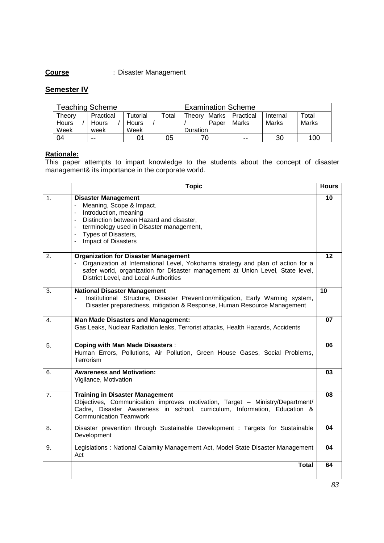# **Course** : Disaster Management

# **Semester IV**

| <b>Teaching Scheme</b> |              |          |       | <b>Examination Scheme</b> |                   |          |       |
|------------------------|--------------|----------|-------|---------------------------|-------------------|----------|-------|
| Theory                 | Practical    | Tutorial | Total | Theory                    | Marks   Practical | Internal | Total |
| Hours                  | <b>Hours</b> | Hours    |       | Paper                     | Marks             | Marks    | Marks |
| Week                   | week         | Week     |       | <b>Duration</b>           |                   |          |       |
| 04                     | $- -$        |          | 05    |                           | $- -$             | 30       | 100   |

#### **Rationale:**

This paper attempts to impart knowledge to the students about the concept of disaster management& its importance in the corporate world.

|    | <b>Topic</b>                                                                                                                                                                                                                                                                                                                                  | <b>Hours</b> |
|----|-----------------------------------------------------------------------------------------------------------------------------------------------------------------------------------------------------------------------------------------------------------------------------------------------------------------------------------------------|--------------|
| 1. | <b>Disaster Management</b><br>Meaning, Scope & Impact.<br>$\overline{\phantom{0}}$<br>Introduction, meaning<br>$\overline{\phantom{0}}$<br>Distinction between Hazard and disaster,<br>$\overline{\phantom{0}}$<br>terminology used in Disaster management,<br>Types of Disasters,<br>$\blacksquare$<br>Impact of Disasters<br>$\blacksquare$ | 10           |
| 2. | <b>Organization for Disaster Management</b><br>Organization at International Level, Yokohama strategy and plan of action for a<br>safer world, organization for Disaster management at Union Level, State level,<br>District Level, and Local Authorities                                                                                     | 12           |
| 3. | <b>National Disaster Management</b><br>Institutional Structure, Disaster Prevention/mitigation, Early Warning system,<br>Disaster preparedness, mitigation & Response, Human Resource Management                                                                                                                                              | 10           |
| 4. | <b>Man Made Disasters and Management:</b><br>Gas Leaks, Nuclear Radiation leaks, Terrorist attacks, Health Hazards, Accidents                                                                                                                                                                                                                 | 07           |
| 5. | <b>Coping with Man Made Disasters:</b><br>Human Errors, Pollutions, Air Pollution, Green House Gases, Social Problems,<br>Terrorism                                                                                                                                                                                                           | 06           |
| 6. | <b>Awareness and Motivation:</b><br>Vigilance, Motivation                                                                                                                                                                                                                                                                                     | 03           |
| 7. | <b>Training in Disaster Management</b><br>Objectives, Communication improves motivation, Target - Ministry/Department/<br>Cadre, Disaster Awareness in school, curriculum, Information, Education &<br><b>Communication Teamwork</b>                                                                                                          | 08           |
| 8. | Disaster prevention through Sustainable Development : Targets for Sustainable<br>Development                                                                                                                                                                                                                                                  | 04           |
| 9. | Legislations: National Calamity Management Act, Model State Disaster Management<br>Act                                                                                                                                                                                                                                                        | 04           |
|    | <b>Total</b>                                                                                                                                                                                                                                                                                                                                  | 64           |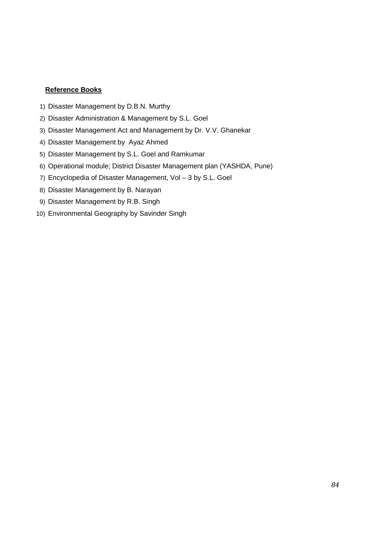- 1) Disaster Management by D.B.N. Murthy
- 2) Disaster Administration & Management by S.L. Goel
- 3) Disaster Management Act and Management by Dr. V.V. Ghanekar
- 4) Disaster Management by Ayaz Ahmed
- 5) Disaster Management by S.L. Goel and Ramkumar
- 6) Operational module; District Disaster Management plan (YASHDA, Pune)
- 7) Encyclopedia of Disaster Management, Vol 3 by S.L. Goel
- 8) Disaster Management by B. Narayan
- 9) Disaster Management by R.B. Singh
- 10) Environmental Geography by Savinder Singh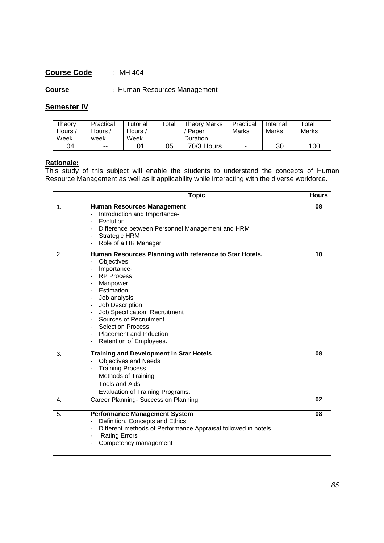# **Course Code** : MH 404

**Course** : Human Resources Management

# **Semester IV**

| Theory<br>Hours $\overline{a}$<br>Week | Practical<br>Hours /<br>week | Tutorial<br>Hours<br>Week | $\tau$ otal | <b>Theory Marks</b><br>Paper<br>Duration | Practical<br>Marks | Internal<br>Marks | Total<br>Marks |
|----------------------------------------|------------------------------|---------------------------|-------------|------------------------------------------|--------------------|-------------------|----------------|
| 04                                     | $\sim$ $\sim$                |                           | 05          | 70/3 Hours                               |                    | 30                | 100            |

#### **Rationale:**

This study of this subject will enable the students to understand the concepts of Human Resource Management as well as it applicability while interacting with the diverse workforce.

|    | <b>Topic</b>                                                                                                                                                                                                                                                                                                                                                                                                             | <b>Hours</b> |
|----|--------------------------------------------------------------------------------------------------------------------------------------------------------------------------------------------------------------------------------------------------------------------------------------------------------------------------------------------------------------------------------------------------------------------------|--------------|
| 1. | <b>Human Resources Management</b><br>Introduction and Importance-<br>Evolution<br>Difference between Personnel Management and HRM<br>Strategic HRM<br>Role of a HR Manager                                                                                                                                                                                                                                               | 08           |
| 2. | Human Resources Planning with reference to Star Hotels.<br>Objectives<br>$\blacksquare$<br>Importance-<br>$\overline{\phantom{a}}$<br><b>RP Process</b><br>Manpower<br>$\blacksquare$<br>Estimation<br>Job analysis<br>Job Description<br>$\blacksquare$<br>Job Specification. Recruitment<br>$\blacksquare$<br>Sources of Recruitment<br><b>Selection Process</b><br>Placement and Induction<br>Retention of Employees. | 10           |
| 3. | <b>Training and Development in Star Hotels</b><br>Objectives and Needs<br>$\blacksquare$<br><b>Training Process</b><br><b>Methods of Training</b><br><b>Tools and Aids</b><br>Evaluation of Training Programs.                                                                                                                                                                                                           | 08           |
| 4. | Career Planning- Succession Planning                                                                                                                                                                                                                                                                                                                                                                                     | 02           |
| 5. | <b>Performance Management System</b><br>Definition, Concepts and Ethics<br>$\overline{\phantom{a}}$<br>Different methods of Performance Appraisal followed in hotels.<br><b>Rating Errors</b><br>$\blacksquare$<br>Competency management                                                                                                                                                                                 | 08           |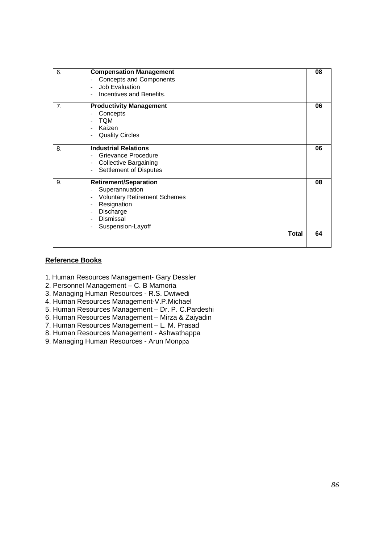| 6.             | <b>Compensation Management</b><br><b>Concepts and Components</b><br>Job Evaluation<br>$\overline{\phantom{a}}$<br>Incentives and Benefits.                                                                                                                                 | 08 |
|----------------|----------------------------------------------------------------------------------------------------------------------------------------------------------------------------------------------------------------------------------------------------------------------------|----|
| 7 <sub>1</sub> | <b>Productivity Management</b><br>Concepts<br>$\overline{\phantom{0}}$<br><b>TQM</b><br>$\overline{\phantom{a}}$<br>Kaizen<br><b>Quality Circles</b><br>$\overline{\phantom{0}}$                                                                                           | 06 |
| 8.             | <b>Industrial Relations</b><br>Grievance Procedure<br><b>Collective Bargaining</b><br>$\overline{\phantom{0}}$<br>Settlement of Disputes<br>$\blacksquare$                                                                                                                 | 06 |
| 9.             | <b>Retirement/Separation</b><br>Superannuation<br>$\overline{\phantom{a}}$<br><b>Voluntary Retirement Schemes</b><br>$\overline{\phantom{a}}$<br>Resignation<br>$\overline{\phantom{a}}$<br>Discharge<br>$\overline{\phantom{a}}$<br><b>Dismissal</b><br>Suspension-Layoff | 08 |
|                | <b>Total</b>                                                                                                                                                                                                                                                               | 64 |

- 1. Human Resources Management- Gary Dessler
- 2. Personnel Management C. B Mamoria
- 3. Managing Human Resources R.S. Dwiwedi
- 4. Human Resources Management-V.P.Michael
- 5. Human Resources Management Dr. P. C.Pardeshi
- 6. Human Resources Management Mirza & Zaiyadin
- 7. Human Resources Management L. M. Prasad
- 8. Human Resources Management Ashwathappa
- 9. Managing Human Resources Arun Monppa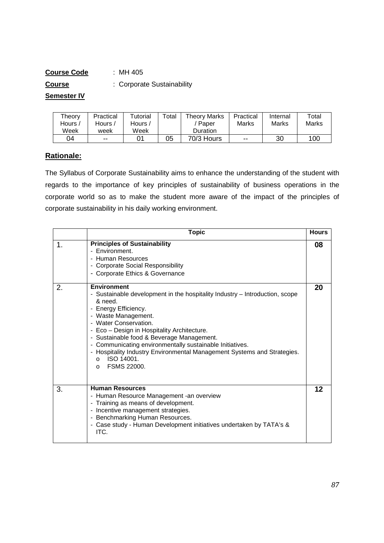| <b>Course Code</b> | :MH 405                    |
|--------------------|----------------------------|
| <b>Course</b>      | : Corporate Sustainability |
| <b>Semester IV</b> |                            |

| Theory  | Practical | Tutorial | Total | <b>Theory Marks</b> | Practical | Internal | Total |
|---------|-----------|----------|-------|---------------------|-----------|----------|-------|
| Hours / | Hours /   | Hours .  |       | Paper               | Marks     | Marks    | Marks |
| Week    | week      | Week     |       | <b>Duration</b>     |           |          |       |
| 04      | $- -$     |          | 05    | 70/3 Hours          | $- -$     | 30       | 100   |

# **Rationale:**

The Syllabus of Corporate Sustainability aims to enhance the understanding of the student with regards to the importance of key principles of sustainability of business operations in the corporate world so as to make the student more aware of the impact of the principles of corporate sustainability in his daily working environment.

|    | <b>Topic</b>                                                                                                                                                                                                                                                                                                                                                                                                                                                                 | <b>Hours</b> |
|----|------------------------------------------------------------------------------------------------------------------------------------------------------------------------------------------------------------------------------------------------------------------------------------------------------------------------------------------------------------------------------------------------------------------------------------------------------------------------------|--------------|
| 1. | <b>Principles of Sustainability</b><br>- Environment.<br>- Human Resources<br>- Corporate Social Responsibility<br>- Corporate Ethics & Governance                                                                                                                                                                                                                                                                                                                           | 08           |
| 2. | <b>Environment</b><br>- Sustainable development in the hospitality Industry - Introduction, scope<br>& need.<br>- Energy Efficiency.<br>- Waste Management.<br>- Water Conservation.<br>- Eco - Design in Hospitality Architecture.<br>- Sustainable food & Beverage Management.<br>- Communicating environmentally sustainable Initiatives.<br>- Hospitality Industry Environmental Management Systems and Strategies.<br>ISO 14001.<br>$\Omega$<br>FSMS 22000.<br>$\Omega$ | 20           |
| 3. | <b>Human Resources</b><br>- Human Resource Management - an overview<br>- Training as means of development.<br>- Incentive management strategies.<br>- Benchmarking Human Resources.<br>- Case study - Human Development initiatives undertaken by TATA's &<br>ITC.                                                                                                                                                                                                           | 12           |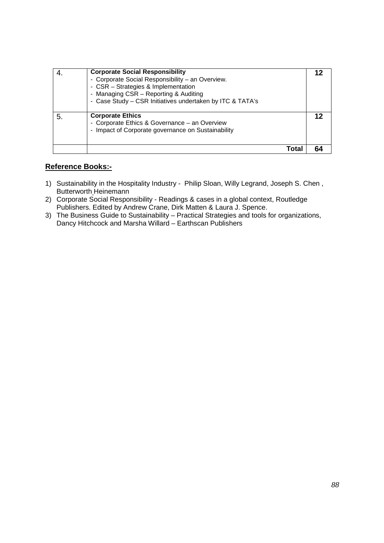|    | <b>Corporate Social Responsibility</b><br>- Corporate Social Responsibility - an Overview.<br>- CSR - Strategies & Implementation<br>- Managing CSR - Reporting & Auditing<br>- Case Study - CSR Initiatives undertaken by ITC & TATA's |    |
|----|-----------------------------------------------------------------------------------------------------------------------------------------------------------------------------------------------------------------------------------------|----|
| 5. | <b>Corporate Ethics</b><br>- Corporate Ethics & Governance - an Overview<br>- Impact of Corporate governance on Sustainability                                                                                                          | 12 |
|    | Tota                                                                                                                                                                                                                                    |    |

- 1) Sustainability in the Hospitality Industry Philip Sloan, Willy Legrand, Joseph S. Chen , Butterworth Heinemann
- 2) Corporate Social Responsibility Readings & cases in a global context, Routledge Publishers. Edited by Andrew Crane, Dirk Matten & Laura J. Spence.
- 3) The Business Guide to Sustainability Practical Strategies and tools for organizations, Dancy Hitchcock and Marsha Willard – Earthscan Publishers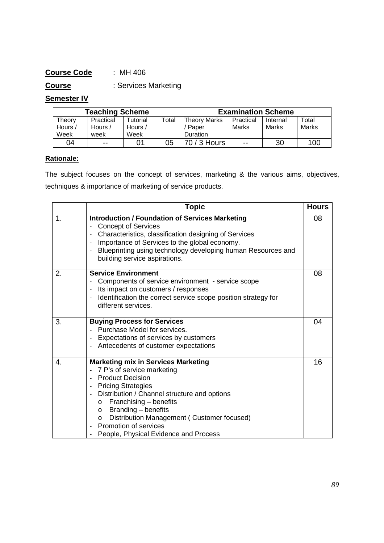# **Course Code** : MH 406

**Course** : Services Marketing

# **Semester IV**

| <b>Teaching Scheme</b> |           |                 |       | <b>Examination Scheme</b> |           |          |       |
|------------------------|-----------|-----------------|-------|---------------------------|-----------|----------|-------|
| Theorv                 | Practical | <b>Tutorial</b> | Total | Theory Marks              | Practical | Internal | Total |
| Hours /                | Hours /   | Hours /         |       | ' Paper                   | Marks     | Marks    | Marks |
| Week                   | week      | Week            |       | Duration                  |           |          |       |
| 04                     | $- -$     |                 | 05    | 70 / 3 Hours              | --        | 30       | 100   |

# **Rationale:**

The subject focuses on the concept of services, marketing & the various aims, objectives, techniques & importance of marketing of service products.

|               | Topic                                                                                                                                                                                                                                                                                                                                                                                                                                              | <b>Hours</b> |
|---------------|----------------------------------------------------------------------------------------------------------------------------------------------------------------------------------------------------------------------------------------------------------------------------------------------------------------------------------------------------------------------------------------------------------------------------------------------------|--------------|
| $\mathbf 1$ . | <b>Introduction / Foundation of Services Marketing</b><br><b>Concept of Services</b><br>Characteristics, classification designing of Services<br>$\overline{\phantom{a}}$<br>Importance of Services to the global economy.<br>$\blacksquare$<br>Blueprinting using technology developing human Resources and<br>$\frac{1}{2}$<br>building service aspirations.                                                                                     | 08           |
| 2.            | <b>Service Environment</b><br>Components of service environment - service scope<br>Its impact on customers / responses<br>Identification the correct service scope position strategy for<br>$\overline{\phantom{a}}$<br>different services.                                                                                                                                                                                                        | 08           |
| 3.            | <b>Buying Process for Services</b><br>Purchase Model for services.<br>Expectations of services by customers<br>Antecedents of customer expectations                                                                                                                                                                                                                                                                                                | 04           |
| 4.            | <b>Marketing mix in Services Marketing</b><br>7 P's of service marketing<br><b>Product Decision</b><br>$\blacksquare$<br><b>Pricing Strategies</b><br>$\blacksquare$<br>Distribution / Channel structure and options<br>$\overline{\phantom{a}}$<br>Franchising - benefits<br>$\circ$<br>Branding - benefits<br>$\circ$<br>Distribution Management (Customer focused)<br>$\circ$<br>Promotion of services<br>People, Physical Evidence and Process | 16           |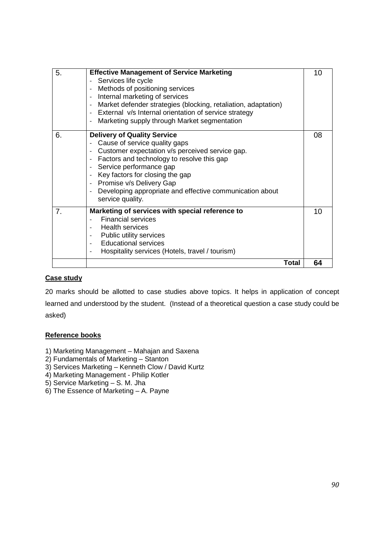| 5.             | <b>Effective Management of Service Marketing</b><br>Services life cycle<br>Methods of positioning services<br>$\blacksquare$<br>Internal marketing of services<br>$\blacksquare$<br>Market defender strategies (blocking, retaliation, adaptation)<br>$\Box$<br>External v/s Internal orientation of service strategy<br>$\omega$<br>Marketing supply through Market segmentation                                                                    | 10 |
|----------------|------------------------------------------------------------------------------------------------------------------------------------------------------------------------------------------------------------------------------------------------------------------------------------------------------------------------------------------------------------------------------------------------------------------------------------------------------|----|
| 6.             | <b>Delivery of Quality Service</b><br>Cause of service quality gaps<br>Customer expectation v/s perceived service gap.<br>$\overline{\phantom{a}}$<br>Factors and technology to resolve this gap<br>$\overline{\phantom{a}}$<br>Service performance gap<br>Key factors for closing the gap<br>$\overline{\phantom{a}}$<br>Promise v/s Delivery Gap<br>$\blacksquare$<br>Developing appropriate and effective communication about<br>service quality. | 08 |
| 7 <sub>1</sub> | Marketing of services with special reference to<br><b>Financial services</b><br>$\blacksquare$<br><b>Health services</b><br>$\blacksquare$<br>Public utility services<br>$\overline{\phantom{a}}$<br><b>Educational services</b><br>$\blacksquare$<br>Hospitality services (Hotels, travel / tourism)                                                                                                                                                | 10 |
|                | Total                                                                                                                                                                                                                                                                                                                                                                                                                                                | 64 |

#### **Case study**

20 marks should be allotted to case studies above topics. It helps in application of concept learned and understood by the student. (Instead of a theoretical question a case study could be asked)

- 1) Marketing Management Mahajan and Saxena
- 2) Fundamentals of Marketing Stanton
- 3) Services Marketing Kenneth Clow / David Kurtz
- 4) Marketing Management Philip Kotler
- 5) Service Marketing S. M. Jha
- 6) The Essence of Marketing A. Payne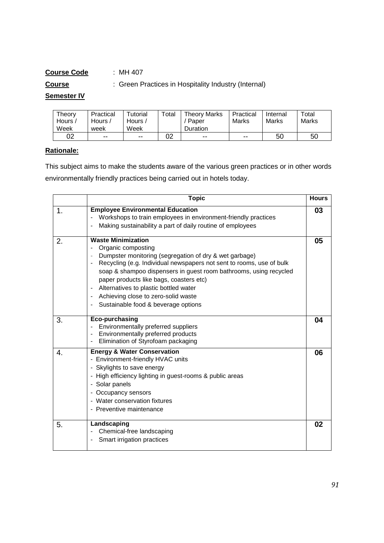# **Course Code** : MH 407 **Course** : Green Practices in Hospitality Industry (Internal)

# **Semester IV**

| Theory | Practical | Tutorial | Total | <b>Theory Marks</b> | Practical | Internal | Total        |
|--------|-----------|----------|-------|---------------------|-----------|----------|--------------|
| Hours  | Hours,    | Hours /  |       | Paper               | Marks     | Marks    | <b>Marks</b> |
| Week   | week      | Week     |       | Duration            |           |          |              |
| 02     | $- -$     | $- -$    | 02    | $- -$               | $- -$     | 50       | 50           |

# **Rationale:**

This subject aims to make the students aware of the various green practices or in other words environmentally friendly practices being carried out in hotels today.

|               | <b>Topic</b>                                                                                                                                                                                                                                                                                                                                                                                                                                                 | <b>Hours</b> |
|---------------|--------------------------------------------------------------------------------------------------------------------------------------------------------------------------------------------------------------------------------------------------------------------------------------------------------------------------------------------------------------------------------------------------------------------------------------------------------------|--------------|
| $\mathbf 1$ . | <b>Employee Environmental Education</b><br>Workshops to train employees in environment-friendly practices<br>Making sustainability a part of daily routine of employees<br>$\blacksquare$                                                                                                                                                                                                                                                                    | 03           |
| 2.            | <b>Waste Minimization</b><br>Organic composting<br>Dumpster monitoring (segregation of dry & wet garbage)<br>Recycling (e.g. Individual newspapers not sent to rooms, use of bulk<br>$\blacksquare$<br>soap & shampoo dispensers in guest room bathrooms, using recycled<br>paper products like bags, coasters etc)<br>Alternatives to plastic bottled water<br>Achieving close to zero-solid waste<br>$\blacksquare$<br>Sustainable food & beverage options | 05           |
| 3.            | <b>Eco-purchasing</b><br>Environmentally preferred suppliers<br>Environmentally preferred products<br>Elimination of Styrofoam packaging<br>$\qquad \qquad \blacksquare$                                                                                                                                                                                                                                                                                     | 04           |
| 4.            | <b>Energy &amp; Water Conservation</b><br>- Environment-friendly HVAC units<br>- Skylights to save energy<br>- High efficiency lighting in guest-rooms & public areas<br>- Solar panels<br>- Occupancy sensors<br>- Water conservation fixtures<br>- Preventive maintenance                                                                                                                                                                                  | 06           |
| 5.            | Landscaping<br>Chemical-free landscaping<br>Smart irrigation practices<br>-                                                                                                                                                                                                                                                                                                                                                                                  | 02           |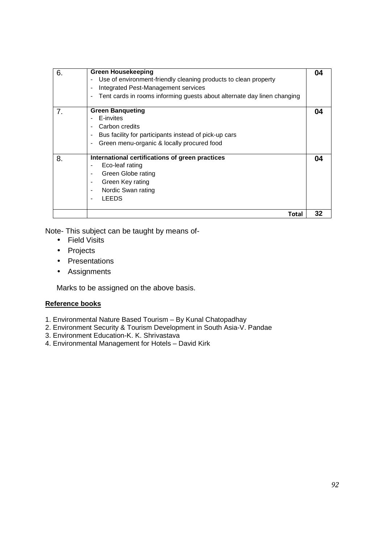| 6.             | <b>Green Housekeeping</b><br>Use of environment-friendly cleaning products to clean property<br>Integrated Pest-Management services<br>$\overline{\phantom{0}}$<br>Tent cards in rooms informing guests about alternate day linen changing<br>$\blacksquare$ | 04 |
|----------------|--------------------------------------------------------------------------------------------------------------------------------------------------------------------------------------------------------------------------------------------------------------|----|
| 7 <sub>1</sub> | <b>Green Banqueting</b><br>E-invites<br>Carbon credits<br>Bus facility for participants instead of pick-up cars<br>$\blacksquare$<br>Green menu-organic & locally procured food<br>$\blacksquare$                                                            | 04 |
| 8.             | International certifications of green practices<br>Eco-leaf rating<br>$\blacksquare$<br>Green Globe rating<br>$\blacksquare$<br>Green Key rating<br>$\blacksquare$<br>Nordic Swan rating<br>$\blacksquare$<br><b>LEEDS</b><br>$\blacksquare$                 | 04 |
|                | Total                                                                                                                                                                                                                                                        | 32 |

Note- This subject can be taught by means of-

- Field Visits
- Projects
- Presentations
- Assignments

Marks to be assigned on the above basis.

- 1. Environmental Nature Based Tourism By Kunal Chatopadhay
- 2. Environment Security & Tourism Development in South Asia-V. Pandae
- 3. Environment Education-K. K. Shrivastava
- 4. Environmental Management for Hotels David Kirk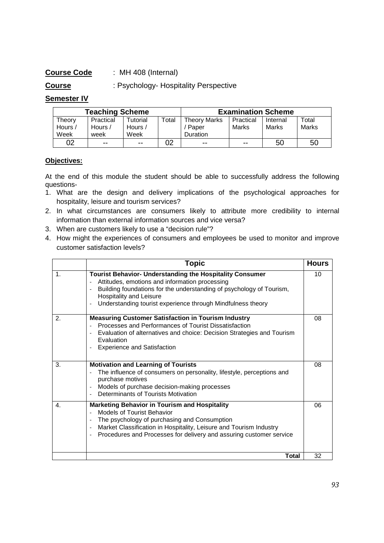# **Course Code** : MH 408 (Internal)

**Course** : Psychology- Hospitality Perspective

# **Semester IV**

| <b>Teaching Scheme</b> |           |                      |       | <b>Examination Scheme</b> |               |          |       |
|------------------------|-----------|----------------------|-------|---------------------------|---------------|----------|-------|
| Theorv                 | Practical | Tutorial             | ™otal | Theory Marks              | Practical     | Internal | Total |
| Hours /                | Hours /   | Hours $\overline{a}$ |       | Paper                     | Marks         | Marks    | Marks |
| Week                   | week      | Week                 |       | Duration                  |               |          |       |
| 02                     | $- -$     | $- -$                |       | $- -$                     | $\sim$ $\sim$ | 50       | 50    |

#### **Objectives:**

At the end of this module the student should be able to successfully address the following questions-

- 1. What are the design and delivery implications of the psychological approaches for hospitality, leisure and tourism services?
- 2. In what circumstances are consumers likely to attribute more credibility to internal information than external information sources and vice versa?
- 3. When are customers likely to use a "decision rule"?
- 4. How might the experiences of consumers and employees be used to monitor and improve customer satisfaction levels?

|             | <b>Topic</b>                                                                                                                                                                                                                                                                                                                            | <b>Hours</b> |
|-------------|-----------------------------------------------------------------------------------------------------------------------------------------------------------------------------------------------------------------------------------------------------------------------------------------------------------------------------------------|--------------|
| $\mathbf 1$ | <b>Tourist Behavior- Understanding the Hospitality Consumer</b><br>Attitudes, emotions and information processing<br>Building foundations for the understanding of psychology of Tourism,<br>$\overline{a}$<br>Hospitality and Leisure<br>Understanding tourist experience through Mindfulness theory                                   | 10           |
| 2.          | <b>Measuring Customer Satisfaction in Tourism Industry</b><br>Processes and Performances of Tourist Dissatisfaction<br>Evaluation of alternatives and choice: Decision Strategies and Tourism<br>Evaluation<br><b>Experience and Satisfaction</b>                                                                                       | 08           |
| 3.          | <b>Motivation and Learning of Tourists</b><br>The influence of consumers on personality, lifestyle, perceptions and<br>purchase motives<br>Models of purchase decision-making processes<br>Determinants of Tourists Motivation                                                                                                          | 08           |
| 4.          | <b>Marketing Behavior in Tourism and Hospitality</b><br>Models of Tourist Behavior<br>The psychology of purchasing and Consumption<br>Market Classification in Hospitality, Leisure and Tourism Industry<br>$\overline{\phantom{a}}$<br>Procedures and Processes for delivery and assuring customer service<br>$\overline{\phantom{a}}$ | 06           |
|             | Total                                                                                                                                                                                                                                                                                                                                   | 32           |